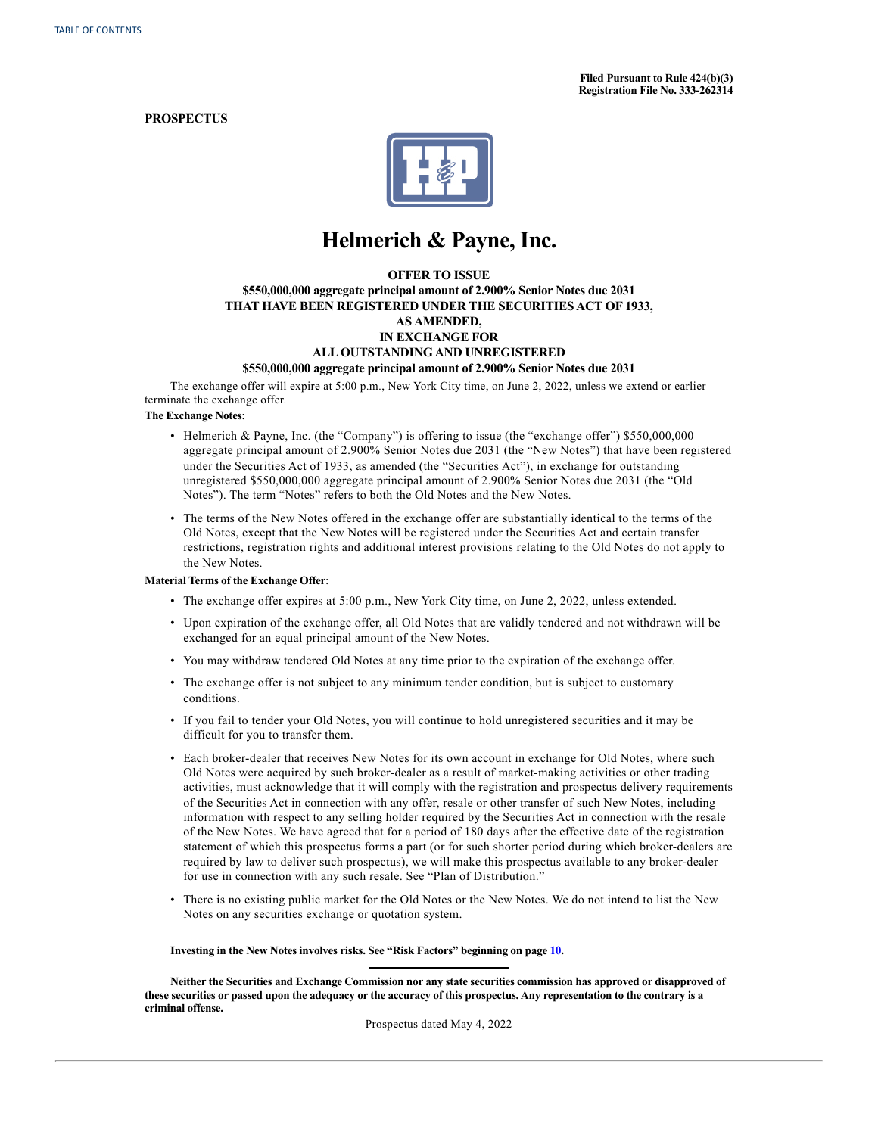**Filed Pursuant to Rule 424(b)(3) Registration File No. 333-262314**

## **PROSPECTUS**



# **Helmerich & Payne, Inc.**

## **OFFER TO ISSUE**

# **\$550,000,000 aggregate principal amount of 2.900% Senior Notes due 2031 THAT HAVE BEEN REGISTERED UNDER THE SECURITIES ACT OF 1933, AS AMENDED, IN EXCHANGE FOR ALL OUTSTANDING AND UNREGISTERED**

#### **\$550,000,000 aggregate principal amount of 2.900% Senior Notes due 2031**

The exchange offer will expire at 5:00 p.m., New York City time, on June 2, 2022, unless we extend or earlier terminate the exchange offer.

#### **The Exchange Notes**:

- Helmerich & Payne, Inc. (the "Company") is offering to issue (the "exchange offer") \$550,000,000 aggregate principal amount of 2.900% Senior Notes due 2031 (the "New Notes") that have been registered under the Securities Act of 1933, as amended (the "Securities Act"), in exchange for outstanding unregistered \$550,000,000 aggregate principal amount of 2.900% Senior Notes due 2031 (the "Old Notes"). The term "Notes" refers to both the Old Notes and the New Notes.
- The terms of the New Notes offered in the exchange offer are substantially identical to the terms of the Old Notes, except that the New Notes will be registered under the Securities Act and certain transfer restrictions, registration rights and additional interest provisions relating to the Old Notes do not apply to the New Notes.

#### **Material Terms of the Exchange Offer**:

- The exchange offer expires at 5:00 p.m., New York City time, on June 2, 2022, unless extended.
- Upon expiration of the exchange offer, all Old Notes that are validly tendered and not withdrawn will be exchanged for an equal principal amount of the New Notes.
- You may withdraw tendered Old Notes at any time prior to the expiration of the exchange offer.
- The exchange offer is not subject to any minimum tender condition, but is subject to customary conditions.
- If you fail to tender your Old Notes, you will continue to hold unregistered securities and it may be difficult for you to transfer them.
- Each broker-dealer that receives New Notes for its own account in exchange for Old Notes, where such Old Notes were acquired by such broker-dealer as a result of market-making activities or other trading activities, must acknowledge that it will comply with the registration and prospectus delivery requirements of the Securities Act in connection with any offer, resale or other transfer of such New Notes, including information with respect to any selling holder required by the Securities Act in connection with the resale of the New Notes. We have agreed that for a period of 180 days after the effective date of the registration statement of which this prospectus forms a part (or for such shorter period during which broker-dealers are required by law to deliver such prospectus), we will make this prospectus available to any broker-dealer for use in connection with any such resale. See "Plan of Distribution."
- There is no existing public market for the Old Notes or the New Notes. We do not intend to list the New Notes on any securities exchange or quotation system.

#### **Investing in the New Notes involves risks. See "Risk Factors" beginning on page [10](#page-14-0).**

Neither the Securities and Exchange Commission nor any state securities commission has approved or disapproved of these securities or passed upon the adequacy or the accuracy of this prospectus. Any representation to the contrary is a **criminal offense.**

Prospectus dated May 4, 2022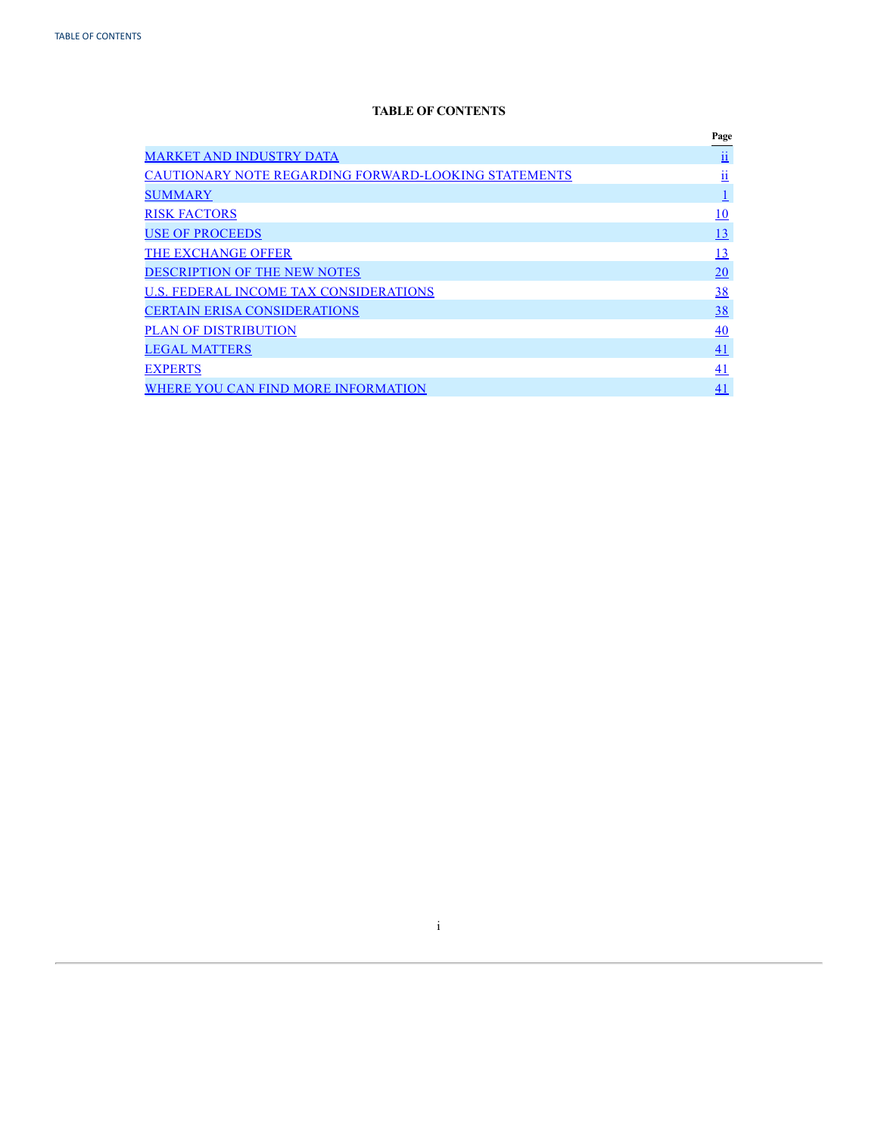# **TABLE OF CONTENTS**

<span id="page-1-0"></span>

|                                                             | Page                     |
|-------------------------------------------------------------|--------------------------|
| <b>MARKET AND INDUSTRY DATA</b>                             | $\mathbf{\underline{u}}$ |
| <b>CAUTIONARY NOTE REGARDING FORWARD-LOOKING STATEMENTS</b> | . .<br>$\mathbf{11}$     |
| <b>SUMMARY</b>                                              |                          |
| <b>RISK FACTORS</b>                                         | 10                       |
| <b>USE OF PROCEEDS</b>                                      | 13                       |
| THE EXCHANGE OFFER                                          | 13                       |
| <b>DESCRIPTION OF THE NEW NOTES</b>                         | <b>20</b>                |
| U.S. FEDERAL INCOME TAX CONSIDERATIONS                      | 38                       |
| <b>CERTAIN ERISA CONSIDERATIONS</b>                         | 38                       |
| <b>PLAN OF DISTRIBUTION</b>                                 | 40                       |
| <b>LEGAL MATTERS</b>                                        | 41                       |
| <b>EXPERTS</b>                                              | 41                       |
| WHERE YOU CAN FIND MORE INFORMATION                         | 41                       |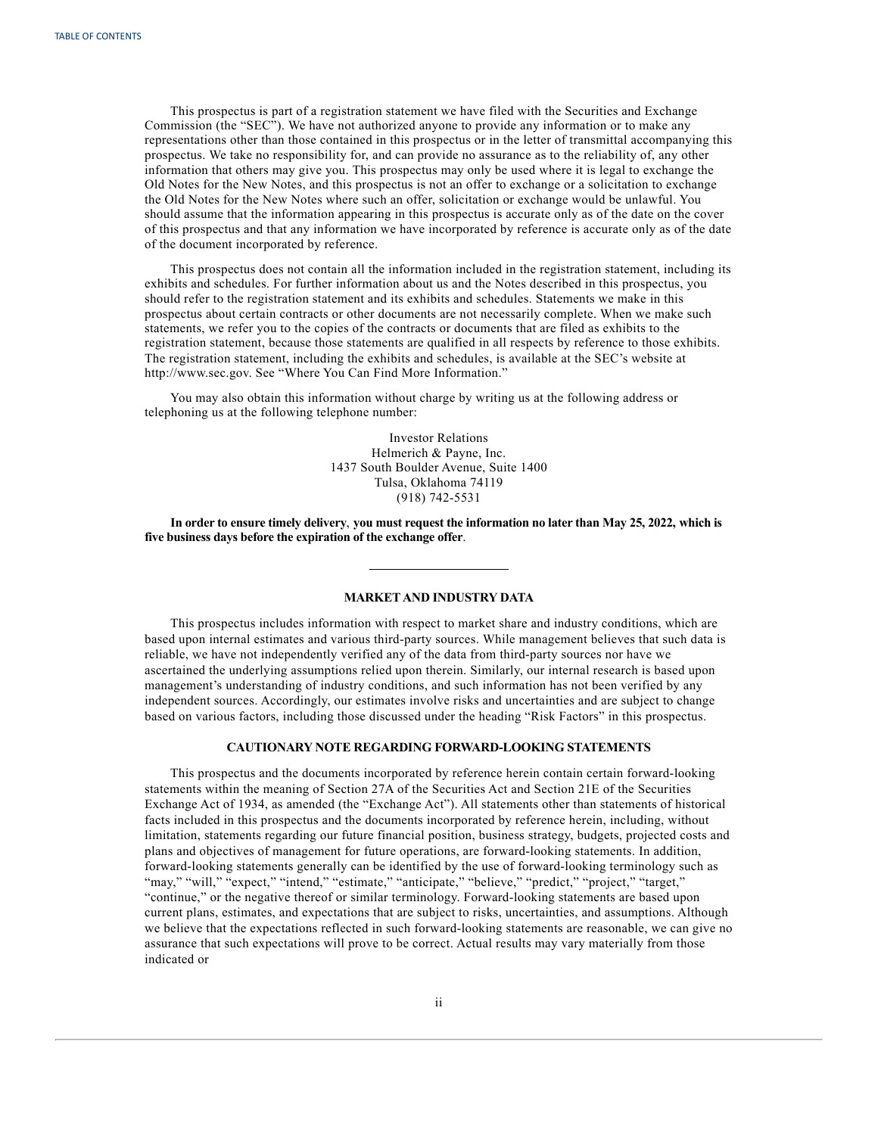<span id="page-2-0"></span>This prospectus is part of a registration statement we have filed with the Securities and Exchange Commission (the "SEC"). We have not authorized anyone to provide any information or to make any representations other than those contained in this prospectus or in the letter of transmittal accompanying this prospectus. We take no responsibility for, and can provide no assurance as to the reliability of, any other information that others may give you. This prospectus may only be used where it is legal to exchange the Old Notes for the New Notes, and this prospectus is not an offer to exchange or a solicitation to exchange the Old Notes for the New Notes where such an offer, solicitation or exchange would be unlawful. You should assume that the information appearing in this prospectus is accurate only as of the date on the cover of this prospectus and that any information we have incorporated by reference is accurate only as of the date of the document incorporated by reference.

This prospectus does not contain all the information included in the registration statement, including its exhibits and schedules. For further information about us and the Notes described in this prospectus, you should refer to the registration statement and its exhibits and schedules. Statements we make in this prospectus about certain contracts or other documents are not necessarily complete. When we make such statements, we refer you to the copies of the contracts or documents that are filed as exhibits to the registration statement, because those statements are qualified in all respects by reference to those exhibits. The registration statement, including the exhibits and schedules, is available at the SEC's website at http://www.sec.gov. See "Where You Can Find More Information."

You may also obtain this information without charge by writing us at the following address or telephoning us at the following telephone number:

> Investor Relations Helmerich & Payne, Inc. 1437 South Boulder Avenue, Suite 1400 Tulsa, Oklahoma 74119 (918) 742-5531

In order to ensure timely delivery, you must request the information no later than May 25, 2022, which is **five business days before the expiration of the exchange offer**.

## **MARKETAND INDUSTRY DATA**

This prospectus includes information with respect to market share and industry conditions, which are based upon internal estimates and various third-party sources. While management believes that such data is reliable, we have not independently verified any of the data from third-party sources nor have we ascertained the underlying assumptions relied upon therein. Similarly, our internal research is based upon management's understanding of industry conditions, and such information has not been verified by any independent sources. Accordingly, our estimates involve risks and uncertainties and are subject to change based on various factors, including those discussed under the heading "Risk Factors" in this prospectus.

## **CAUTIONARY NOTE REGARDING FORWARD-LOOKING STATEMENTS**

This prospectus and the documents incorporated by reference herein contain certain forward-looking statements within the meaning of Section 27A of the Securities Act and Section 21E of the Securities Exchange Act of 1934, as amended (the "Exchange Act"). All statements other than statements of historical facts included in this prospectus and the documents incorporated by reference herein, including, without limitation, statements regarding our future financial position, business strategy, budgets, projected costs and plans and objectives of management for future operations, are forward-looking statements. In addition, forward-looking statements generally can be identified by the use of forward-looking terminology such as "may," "will," "expect," "intend," "estimate," "anticipate," "believe," "predict," "project," "target," "continue," or the negative thereof or similar terminology. Forward-looking statements are based upon current plans, estimates, and expectations that are subject to risks, uncertainties, and assumptions. Although we believe that the expectations reflected in such forward-looking statements are reasonable, we can give no assurance that such expectations will prove to be correct. Actual results may vary materially from those indicated or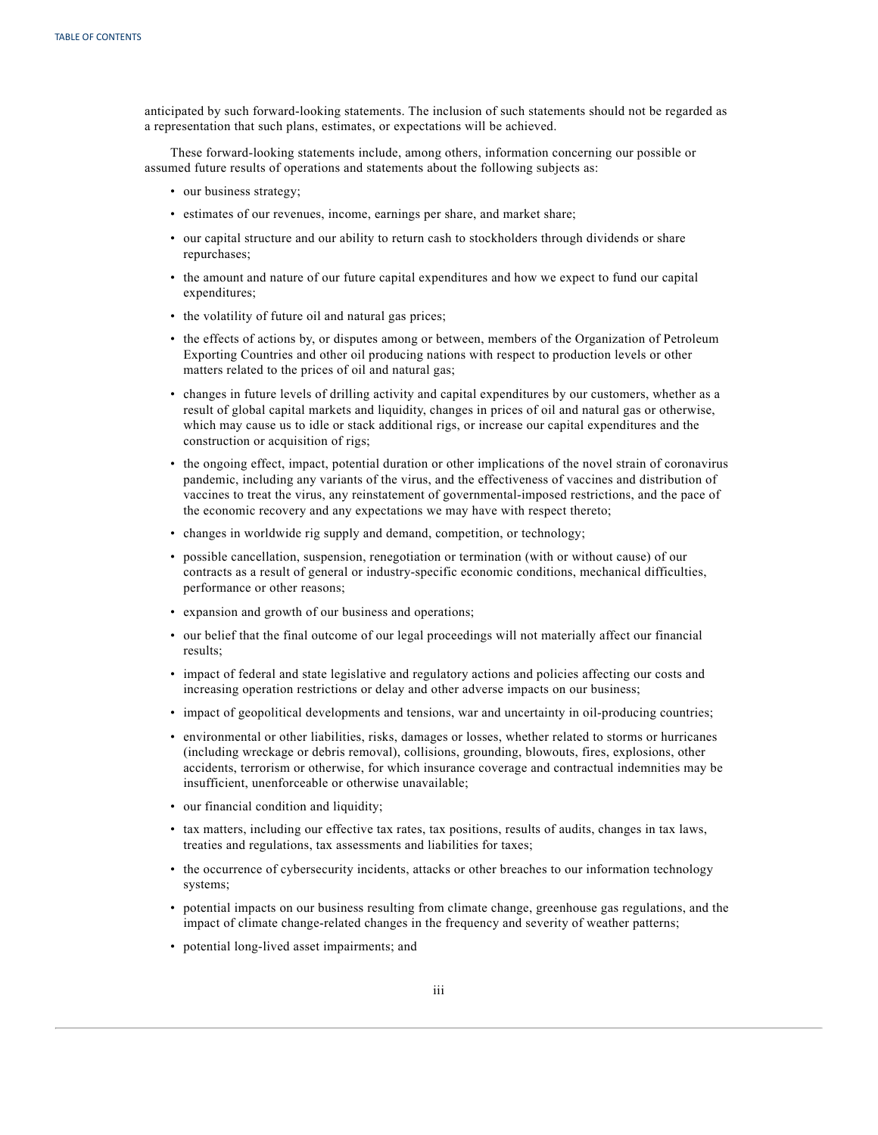anticipated by such forward-looking statements. The inclusion of such statements should not be regarded as a representation that such plans, estimates, or expectations will be achieved.

These forward-looking statements include, among others, information concerning our possible or assumed future results of operations and statements about the following subjects as:

- our business strategy;
- estimates of our revenues, income, earnings per share, and market share;
- our capital structure and our ability to return cash to stockholders through dividends or share repurchases;
- the amount and nature of our future capital expenditures and how we expect to fund our capital expenditures;
- the volatility of future oil and natural gas prices;
- the effects of actions by, or disputes among or between, members of the Organization of Petroleum Exporting Countries and other oil producing nations with respect to production levels or other matters related to the prices of oil and natural gas;
- changes in future levels of drilling activity and capital expenditures by our customers, whether as a result of global capital markets and liquidity, changes in prices of oil and natural gas or otherwise, which may cause us to idle or stack additional rigs, or increase our capital expenditures and the construction or acquisition of rigs;
- the ongoing effect, impact, potential duration or other implications of the novel strain of coronavirus pandemic, including any variants of the virus, and the effectiveness of vaccines and distribution of vaccines to treat the virus, any reinstatement of governmental-imposed restrictions, and the pace of the economic recovery and any expectations we may have with respect thereto;
- changes in worldwide rig supply and demand, competition, or technology;
- possible cancellation, suspension, renegotiation or termination (with or without cause) of our contracts as a result of general or industry-specific economic conditions, mechanical difficulties, performance or other reasons;
- expansion and growth of our business and operations;
- our belief that the final outcome of our legal proceedings will not materially affect our financial results;
- impact of federal and state legislative and regulatory actions and policies affecting our costs and increasing operation restrictions or delay and other adverse impacts on our business;
- impact of geopolitical developments and tensions, war and uncertainty in oil-producing countries;
- environmental or other liabilities, risks, damages or losses, whether related to storms or hurricanes (including wreckage or debris removal), collisions, grounding, blowouts, fires, explosions, other accidents, terrorism or otherwise, for which insurance coverage and contractual indemnities may be insufficient, unenforceable or otherwise unavailable;
- our financial condition and liquidity;
- tax matters, including our effective tax rates, tax positions, results of audits, changes in tax laws, treaties and regulations, tax assessments and liabilities for taxes;
- the occurrence of cybersecurity incidents, attacks or other breaches to our information technology systems;
- potential impacts on our business resulting from climate change, greenhouse gas regulations, and the impact of climate change-related changes in the frequency and severity of weather patterns;
- potential long-lived asset impairments; and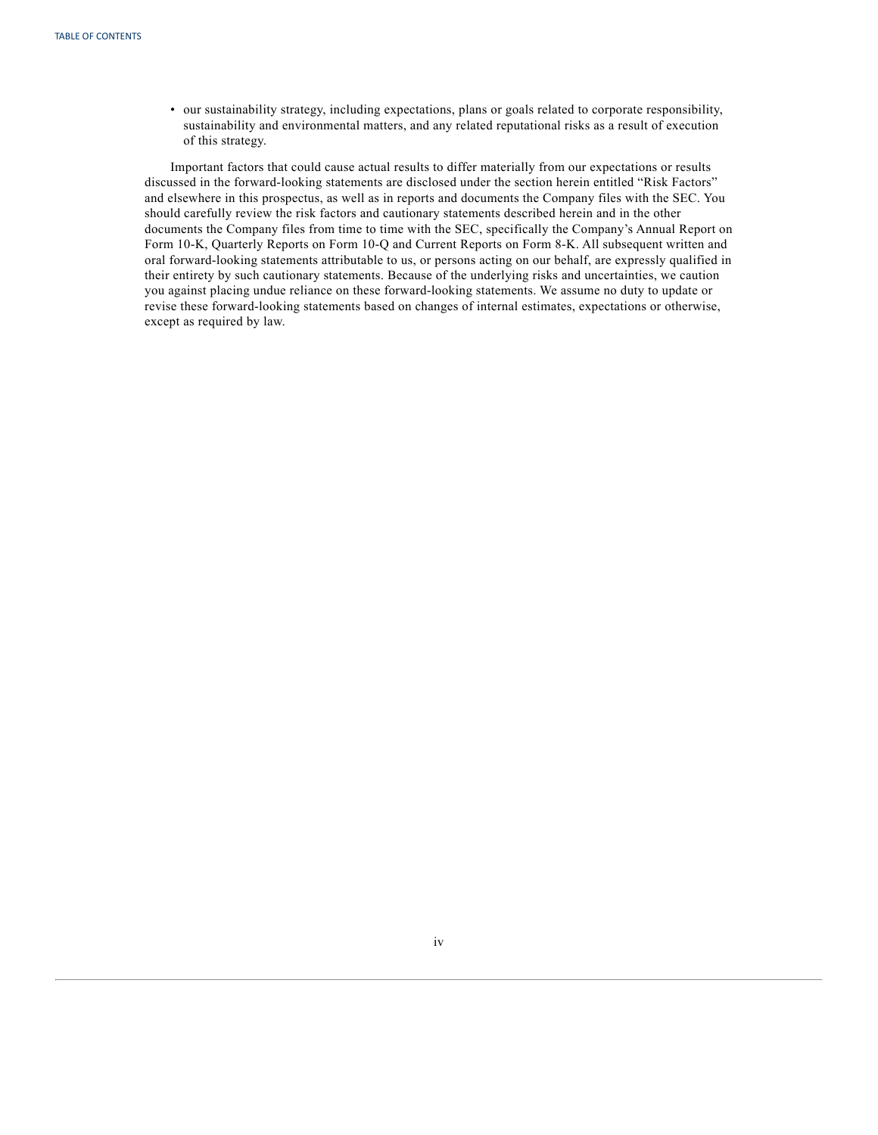• our sustainability strategy, including expectations, plans or goals related to corporate responsibility, sustainability and environmental matters, and any related reputational risks as a result of execution of this strategy.

Important factors that could cause actual results to differ materially from our expectations or results discussed in the forward-looking statements are disclosed under the section herein entitled "Risk Factors" and elsewhere in this prospectus, as well as in reports and documents the Company files with the SEC. You should carefully review the risk factors and cautionary statements described herein and in the other documents the Company files from time to time with the SEC, specifically the Company's Annual Report on Form 10-K, Quarterly Reports on Form 10-Q and Current Reports on Form 8-K. All subsequent written and oral forward-looking statements attributable to us, or persons acting on our behalf, are expressly qualified in their entirety by such cautionary statements. Because of the underlying risks and uncertainties, we caution you against placing undue reliance on these forward-looking statements. We assume no duty to update or revise these forward-looking statements based on changes of internal estimates, expectations or otherwise, except as required by law.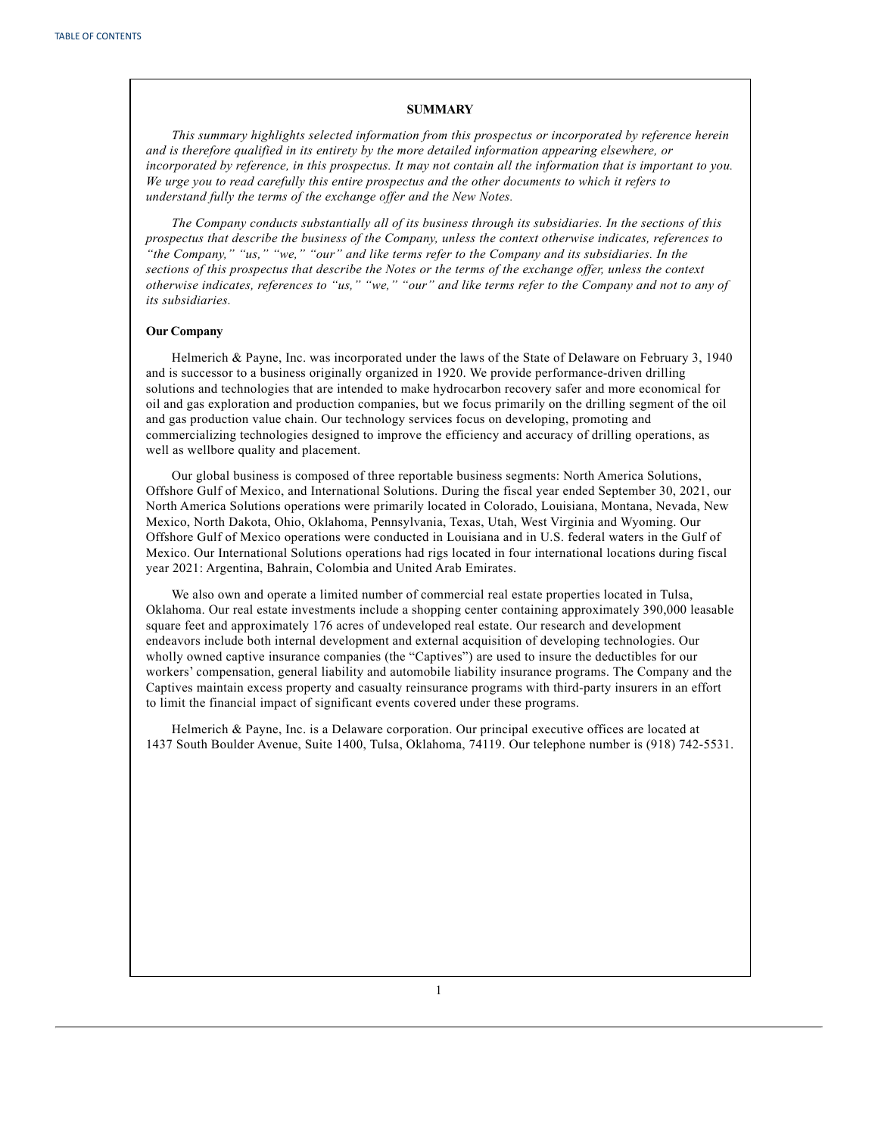#### **SUMMARY**

<span id="page-5-0"></span>*This summary highlights selected information from this prospectus or incorporated by reference herein and is therefore qualified in its entirety by the more detailed information appearing elsewhere, or* incorporated by reference, in this prospectus. It may not contain all the information that is important to you. *We urge you to read carefully this entire prospectus and the other documents to which it refers to understand fully the terms of the exchange of er and the New Notes.*

*The Company conducts substantially all of its business through its subsidiaries. In the sections of this prospectus that describe the business of the Company, unless the context otherwise indicates, references to "the Company," "us," "we," "our" and like terms refer to the Company and its subsidiaries. In the* sections of this prospectus that describe the Notes or the terms of the exchange offer, unless the context otherwise indicates, references to "us," "we," "our" and like terms refer to the Company and not to any of *its subsidiaries.*

## **Our Company**

Helmerich & Payne, Inc. was incorporated under the laws of the State of Delaware on February 3, 1940 and is successor to a business originally organized in 1920. We provide performance-driven drilling solutions and technologies that are intended to make hydrocarbon recovery safer and more economical for oil and gas exploration and production companies, but we focus primarily on the drilling segment of the oil and gas production value chain. Our technology services focus on developing, promoting and commercializing technologies designed to improve the efficiency and accuracy of drilling operations, as well as wellbore quality and placement.

Our global business is composed of three reportable business segments: North America Solutions, Offshore Gulf of Mexico, and International Solutions. During the fiscal year ended September 30, 2021, our North America Solutions operations were primarily located in Colorado, Louisiana, Montana, Nevada, New Mexico, North Dakota, Ohio, Oklahoma, Pennsylvania, Texas, Utah, West Virginia and Wyoming. Our Offshore Gulf of Mexico operations were conducted in Louisiana and in U.S. federal waters in the Gulf of Mexico. Our International Solutions operations had rigs located in four international locations during fiscal year 2021: Argentina, Bahrain, Colombia and United Arab Emirates.

We also own and operate a limited number of commercial real estate properties located in Tulsa, Oklahoma. Our real estate investments include a shopping center containing approximately 390,000 leasable square feet and approximately 176 acres of undeveloped real estate. Our research and development endeavors include both internal development and external acquisition of developing technologies. Our wholly owned captive insurance companies (the "Captives") are used to insure the deductibles for our workers' compensation, general liability and automobile liability insurance programs. The Company and the Captives maintain excess property and casualty reinsurance programs with third-party insurers in an effort to limit the financial impact of significant events covered under these programs.

Helmerich & Payne, Inc. is a Delaware corporation. Our principal executive offices are located at 1437 South Boulder Avenue, Suite 1400, Tulsa, Oklahoma, 74119. Our telephone number is (918) 742-5531.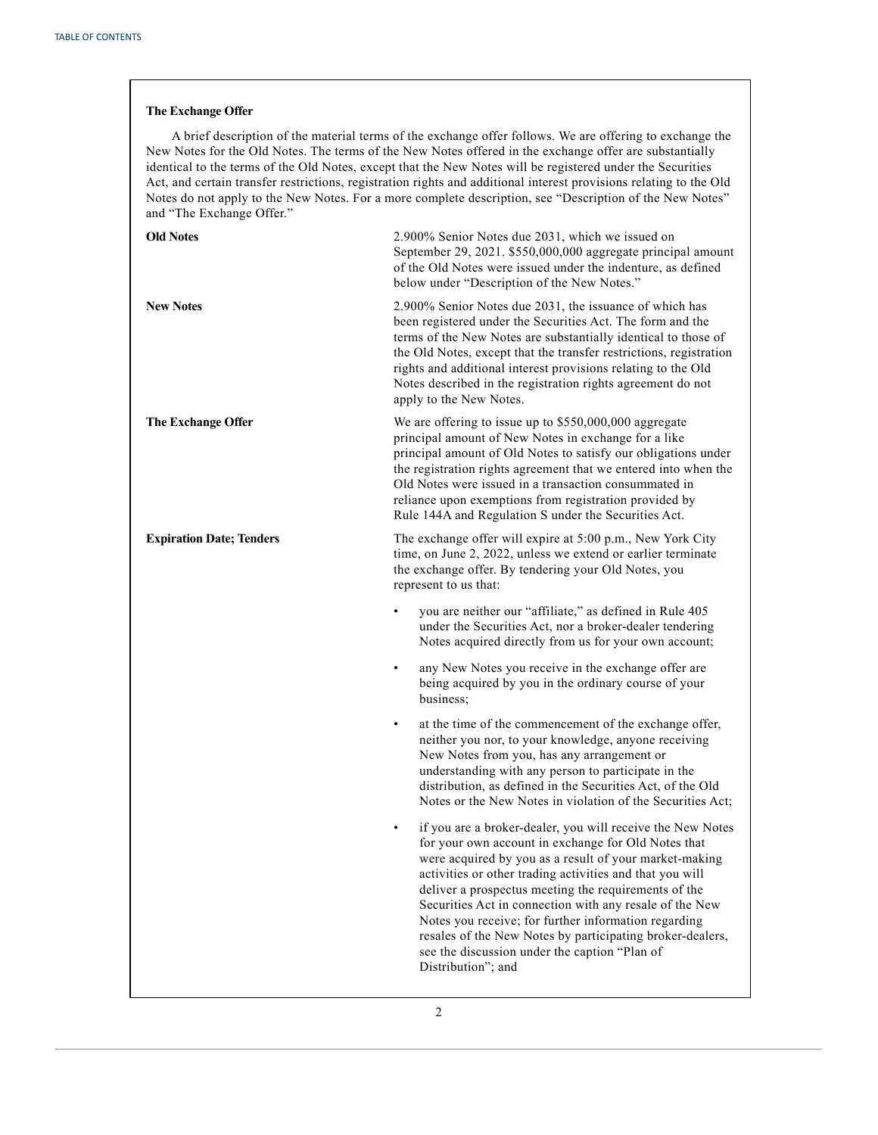# **The Exchange Offer**

A brief description of the material terms of the exchange offer follows. We are offering to exchange the New Notes for the Old Notes. The terms of the New Notes offered in the exchange offer are substantially identical to the terms of the Old Notes, except that the New Notes will be registered under the Securities Act, and certain transfer restrictions, registration rights and additional interest provisions relating to the Old Notes do not apply to the New Notes. For a more complete description, see "Description of the New Notes" and "The Exchange Offer."

| <b>Old Notes</b>                | 2.900% Senior Notes due 2031, which we issued on<br>September 29, 2021. \$550,000,000 aggregate principal amount<br>of the Old Notes were issued under the indenture, as defined<br>below under "Description of the New Notes."                                                                                                                                                                                                                                                                |
|---------------------------------|------------------------------------------------------------------------------------------------------------------------------------------------------------------------------------------------------------------------------------------------------------------------------------------------------------------------------------------------------------------------------------------------------------------------------------------------------------------------------------------------|
| <b>New Notes</b>                | 2.900% Senior Notes due 2031, the issuance of which has<br>been registered under the Securities Act. The form and the<br>terms of the New Notes are substantially identical to those of<br>the Old Notes, except that the transfer restrictions, registration<br>rights and additional interest provisions relating to the Old<br>Notes described in the registration rights agreement do not<br>apply to the New Notes.                                                                       |
| The Exchange Offer              | We are offering to issue up to \$550,000,000 aggregate<br>principal amount of New Notes in exchange for a like<br>principal amount of Old Notes to satisfy our obligations under<br>the registration rights agreement that we entered into when the<br>Old Notes were issued in a transaction consummated in<br>reliance upon exemptions from registration provided by<br>Rule 144A and Regulation S under the Securities Act.                                                                 |
| <b>Expiration Date; Tenders</b> | The exchange offer will expire at 5:00 p.m., New York City<br>time, on June 2, 2022, unless we extend or earlier terminate<br>the exchange offer. By tendering your Old Notes, you<br>represent to us that:                                                                                                                                                                                                                                                                                    |
|                                 | you are neither our "affiliate," as defined in Rule 405<br>$\bullet$<br>under the Securities Act, nor a broker-dealer tendering<br>Notes acquired directly from us for your own account;                                                                                                                                                                                                                                                                                                       |
|                                 | any New Notes you receive in the exchange offer are<br>$\bullet$<br>being acquired by you in the ordinary course of your<br>business:                                                                                                                                                                                                                                                                                                                                                          |
|                                 | at the time of the commencement of the exchange offer,<br>$\bullet$<br>neither you nor, to your knowledge, anyone receiving<br>New Notes from you, has any arrangement or<br>understanding with any person to participate in the<br>distribution, as defined in the Securities Act, of the Old<br>Notes or the New Notes in violation of the Securities Act;<br>if you are a broker-dealer, you will receive the New Notes<br>$\bullet$<br>for your own account in exchange for Old Notes that |
|                                 | were acquired by you as a result of your market-making<br>activities or other trading activities and that you will<br>deliver a prospectus meeting the requirements of the<br>Securities Act in connection with any resale of the New<br>Notes you receive; for further information regarding<br>resales of the New Notes by participating broker-dealers,<br>see the discussion under the caption "Plan of<br>Distribution"; and                                                              |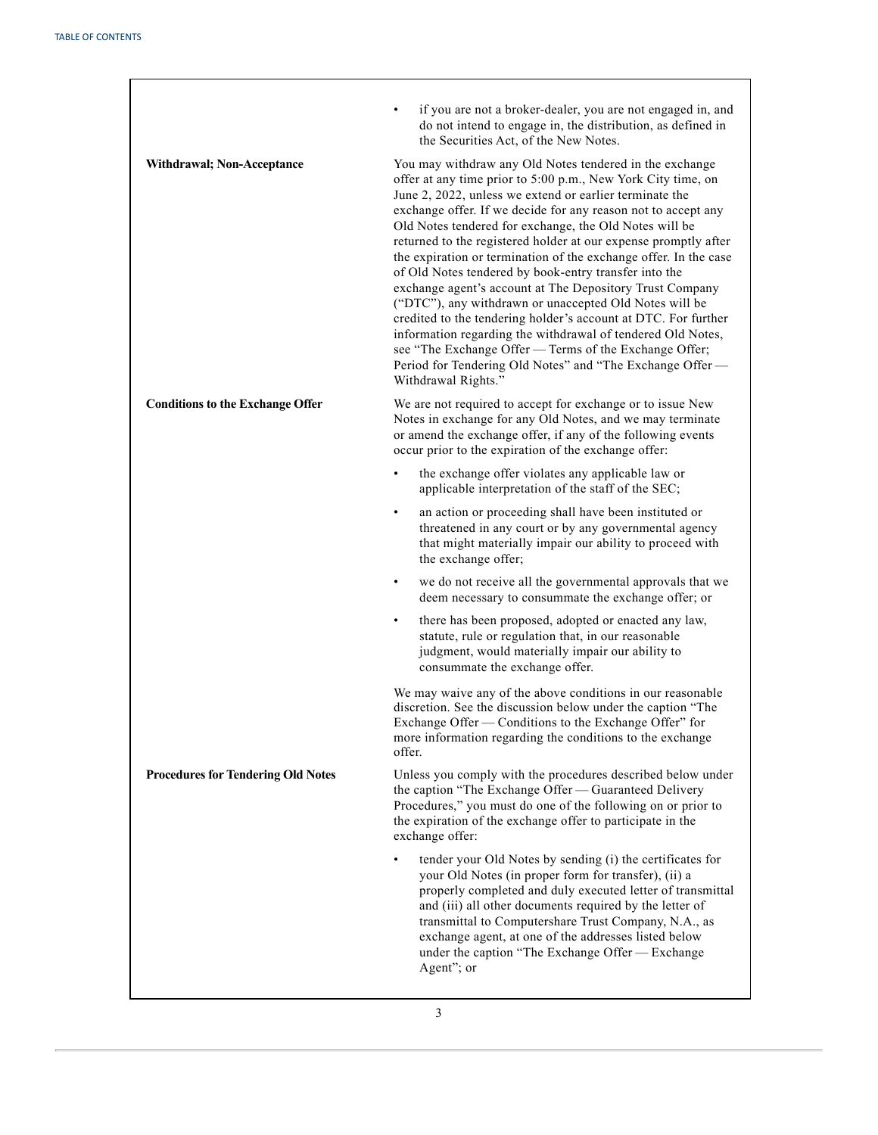| <b>Withdrawal; Non-Acceptance</b>         | if you are not a broker-dealer, you are not engaged in, and<br>do not intend to engage in, the distribution, as defined in<br>the Securities Act, of the New Notes.<br>You may withdraw any Old Notes tendered in the exchange<br>offer at any time prior to 5:00 p.m., New York City time, on<br>June 2, 2022, unless we extend or earlier terminate the<br>exchange offer. If we decide for any reason not to accept any<br>Old Notes tendered for exchange, the Old Notes will be<br>returned to the registered holder at our expense promptly after<br>the expiration or termination of the exchange offer. In the case<br>of Old Notes tendered by book-entry transfer into the<br>exchange agent's account at The Depository Trust Company<br>("DTC"), any withdrawn or unaccepted Old Notes will be<br>credited to the tendering holder's account at DTC. For further<br>information regarding the withdrawal of tendered Old Notes,<br>see "The Exchange Offer - Terms of the Exchange Offer;<br>Period for Tendering Old Notes" and "The Exchange Offer -<br>Withdrawal Rights." |
|-------------------------------------------|-------------------------------------------------------------------------------------------------------------------------------------------------------------------------------------------------------------------------------------------------------------------------------------------------------------------------------------------------------------------------------------------------------------------------------------------------------------------------------------------------------------------------------------------------------------------------------------------------------------------------------------------------------------------------------------------------------------------------------------------------------------------------------------------------------------------------------------------------------------------------------------------------------------------------------------------------------------------------------------------------------------------------------------------------------------------------------------------|
| <b>Conditions to the Exchange Offer</b>   | We are not required to accept for exchange or to issue New<br>Notes in exchange for any Old Notes, and we may terminate<br>or amend the exchange offer, if any of the following events<br>occur prior to the expiration of the exchange offer:                                                                                                                                                                                                                                                                                                                                                                                                                                                                                                                                                                                                                                                                                                                                                                                                                                            |
|                                           | the exchange offer violates any applicable law or<br>$\bullet$<br>applicable interpretation of the staff of the SEC;                                                                                                                                                                                                                                                                                                                                                                                                                                                                                                                                                                                                                                                                                                                                                                                                                                                                                                                                                                      |
|                                           | an action or proceeding shall have been instituted or<br>$\bullet$<br>threatened in any court or by any governmental agency<br>that might materially impair our ability to proceed with<br>the exchange offer;                                                                                                                                                                                                                                                                                                                                                                                                                                                                                                                                                                                                                                                                                                                                                                                                                                                                            |
|                                           | we do not receive all the governmental approvals that we<br>$\bullet$<br>deem necessary to consummate the exchange offer; or                                                                                                                                                                                                                                                                                                                                                                                                                                                                                                                                                                                                                                                                                                                                                                                                                                                                                                                                                              |
|                                           | there has been proposed, adopted or enacted any law,<br>$\bullet$<br>statute, rule or regulation that, in our reasonable<br>judgment, would materially impair our ability to<br>consummate the exchange offer.                                                                                                                                                                                                                                                                                                                                                                                                                                                                                                                                                                                                                                                                                                                                                                                                                                                                            |
|                                           | We may waive any of the above conditions in our reasonable<br>discretion. See the discussion below under the caption "The<br>Exchange Offer — Conditions to the Exchange Offer" for<br>more information regarding the conditions to the exchange<br>offer.                                                                                                                                                                                                                                                                                                                                                                                                                                                                                                                                                                                                                                                                                                                                                                                                                                |
| <b>Procedures for Tendering Old Notes</b> | Unless you comply with the procedures described below under<br>the caption "The Exchange Offer — Guaranteed Delivery<br>Procedures," you must do one of the following on or prior to<br>the expiration of the exchange offer to participate in the<br>exchange offer:                                                                                                                                                                                                                                                                                                                                                                                                                                                                                                                                                                                                                                                                                                                                                                                                                     |
|                                           | tender your Old Notes by sending (i) the certificates for<br>your Old Notes (in proper form for transfer), (ii) a<br>properly completed and duly executed letter of transmittal<br>and (iii) all other documents required by the letter of<br>transmittal to Computershare Trust Company, N.A., as<br>exchange agent, at one of the addresses listed below<br>under the caption "The Exchange Offer - Exchange<br>Agent"; or                                                                                                                                                                                                                                                                                                                                                                                                                                                                                                                                                                                                                                                              |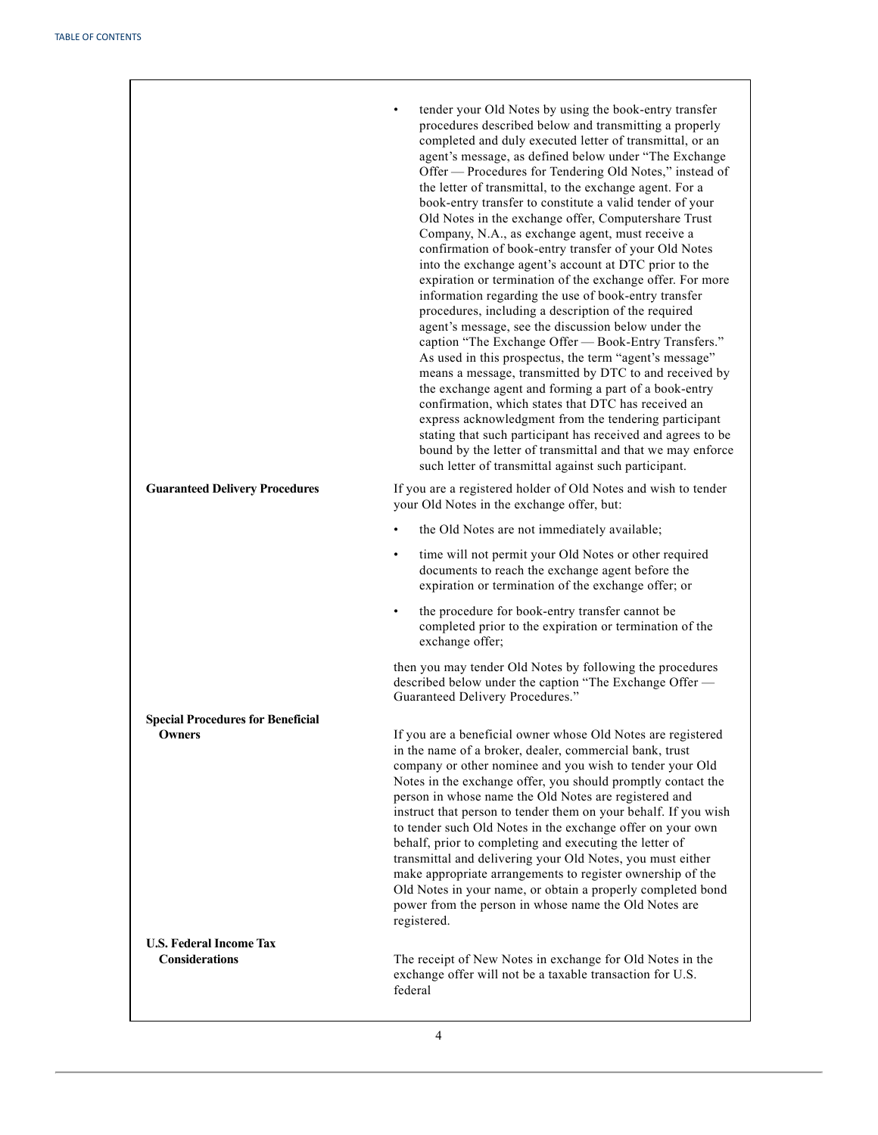|                                                         | tender your Old Notes by using the book-entry transfer<br>procedures described below and transmitting a properly<br>completed and duly executed letter of transmittal, or an<br>agent's message, as defined below under "The Exchange<br>Offer - Procedures for Tendering Old Notes," instead of<br>the letter of transmittal, to the exchange agent. For a<br>book-entry transfer to constitute a valid tender of your<br>Old Notes in the exchange offer, Computershare Trust<br>Company, N.A., as exchange agent, must receive a<br>confirmation of book-entry transfer of your Old Notes<br>into the exchange agent's account at DTC prior to the<br>expiration or termination of the exchange offer. For more<br>information regarding the use of book-entry transfer<br>procedures, including a description of the required<br>agent's message, see the discussion below under the<br>caption "The Exchange Offer - Book-Entry Transfers."<br>As used in this prospectus, the term "agent's message"<br>means a message, transmitted by DTC to and received by<br>the exchange agent and forming a part of a book-entry<br>confirmation, which states that DTC has received an<br>express acknowledgment from the tendering participant<br>stating that such participant has received and agrees to be<br>bound by the letter of transmittal and that we may enforce<br>such letter of transmittal against such participant. |
|---------------------------------------------------------|------------------------------------------------------------------------------------------------------------------------------------------------------------------------------------------------------------------------------------------------------------------------------------------------------------------------------------------------------------------------------------------------------------------------------------------------------------------------------------------------------------------------------------------------------------------------------------------------------------------------------------------------------------------------------------------------------------------------------------------------------------------------------------------------------------------------------------------------------------------------------------------------------------------------------------------------------------------------------------------------------------------------------------------------------------------------------------------------------------------------------------------------------------------------------------------------------------------------------------------------------------------------------------------------------------------------------------------------------------------------------------------------------------------------------------|
| <b>Guaranteed Delivery Procedures</b>                   | If you are a registered holder of Old Notes and wish to tender<br>your Old Notes in the exchange offer, but:                                                                                                                                                                                                                                                                                                                                                                                                                                                                                                                                                                                                                                                                                                                                                                                                                                                                                                                                                                                                                                                                                                                                                                                                                                                                                                                       |
|                                                         | the Old Notes are not immediately available;<br>$\bullet$                                                                                                                                                                                                                                                                                                                                                                                                                                                                                                                                                                                                                                                                                                                                                                                                                                                                                                                                                                                                                                                                                                                                                                                                                                                                                                                                                                          |
|                                                         | time will not permit your Old Notes or other required<br>$\bullet$<br>documents to reach the exchange agent before the<br>expiration or termination of the exchange offer; or                                                                                                                                                                                                                                                                                                                                                                                                                                                                                                                                                                                                                                                                                                                                                                                                                                                                                                                                                                                                                                                                                                                                                                                                                                                      |
|                                                         | the procedure for book-entry transfer cannot be<br>completed prior to the expiration or termination of the<br>exchange offer;                                                                                                                                                                                                                                                                                                                                                                                                                                                                                                                                                                                                                                                                                                                                                                                                                                                                                                                                                                                                                                                                                                                                                                                                                                                                                                      |
|                                                         | then you may tender Old Notes by following the procedures<br>described below under the caption "The Exchange Offer -<br>Guaranteed Delivery Procedures."                                                                                                                                                                                                                                                                                                                                                                                                                                                                                                                                                                                                                                                                                                                                                                                                                                                                                                                                                                                                                                                                                                                                                                                                                                                                           |
| <b>Special Procedures for Beneficial</b>                |                                                                                                                                                                                                                                                                                                                                                                                                                                                                                                                                                                                                                                                                                                                                                                                                                                                                                                                                                                                                                                                                                                                                                                                                                                                                                                                                                                                                                                    |
| <b>Owners</b>                                           | If you are a beneficial owner whose Old Notes are registered<br>in the name of a broker, dealer, commercial bank, trust<br>company or other nominee and you wish to tender your Old<br>Notes in the exchange offer, you should promptly contact the<br>person in whose name the Old Notes are registered and<br>instruct that person to tender them on your behalf. If you wish<br>to tender such Old Notes in the exchange offer on your own<br>behalf, prior to completing and executing the letter of<br>transmittal and delivering your Old Notes, you must either<br>make appropriate arrangements to register ownership of the<br>Old Notes in your name, or obtain a properly completed bond<br>power from the person in whose name the Old Notes are<br>registered.                                                                                                                                                                                                                                                                                                                                                                                                                                                                                                                                                                                                                                                        |
| <b>U.S. Federal Income Tax</b><br><b>Considerations</b> | The receipt of New Notes in exchange for Old Notes in the<br>exchange offer will not be a taxable transaction for U.S.<br>federal                                                                                                                                                                                                                                                                                                                                                                                                                                                                                                                                                                                                                                                                                                                                                                                                                                                                                                                                                                                                                                                                                                                                                                                                                                                                                                  |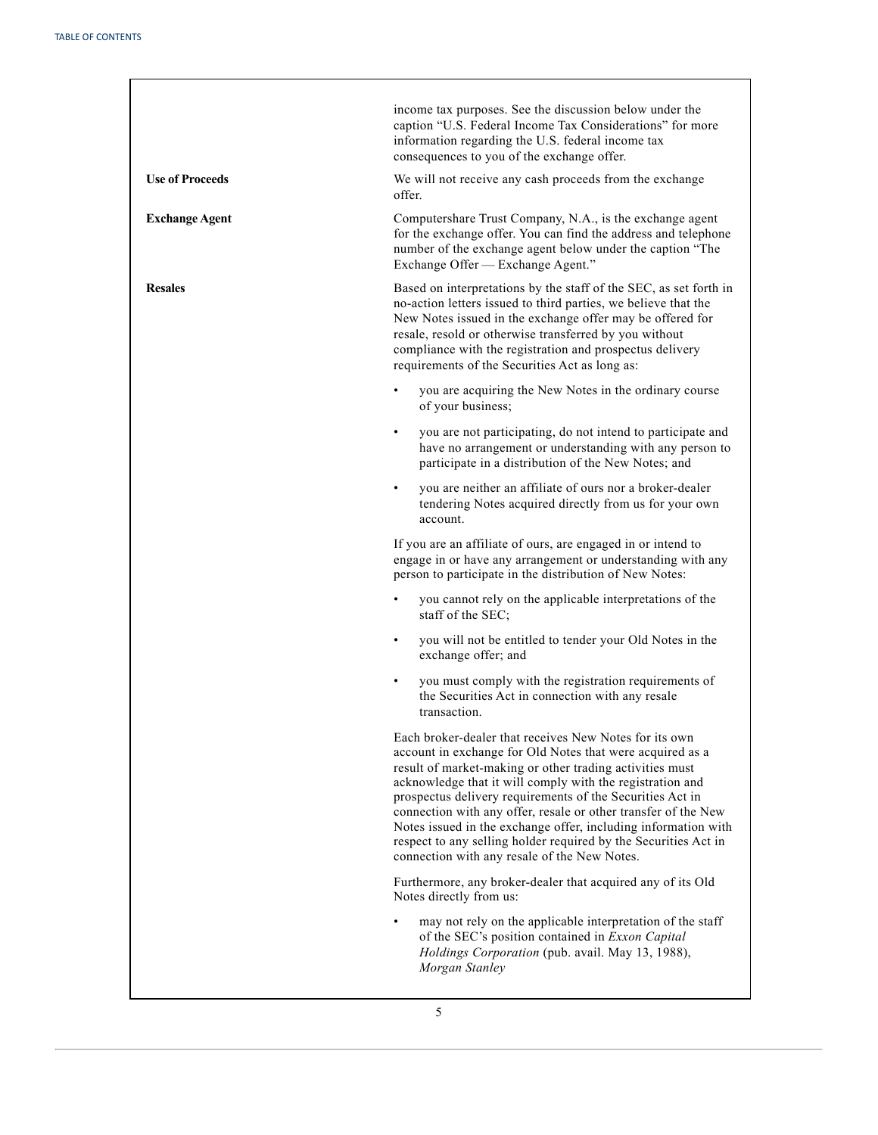|                        | income tax purposes. See the discussion below under the<br>caption "U.S. Federal Income Tax Considerations" for more<br>information regarding the U.S. federal income tax<br>consequences to you of the exchange offer.                                                                                                                                                                                                                                                                                                                                          |
|------------------------|------------------------------------------------------------------------------------------------------------------------------------------------------------------------------------------------------------------------------------------------------------------------------------------------------------------------------------------------------------------------------------------------------------------------------------------------------------------------------------------------------------------------------------------------------------------|
| <b>Use of Proceeds</b> | We will not receive any cash proceeds from the exchange<br>offer.                                                                                                                                                                                                                                                                                                                                                                                                                                                                                                |
| <b>Exchange Agent</b>  | Computershare Trust Company, N.A., is the exchange agent<br>for the exchange offer. You can find the address and telephone<br>number of the exchange agent below under the caption "The<br>Exchange Offer - Exchange Agent."                                                                                                                                                                                                                                                                                                                                     |
| <b>Resales</b>         | Based on interpretations by the staff of the SEC, as set forth in<br>no-action letters issued to third parties, we believe that the<br>New Notes issued in the exchange offer may be offered for<br>resale, resold or otherwise transferred by you without<br>compliance with the registration and prospectus delivery<br>requirements of the Securities Act as long as:                                                                                                                                                                                         |
|                        | you are acquiring the New Notes in the ordinary course<br>of your business;                                                                                                                                                                                                                                                                                                                                                                                                                                                                                      |
|                        | you are not participating, do not intend to participate and<br>have no arrangement or understanding with any person to<br>participate in a distribution of the New Notes; and                                                                                                                                                                                                                                                                                                                                                                                    |
|                        | you are neither an affiliate of ours nor a broker-dealer<br>tendering Notes acquired directly from us for your own<br>account.                                                                                                                                                                                                                                                                                                                                                                                                                                   |
|                        | If you are an affiliate of ours, are engaged in or intend to<br>engage in or have any arrangement or understanding with any<br>person to participate in the distribution of New Notes:                                                                                                                                                                                                                                                                                                                                                                           |
|                        | you cannot rely on the applicable interpretations of the<br>staff of the SEC;                                                                                                                                                                                                                                                                                                                                                                                                                                                                                    |
|                        | you will not be entitled to tender your Old Notes in the<br>٠<br>exchange offer; and                                                                                                                                                                                                                                                                                                                                                                                                                                                                             |
|                        | you must comply with the registration requirements of<br>the Securities Act in connection with any resale<br>transaction.                                                                                                                                                                                                                                                                                                                                                                                                                                        |
|                        | Each broker-dealer that receives New Notes for its own<br>account in exchange for Old Notes that were acquired as a<br>result of market-making or other trading activities must<br>acknowledge that it will comply with the registration and<br>prospectus delivery requirements of the Securities Act in<br>connection with any offer, resale or other transfer of the New<br>Notes issued in the exchange offer, including information with<br>respect to any selling holder required by the Securities Act in<br>connection with any resale of the New Notes. |
|                        | Furthermore, any broker-dealer that acquired any of its Old<br>Notes directly from us:                                                                                                                                                                                                                                                                                                                                                                                                                                                                           |
|                        | may not rely on the applicable interpretation of the staff<br>of the SEC's position contained in Exxon Capital<br>Holdings Corporation (pub. avail. May 13, 1988),<br>Morgan Stanley                                                                                                                                                                                                                                                                                                                                                                             |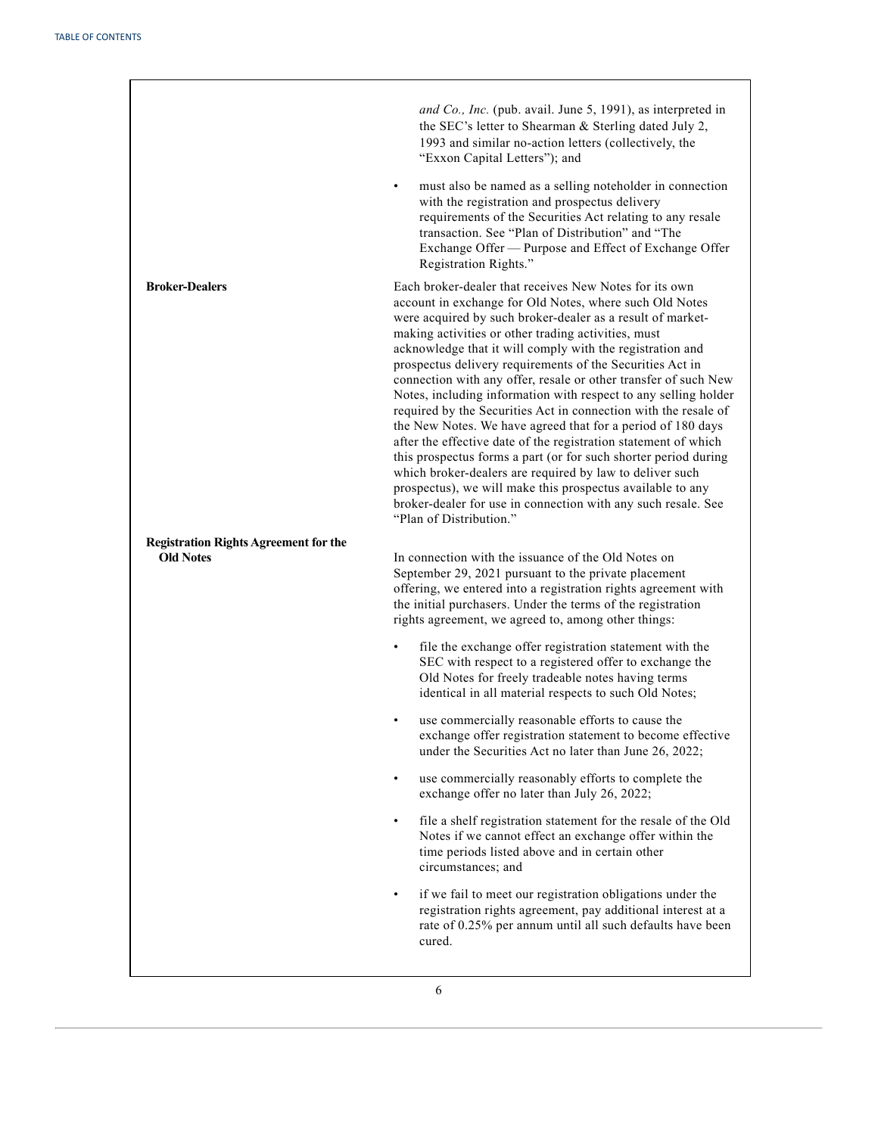|                                              | and Co., Inc. (pub. avail. June 5, 1991), as interpreted in<br>the SEC's letter to Shearman & Sterling dated July 2,<br>1993 and similar no-action letters (collectively, the<br>"Exxon Capital Letters"); and<br>must also be named as a selling noteholder in connection<br>$\bullet$<br>with the registration and prospectus delivery<br>requirements of the Securities Act relating to any resale<br>transaction. See "Plan of Distribution" and "The<br>Exchange Offer - Purpose and Effect of Exchange Offer<br>Registration Rights."                                                                                                                                                                                                                                                                                                                                                                                                                                                          |
|----------------------------------------------|------------------------------------------------------------------------------------------------------------------------------------------------------------------------------------------------------------------------------------------------------------------------------------------------------------------------------------------------------------------------------------------------------------------------------------------------------------------------------------------------------------------------------------------------------------------------------------------------------------------------------------------------------------------------------------------------------------------------------------------------------------------------------------------------------------------------------------------------------------------------------------------------------------------------------------------------------------------------------------------------------|
| <b>Broker-Dealers</b>                        | Each broker-dealer that receives New Notes for its own<br>account in exchange for Old Notes, where such Old Notes<br>were acquired by such broker-dealer as a result of market-<br>making activities or other trading activities, must<br>acknowledge that it will comply with the registration and<br>prospectus delivery requirements of the Securities Act in<br>connection with any offer, resale or other transfer of such New<br>Notes, including information with respect to any selling holder<br>required by the Securities Act in connection with the resale of<br>the New Notes. We have agreed that for a period of 180 days<br>after the effective date of the registration statement of which<br>this prospectus forms a part (or for such shorter period during<br>which broker-dealers are required by law to deliver such<br>prospectus), we will make this prospectus available to any<br>broker-dealer for use in connection with any such resale. See<br>"Plan of Distribution." |
| <b>Registration Rights Agreement for the</b> |                                                                                                                                                                                                                                                                                                                                                                                                                                                                                                                                                                                                                                                                                                                                                                                                                                                                                                                                                                                                      |
| <b>Old Notes</b>                             | In connection with the issuance of the Old Notes on<br>September 29, 2021 pursuant to the private placement<br>offering, we entered into a registration rights agreement with<br>the initial purchasers. Under the terms of the registration<br>rights agreement, we agreed to, among other things:                                                                                                                                                                                                                                                                                                                                                                                                                                                                                                                                                                                                                                                                                                  |
|                                              | file the exchange offer registration statement with the<br>SEC with respect to a registered offer to exchange the<br>Old Notes for freely tradeable notes having terms<br>identical in all material respects to such Old Notes;                                                                                                                                                                                                                                                                                                                                                                                                                                                                                                                                                                                                                                                                                                                                                                      |
|                                              | use commercially reasonable efforts to cause the<br>exchange offer registration statement to become effective<br>under the Securities Act no later than June 26, 2022;                                                                                                                                                                                                                                                                                                                                                                                                                                                                                                                                                                                                                                                                                                                                                                                                                               |
|                                              | use commercially reasonably efforts to complete the<br>exchange offer no later than July 26, 2022;                                                                                                                                                                                                                                                                                                                                                                                                                                                                                                                                                                                                                                                                                                                                                                                                                                                                                                   |
|                                              | file a shelf registration statement for the resale of the Old<br>$\bullet$<br>Notes if we cannot effect an exchange offer within the<br>time periods listed above and in certain other<br>circumstances; and                                                                                                                                                                                                                                                                                                                                                                                                                                                                                                                                                                                                                                                                                                                                                                                         |
|                                              | if we fail to meet our registration obligations under the<br>registration rights agreement, pay additional interest at a<br>rate of 0.25% per annum until all such defaults have been<br>cured.                                                                                                                                                                                                                                                                                                                                                                                                                                                                                                                                                                                                                                                                                                                                                                                                      |
|                                              |                                                                                                                                                                                                                                                                                                                                                                                                                                                                                                                                                                                                                                                                                                                                                                                                                                                                                                                                                                                                      |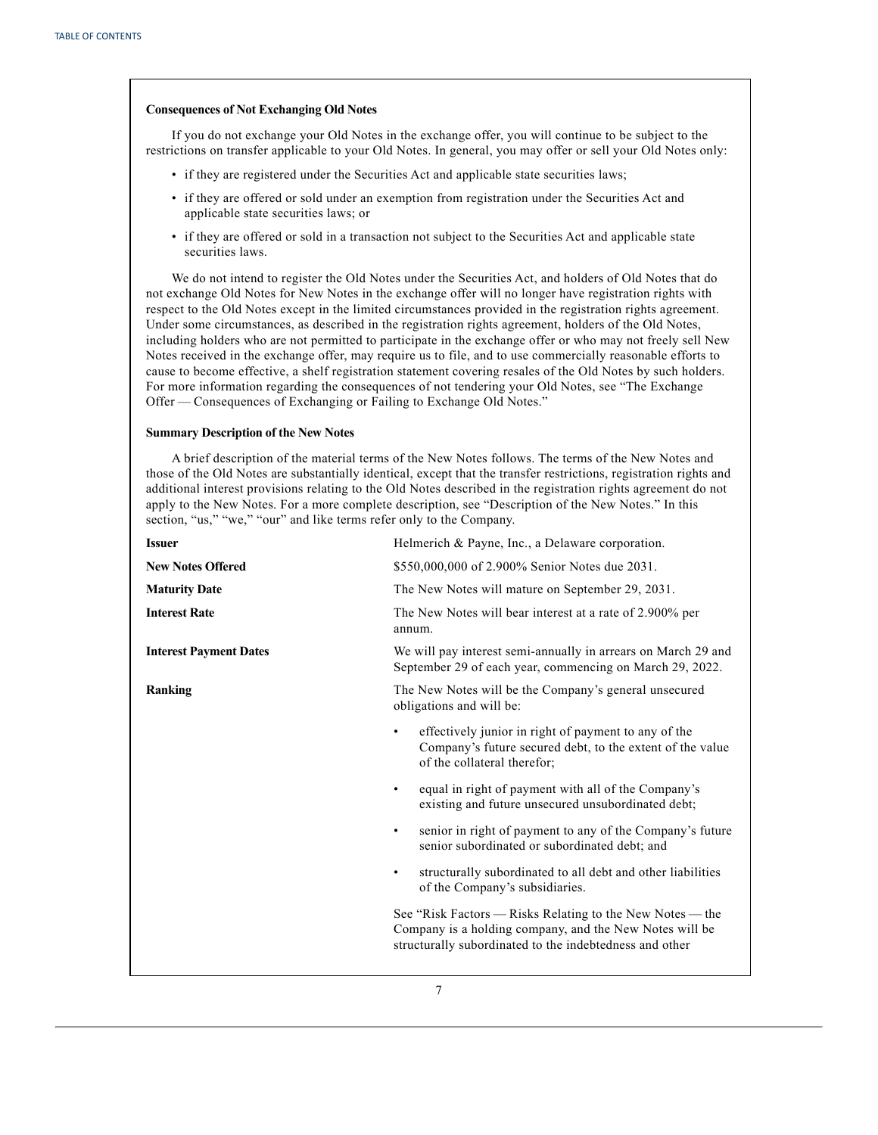## **Consequences of Not Exchanging Old Notes**

If you do not exchange your Old Notes in the exchange offer, you will continue to be subject to the restrictions on transfer applicable to your Old Notes. In general, you may offer or sell your Old Notes only:

- if they are registered under the Securities Act and applicable state securities laws;
- if they are offered or sold under an exemption from registration under the Securities Act and applicable state securities laws; or
- if they are offered or sold in a transaction not subject to the Securities Act and applicable state securities laws.

We do not intend to register the Old Notes under the Securities Act, and holders of Old Notes that do not exchange Old Notes for New Notes in the exchange offer will no longer have registration rights with respect to the Old Notes except in the limited circumstances provided in the registration rights agreement. Under some circumstances, as described in the registration rights agreement, holders of the Old Notes, including holders who are not permitted to participate in the exchange offer or who may not freely sell New Notes received in the exchange offer, may require us to file, and to use commercially reasonable efforts to cause to become effective, a shelf registration statement covering resales of the Old Notes by such holders. For more information regarding the consequences of not tendering your Old Notes, see "The Exchange Offer — Consequences of Exchanging or Failing to Exchange Old Notes."

## **Summary Description of the New Notes**

A brief description of the material terms of the New Notes follows. The terms of the New Notes and those of the Old Notes are substantially identical, except that the transfer restrictions, registration rights and additional interest provisions relating to the Old Notes described in the registration rights agreement do not apply to the New Notes. For a more complete description, see "Description of the New Notes." In this section, "us," "we," "our" and like terms refer only to the Company.

| <b>Issuer</b>                 | Helmerich & Payne, Inc., a Delaware corporation.                                                                                                                                |  |
|-------------------------------|---------------------------------------------------------------------------------------------------------------------------------------------------------------------------------|--|
| <b>New Notes Offered</b>      | \$550,000,000 of 2.900% Senior Notes due 2031.                                                                                                                                  |  |
| <b>Maturity Date</b>          | The New Notes will mature on September 29, 2031.                                                                                                                                |  |
| <b>Interest Rate</b>          | The New Notes will bear interest at a rate of 2.900% per<br>annum.                                                                                                              |  |
| <b>Interest Payment Dates</b> | We will pay interest semi-annually in arrears on March 29 and<br>September 29 of each year, commencing on March 29, 2022.                                                       |  |
| Ranking                       | The New Notes will be the Company's general unsecured<br>obligations and will be:                                                                                               |  |
|                               | effectively junior in right of payment to any of the<br>$\bullet$<br>Company's future secured debt, to the extent of the value<br>of the collateral therefor;                   |  |
|                               | equal in right of payment with all of the Company's<br>٠<br>existing and future unsecured unsubordinated debt;                                                                  |  |
|                               | senior in right of payment to any of the Company's future<br>$\bullet$<br>senior subordinated or subordinated debt; and                                                         |  |
|                               | structurally subordinated to all debt and other liabilities<br>$\bullet$<br>of the Company's subsidiaries.                                                                      |  |
|                               | See "Risk Factors — Risks Relating to the New Notes — the<br>Company is a holding company, and the New Notes will be<br>structurally subordinated to the indebtedness and other |  |
|                               |                                                                                                                                                                                 |  |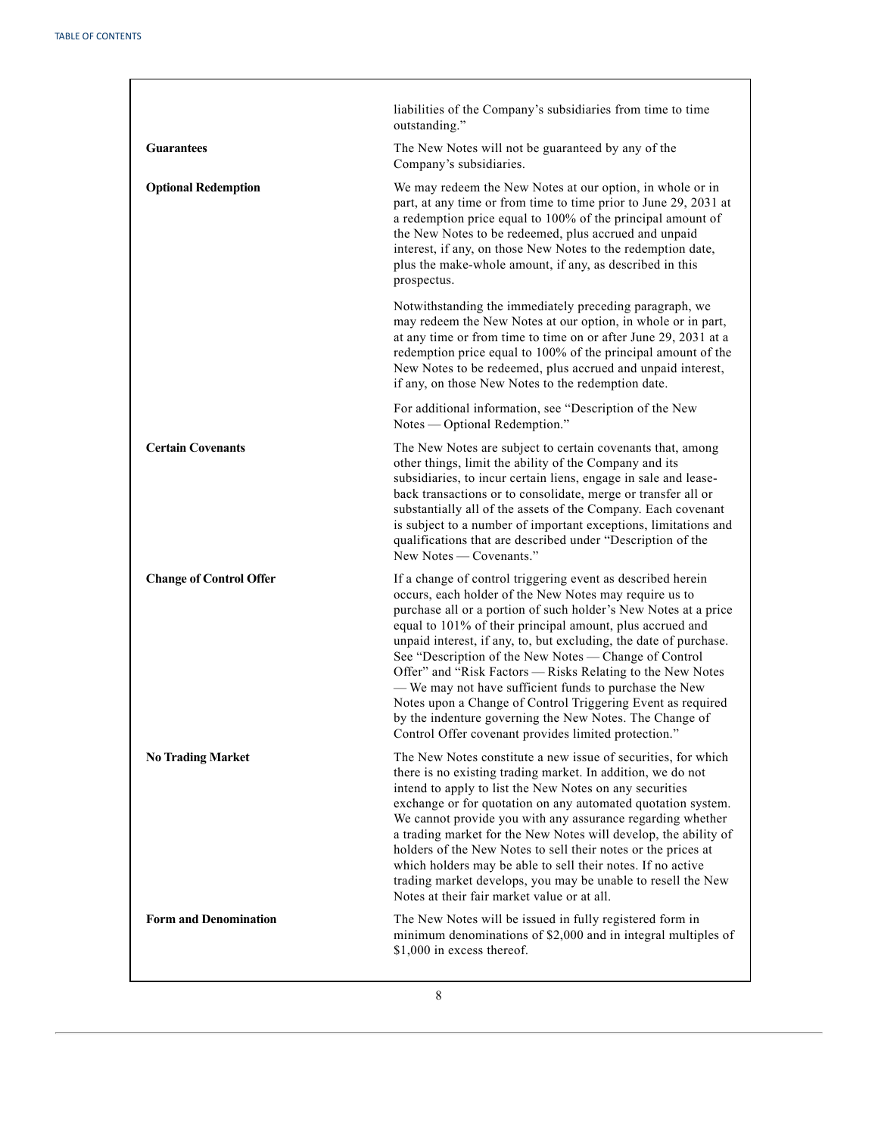|                                | liabilities of the Company's subsidiaries from time to time<br>outstanding."                                                                                                                                                                                                                                                                                                                                                                                                                                                                                                                                                                                                                 |
|--------------------------------|----------------------------------------------------------------------------------------------------------------------------------------------------------------------------------------------------------------------------------------------------------------------------------------------------------------------------------------------------------------------------------------------------------------------------------------------------------------------------------------------------------------------------------------------------------------------------------------------------------------------------------------------------------------------------------------------|
| <b>Guarantees</b>              | The New Notes will not be guaranteed by any of the<br>Company's subsidiaries.                                                                                                                                                                                                                                                                                                                                                                                                                                                                                                                                                                                                                |
| <b>Optional Redemption</b>     | We may redeem the New Notes at our option, in whole or in<br>part, at any time or from time to time prior to June 29, 2031 at<br>a redemption price equal to 100% of the principal amount of<br>the New Notes to be redeemed, plus accrued and unpaid<br>interest, if any, on those New Notes to the redemption date,<br>plus the make-whole amount, if any, as described in this<br>prospectus.                                                                                                                                                                                                                                                                                             |
|                                | Notwithstanding the immediately preceding paragraph, we<br>may redeem the New Notes at our option, in whole or in part,<br>at any time or from time to time on or after June 29, 2031 at a<br>redemption price equal to 100% of the principal amount of the<br>New Notes to be redeemed, plus accrued and unpaid interest,<br>if any, on those New Notes to the redemption date.                                                                                                                                                                                                                                                                                                             |
|                                | For additional information, see "Description of the New<br>Notes — Optional Redemption."                                                                                                                                                                                                                                                                                                                                                                                                                                                                                                                                                                                                     |
| <b>Certain Covenants</b>       | The New Notes are subject to certain covenants that, among<br>other things, limit the ability of the Company and its<br>subsidiaries, to incur certain liens, engage in sale and lease-<br>back transactions or to consolidate, merge or transfer all or<br>substantially all of the assets of the Company. Each covenant<br>is subject to a number of important exceptions, limitations and<br>qualifications that are described under "Description of the<br>New Notes — Covenants."                                                                                                                                                                                                       |
| <b>Change of Control Offer</b> | If a change of control triggering event as described herein<br>occurs, each holder of the New Notes may require us to<br>purchase all or a portion of such holder's New Notes at a price<br>equal to 101% of their principal amount, plus accrued and<br>unpaid interest, if any, to, but excluding, the date of purchase.<br>See "Description of the New Notes - Change of Control<br>Offer" and "Risk Factors - Risks Relating to the New Notes<br>- We may not have sufficient funds to purchase the New<br>Notes upon a Change of Control Triggering Event as required<br>by the indenture governing the New Notes. The Change of<br>Control Offer covenant provides limited protection. |
| <b>No Trading Market</b>       | The New Notes constitute a new issue of securities, for which<br>there is no existing trading market. In addition, we do not<br>intend to apply to list the New Notes on any securities<br>exchange or for quotation on any automated quotation system.<br>We cannot provide you with any assurance regarding whether<br>a trading market for the New Notes will develop, the ability of<br>holders of the New Notes to sell their notes or the prices at<br>which holders may be able to sell their notes. If no active<br>trading market develops, you may be unable to resell the New<br>Notes at their fair market value or at all.                                                      |
| <b>Form and Denomination</b>   | The New Notes will be issued in fully registered form in<br>minimum denominations of \$2,000 and in integral multiples of<br>\$1,000 in excess thereof.                                                                                                                                                                                                                                                                                                                                                                                                                                                                                                                                      |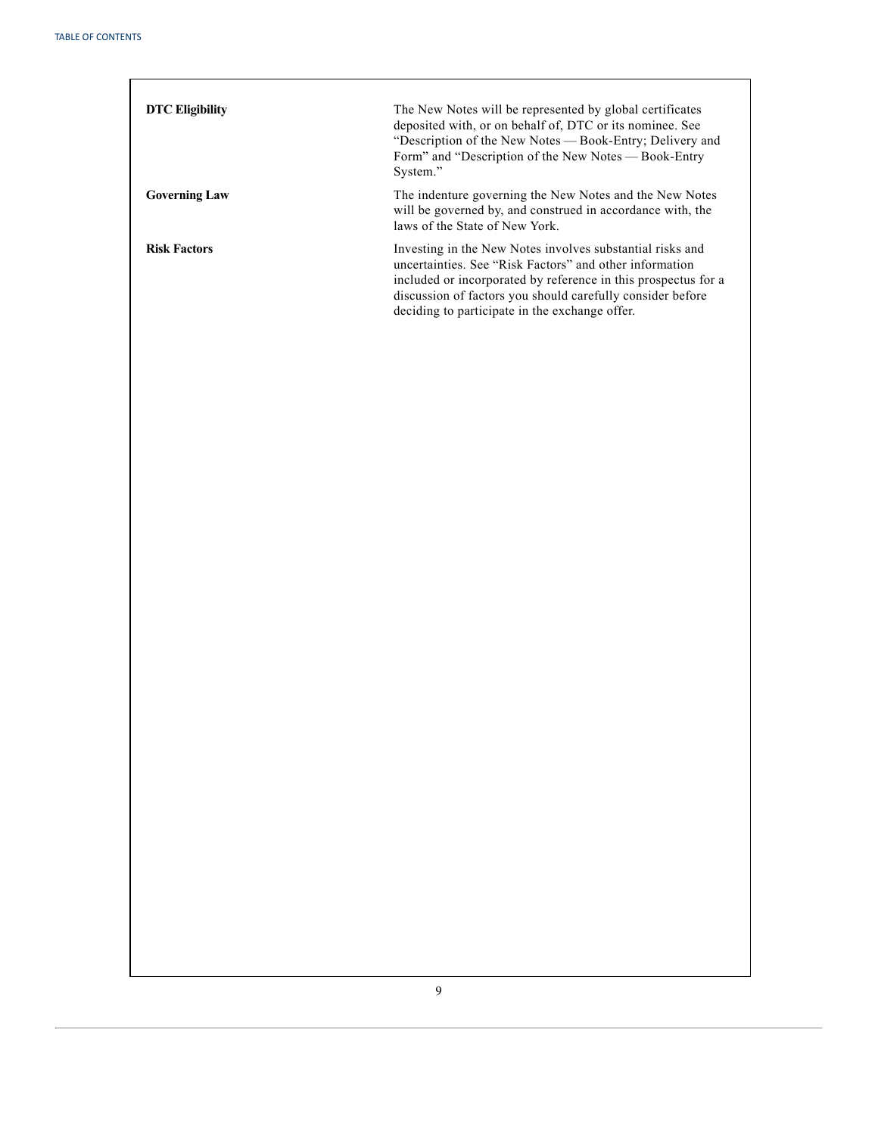| <b>DTC Eligibility</b> | The New Notes will be represented by global certificates<br>deposited with, or on behalf of, DTC or its nominee. See<br>"Description of the New Notes — Book-Entry; Delivery and<br>Form" and "Description of the New Notes — Book-Entry<br>System."                                                   |
|------------------------|--------------------------------------------------------------------------------------------------------------------------------------------------------------------------------------------------------------------------------------------------------------------------------------------------------|
| <b>Governing Law</b>   | The indenture governing the New Notes and the New Notes<br>will be governed by, and construed in accordance with, the<br>laws of the State of New York.                                                                                                                                                |
| <b>Risk Factors</b>    | Investing in the New Notes involves substantial risks and<br>uncertainties. See "Risk Factors" and other information<br>included or incorporated by reference in this prospectus for a<br>discussion of factors you should carefully consider before<br>deciding to participate in the exchange offer. |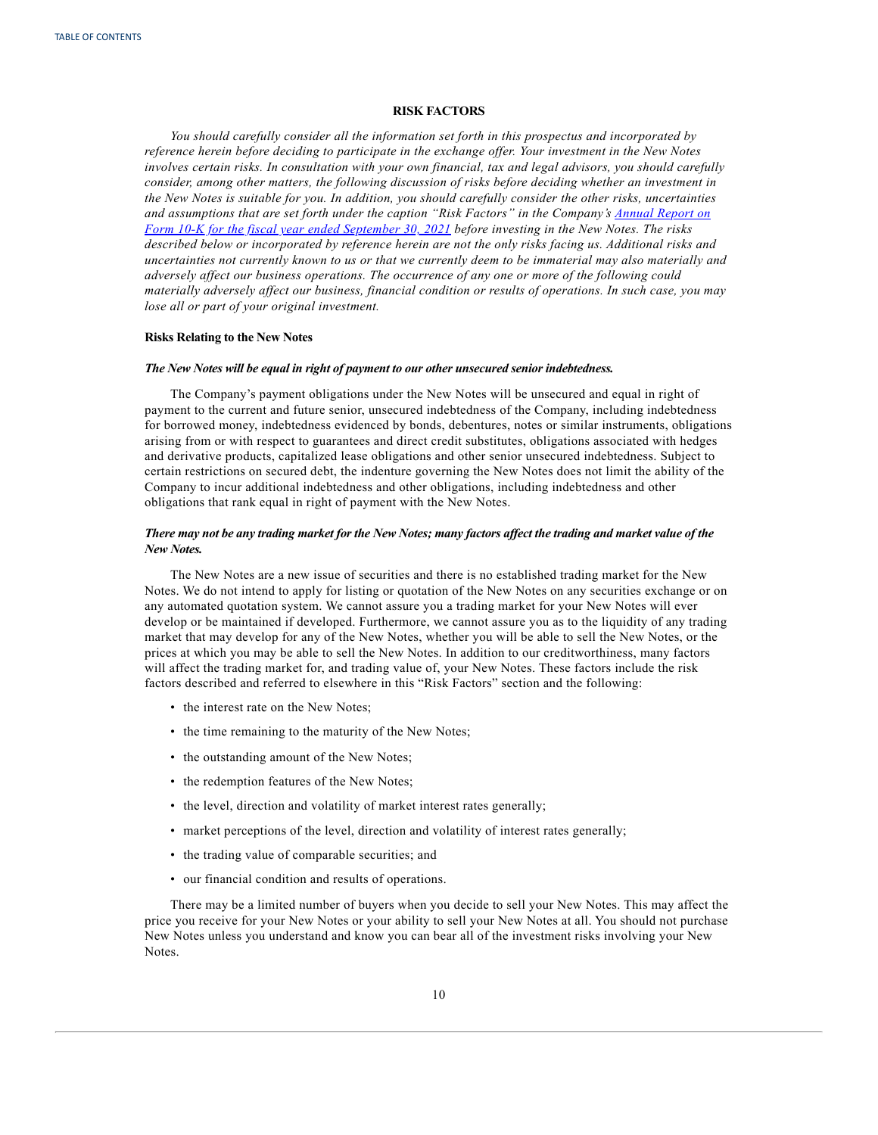## **RISK FACTORS**

<span id="page-14-0"></span>*You should carefully consider all the information set forth in this prospectus and incorporated by reference herein before deciding to participate in the exchange of er. Your investment in the New Notes involves certain risks. In consultation with your own financial, tax and legal advisors, you should carefully consider, among other matters, the following discussion of risks before deciding whether an investment in* the New Notes is suitable for you. In addition, you should carefully consider the other risks, uncertainties *and assumptions that are set forth under the caption "Risk Factors" in the Company's [Annual](https://content.edgar-online.com/ExternalLink/EDGAR/0000046765-21-000044.html?hash=6f6dd1049dbfdfa0db7a13c675510fa13182ffa76f794da0faf515514c024bdb&dest=hp-20210930_htm) Report on* Form 10-K for the fiscal year ended [September](https://content.edgar-online.com/ExternalLink/EDGAR/0000046765-21-000044.html?hash=6f6dd1049dbfdfa0db7a13c675510fa13182ffa76f794da0faf515514c024bdb&dest=hp-20210930_htm) 30, 2021 before investing in the New Notes. The risks described below or incorporated by reference herein are not the only risks facing us. Additional risks and uncertainties not currently known to us or that we currently deem to be immaterial may also materially and *adversely af ect our business operations. The occurrence of any one or more of the following could* materially adversely affect our business, financial condition or results of operations. In such case, you may *lose all or part of your original investment.*

## **Risks Relating to the New Notes**

#### *The New Notes will be equal in right of payment to our other unsecured senior indebtedness.*

The Company's payment obligations under the New Notes will be unsecured and equal in right of payment to the current and future senior, unsecured indebtedness of the Company, including indebtedness for borrowed money, indebtedness evidenced by bonds, debentures, notes or similar instruments, obligations arising from or with respect to guarantees and direct credit substitutes, obligations associated with hedges and derivative products, capitalized lease obligations and other senior unsecured indebtedness. Subject to certain restrictions on secured debt, the indenture governing the New Notes does not limit the ability of the Company to incur additional indebtedness and other obligations, including indebtedness and other obligations that rank equal in right of payment with the New Notes.

## There may not be any trading market for the New Notes; many factors affect the trading and market value of the *New Notes.*

The New Notes are a new issue of securities and there is no established trading market for the New Notes. We do not intend to apply for listing or quotation of the New Notes on any securities exchange or on any automated quotation system. We cannot assure you a trading market for your New Notes will ever develop or be maintained if developed. Furthermore, we cannot assure you as to the liquidity of any trading market that may develop for any of the New Notes, whether you will be able to sell the New Notes, or the prices at which you may be able to sell the New Notes. In addition to our creditworthiness, many factors will affect the trading market for, and trading value of, your New Notes. These factors include the risk factors described and referred to elsewhere in this "Risk Factors" section and the following:

- the interest rate on the New Notes;
- the time remaining to the maturity of the New Notes;
- the outstanding amount of the New Notes;
- the redemption features of the New Notes;
- the level, direction and volatility of market interest rates generally;
- market perceptions of the level, direction and volatility of interest rates generally;
- the trading value of comparable securities; and
- our financial condition and results of operations.

There may be a limited number of buyers when you decide to sell your New Notes. This may affect the price you receive for your New Notes or your ability to sell your New Notes at all. You should not purchase New Notes unless you understand and know you can bear all of the investment risks involving your New Notes.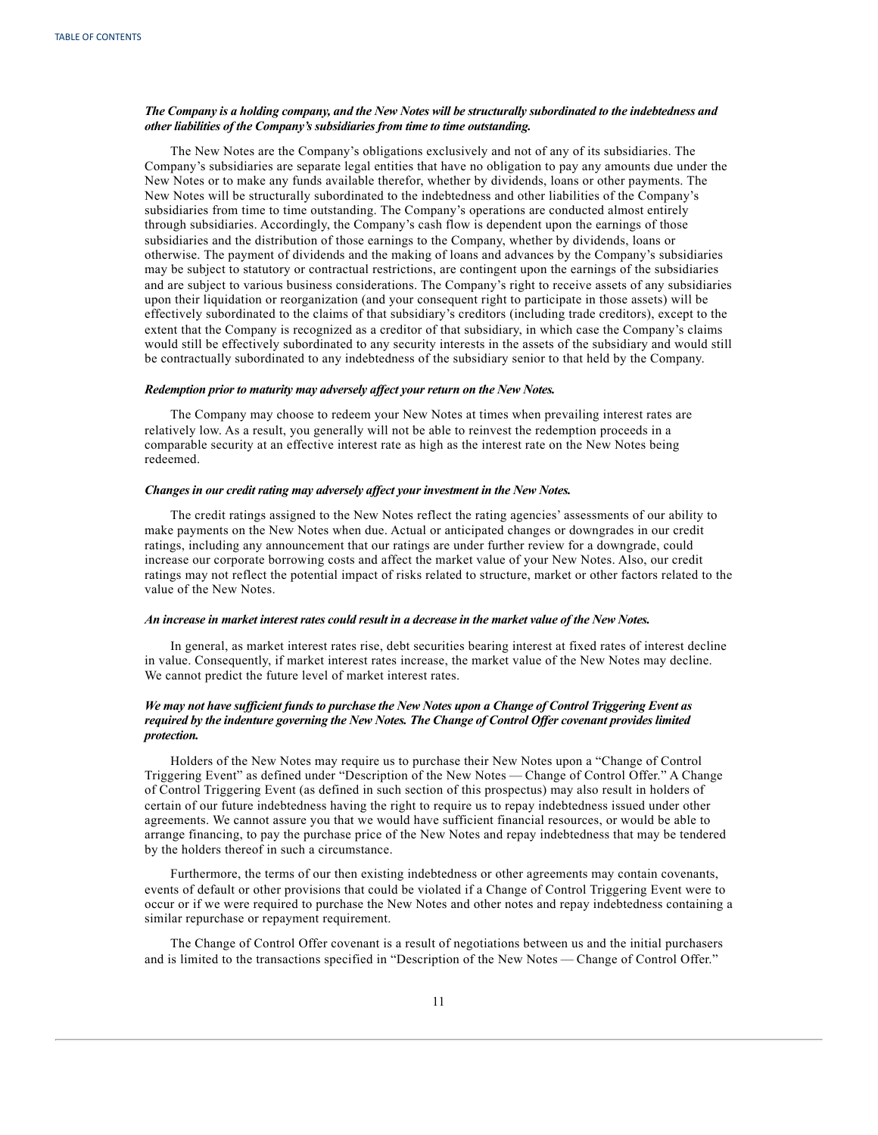## The Company is a holding company, and the New Notes will be structurally subordinated to the indebtedness and *other liabilities of the Company's subsidiaries from time to time outstanding.*

The New Notes are the Company's obligations exclusively and not of any of its subsidiaries. The Company's subsidiaries are separate legal entities that have no obligation to pay any amounts due under the New Notes or to make any funds available therefor, whether by dividends, loans or other payments. The New Notes will be structurally subordinated to the indebtedness and other liabilities of the Company's subsidiaries from time to time outstanding. The Company's operations are conducted almost entirely through subsidiaries. Accordingly, the Company's cash flow is dependent upon the earnings of those subsidiaries and the distribution of those earnings to the Company, whether by dividends, loans or otherwise. The payment of dividends and the making of loans and advances by the Company's subsidiaries may be subject to statutory or contractual restrictions, are contingent upon the earnings of the subsidiaries and are subject to various business considerations. The Company's right to receive assets of any subsidiaries upon their liquidation or reorganization (and your consequent right to participate in those assets) will be effectively subordinated to the claims of that subsidiary's creditors (including trade creditors), except to the extent that the Company is recognized as a creditor of that subsidiary, in which case the Company's claims would still be effectively subordinated to any security interests in the assets of the subsidiary and would still be contractually subordinated to any indebtedness of the subsidiary senior to that held by the Company.

#### *Redemption prior to maturity may adversely af ect your return on the New Notes.*

The Company may choose to redeem your New Notes at times when prevailing interest rates are relatively low. As a result, you generally will not be able to reinvest the redemption proceeds in a comparable security at an effective interest rate as high as the interest rate on the New Notes being redeemed.

#### *Changes in our credit rating may adversely af ect your investment in the New Notes.*

The credit ratings assigned to the New Notes reflect the rating agencies' assessments of our ability to make payments on the New Notes when due. Actual or anticipated changes or downgrades in our credit ratings, including any announcement that our ratings are under further review for a downgrade, could increase our corporate borrowing costs and affect the market value of your New Notes. Also, our credit ratings may not reflect the potential impact of risks related to structure, market or other factors related to the value of the New Notes.

#### An increase in market interest rates could result in a decrease in the market value of the New Notes.

In general, as market interest rates rise, debt securities bearing interest at fixed rates of interest decline in value. Consequently, if market interest rates increase, the market value of the New Notes may decline. We cannot predict the future level of market interest rates.

## We may not have sufficient funds to purchase the New Notes upon a Change of Control Triggering Event as *required by the indenture governing the New Notes. The Change of Control Of er covenant provides limited protection.*

Holders of the New Notes may require us to purchase their New Notes upon a "Change of Control Triggering Event" as defined under "Description of the New Notes — Change of Control Offer." A Change of Control Triggering Event (as defined in such section of this prospectus) may also result in holders of certain of our future indebtedness having the right to require us to repay indebtedness issued under other agreements. We cannot assure you that we would have sufficient financial resources, or would be able to arrange financing, to pay the purchase price of the New Notes and repay indebtedness that may be tendered by the holders thereof in such a circumstance.

Furthermore, the terms of our then existing indebtedness or other agreements may contain covenants, events of default or other provisions that could be violated if a Change of Control Triggering Event were to occur or if we were required to purchase the New Notes and other notes and repay indebtedness containing a similar repurchase or repayment requirement.

The Change of Control Offer covenant is a result of negotiations between us and the initial purchasers and is limited to the transactions specified in "Description of the New Notes — Change of Control Offer."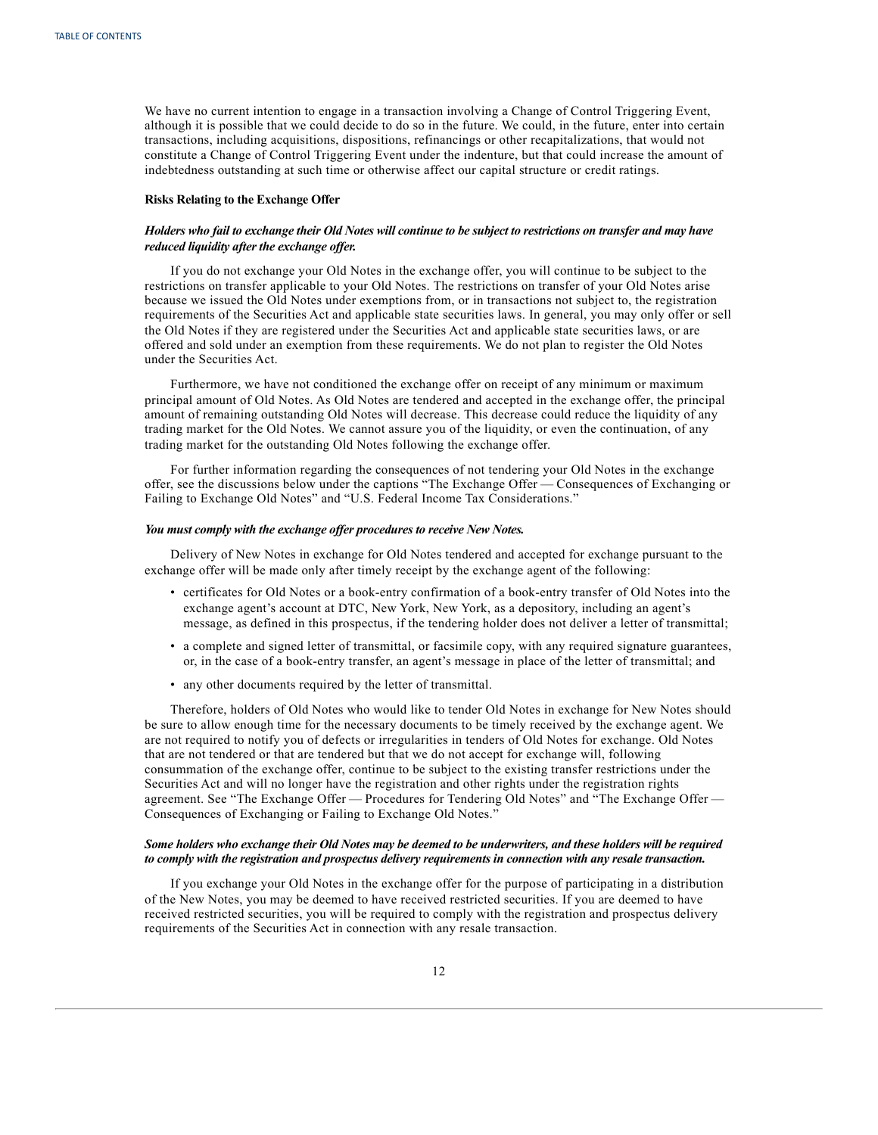We have no current intention to engage in a transaction involving a Change of Control Triggering Event, although it is possible that we could decide to do so in the future. We could, in the future, enter into certain transactions, including acquisitions, dispositions, refinancings or other recapitalizations, that would not constitute a Change of Control Triggering Event under the indenture, but that could increase the amount of indebtedness outstanding at such time or otherwise affect our capital structure or credit ratings.

#### **Risks Relating to the Exchange Offer**

## Holders who fail to exchange their Old Notes will continue to be subject to restrictions on transfer and may have *reduced liquidity after the exchange of er.*

If you do not exchange your Old Notes in the exchange offer, you will continue to be subject to the restrictions on transfer applicable to your Old Notes. The restrictions on transfer of your Old Notes arise because we issued the Old Notes under exemptions from, or in transactions not subject to, the registration requirements of the Securities Act and applicable state securities laws. In general, you may only offer or sell the Old Notes if they are registered under the Securities Act and applicable state securities laws, or are offered and sold under an exemption from these requirements. We do not plan to register the Old Notes under the Securities Act.

Furthermore, we have not conditioned the exchange offer on receipt of any minimum or maximum principal amount of Old Notes. As Old Notes are tendered and accepted in the exchange offer, the principal amount of remaining outstanding Old Notes will decrease. This decrease could reduce the liquidity of any trading market for the Old Notes. We cannot assure you of the liquidity, or even the continuation, of any trading market for the outstanding Old Notes following the exchange offer.

For further information regarding the consequences of not tendering your Old Notes in the exchange offer, see the discussions below under the captions "The Exchange Offer — Consequences of Exchanging or Failing to Exchange Old Notes" and "U.S. Federal Income Tax Considerations."

#### *You must comply with the exchange of er procedures to receive New Notes.*

Delivery of New Notes in exchange for Old Notes tendered and accepted for exchange pursuant to the exchange offer will be made only after timely receipt by the exchange agent of the following:

- certificates for Old Notes or a book-entry confirmation of a book-entry transfer of Old Notes into the exchange agent's account at DTC, New York, New York, as a depository, including an agent's message, as defined in this prospectus, if the tendering holder does not deliver a letter of transmittal;
- a complete and signed letter of transmittal, or facsimile copy, with any required signature guarantees, or, in the case of a book-entry transfer, an agent's message in place of the letter of transmittal; and
- any other documents required by the letter of transmittal.

Therefore, holders of Old Notes who would like to tender Old Notes in exchange for New Notes should be sure to allow enough time for the necessary documents to be timely received by the exchange agent. We are not required to notify you of defects or irregularities in tenders of Old Notes for exchange. Old Notes that are not tendered or that are tendered but that we do not accept for exchange will, following consummation of the exchange offer, continue to be subject to the existing transfer restrictions under the Securities Act and will no longer have the registration and other rights under the registration rights agreement. See "The Exchange Offer — Procedures for Tendering Old Notes" and "The Exchange Offer — Consequences of Exchanging or Failing to Exchange Old Notes."

## Some holders who exchange their Old Notes may be deemed to be underwriters, and these holders will be required *to comply with the registration and prospectus delivery requirements in connection with any resale transaction.*

If you exchange your Old Notes in the exchange offer for the purpose of participating in a distribution of the New Notes, you may be deemed to have received restricted securities. If you are deemed to have received restricted securities, you will be required to comply with the registration and prospectus delivery requirements of the Securities Act in connection with any resale transaction.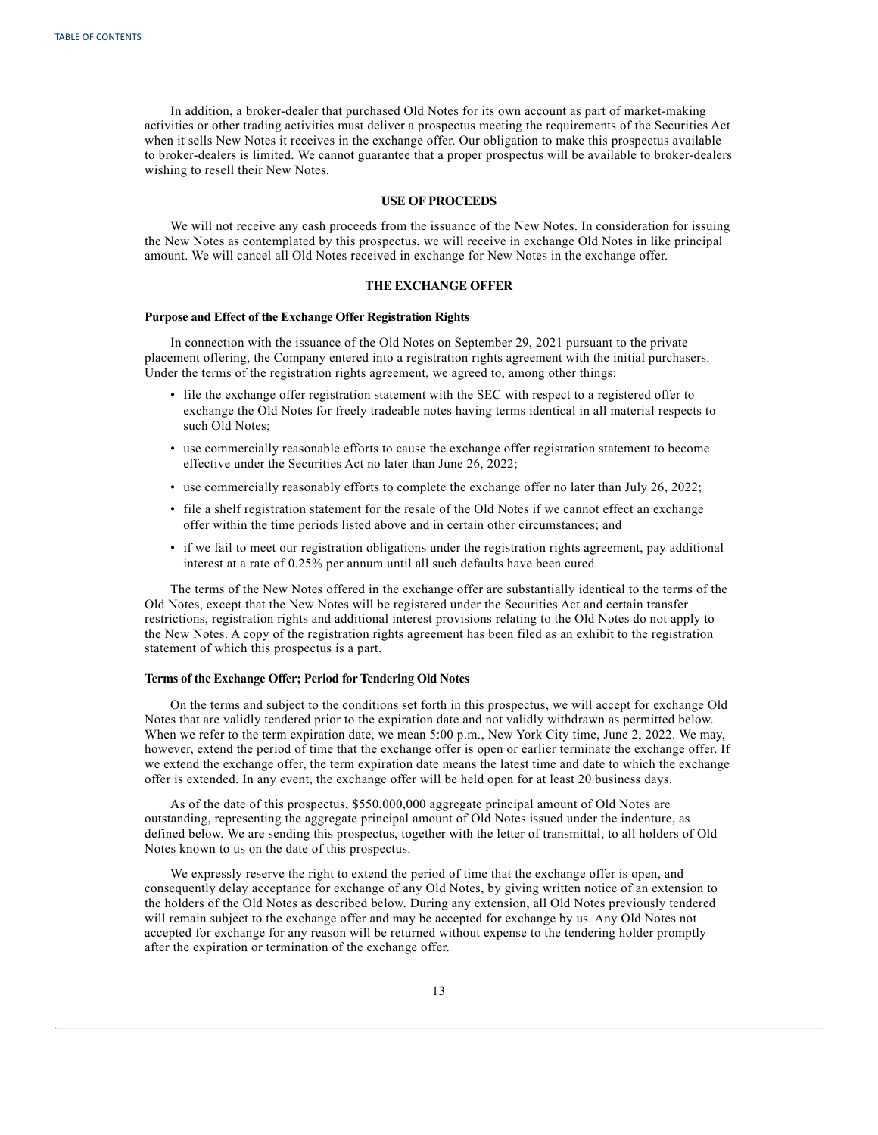<span id="page-17-0"></span>In addition, a broker-dealer that purchased Old Notes for its own account as part of market-making activities or other trading activities must deliver a prospectus meeting the requirements of the Securities Act when it sells New Notes it receives in the exchange offer. Our obligation to make this prospectus available to broker-dealers is limited. We cannot guarantee that a proper prospectus will be available to broker-dealers wishing to resell their New Notes.

### **USE OF PROCEEDS**

We will not receive any cash proceeds from the issuance of the New Notes. In consideration for issuing the New Notes as contemplated by this prospectus, we will receive in exchange Old Notes in like principal amount. We will cancel all Old Notes received in exchange for New Notes in the exchange offer.

## **THE EXCHANGE OFFER**

#### **Purpose and Effect of the Exchange Offer Registration Rights**

In connection with the issuance of the Old Notes on September 29, 2021 pursuant to the private placement offering, the Company entered into a registration rights agreement with the initial purchasers. Under the terms of the registration rights agreement, we agreed to, among other things:

- file the exchange offer registration statement with the SEC with respect to a registered offer to exchange the Old Notes for freely tradeable notes having terms identical in all material respects to such Old Notes;
- use commercially reasonable efforts to cause the exchange offer registration statement to become effective under the Securities Act no later than June 26, 2022;
- use commercially reasonably efforts to complete the exchange offer no later than July 26, 2022;
- file a shelf registration statement for the resale of the Old Notes if we cannot effect an exchange offer within the time periods listed above and in certain other circumstances; and
- if we fail to meet our registration obligations under the registration rights agreement, pay additional interest at a rate of 0.25% per annum until all such defaults have been cured.

The terms of the New Notes offered in the exchange offer are substantially identical to the terms of the Old Notes, except that the New Notes will be registered under the Securities Act and certain transfer restrictions, registration rights and additional interest provisions relating to the Old Notes do not apply to the New Notes. A copy of the registration rights agreement has been filed as an exhibit to the registration statement of which this prospectus is a part.

## **Terms of the Exchange Offer; Period for Tendering Old Notes**

On the terms and subject to the conditions set forth in this prospectus, we will accept for exchange Old Notes that are validly tendered prior to the expiration date and not validly withdrawn as permitted below. When we refer to the term expiration date, we mean 5:00 p.m., New York City time, June 2, 2022. We may, however, extend the period of time that the exchange offer is open or earlier terminate the exchange offer. If we extend the exchange offer, the term expiration date means the latest time and date to which the exchange offer is extended. In any event, the exchange offer will be held open for at least 20 business days.

As of the date of this prospectus, \$550,000,000 aggregate principal amount of Old Notes are outstanding, representing the aggregate principal amount of Old Notes issued under the indenture, as defined below. We are sending this prospectus, together with the letter of transmittal, to all holders of Old Notes known to us on the date of this prospectus.

We expressly reserve the right to extend the period of time that the exchange offer is open, and consequently delay acceptance for exchange of any Old Notes, by giving written notice of an extension to the holders of the Old Notes as described below. During any extension, all Old Notes previously tendered will remain subject to the exchange offer and may be accepted for exchange by us. Any Old Notes not accepted for exchange for any reason will be returned without expense to the tendering holder promptly after the expiration or termination of the exchange offer.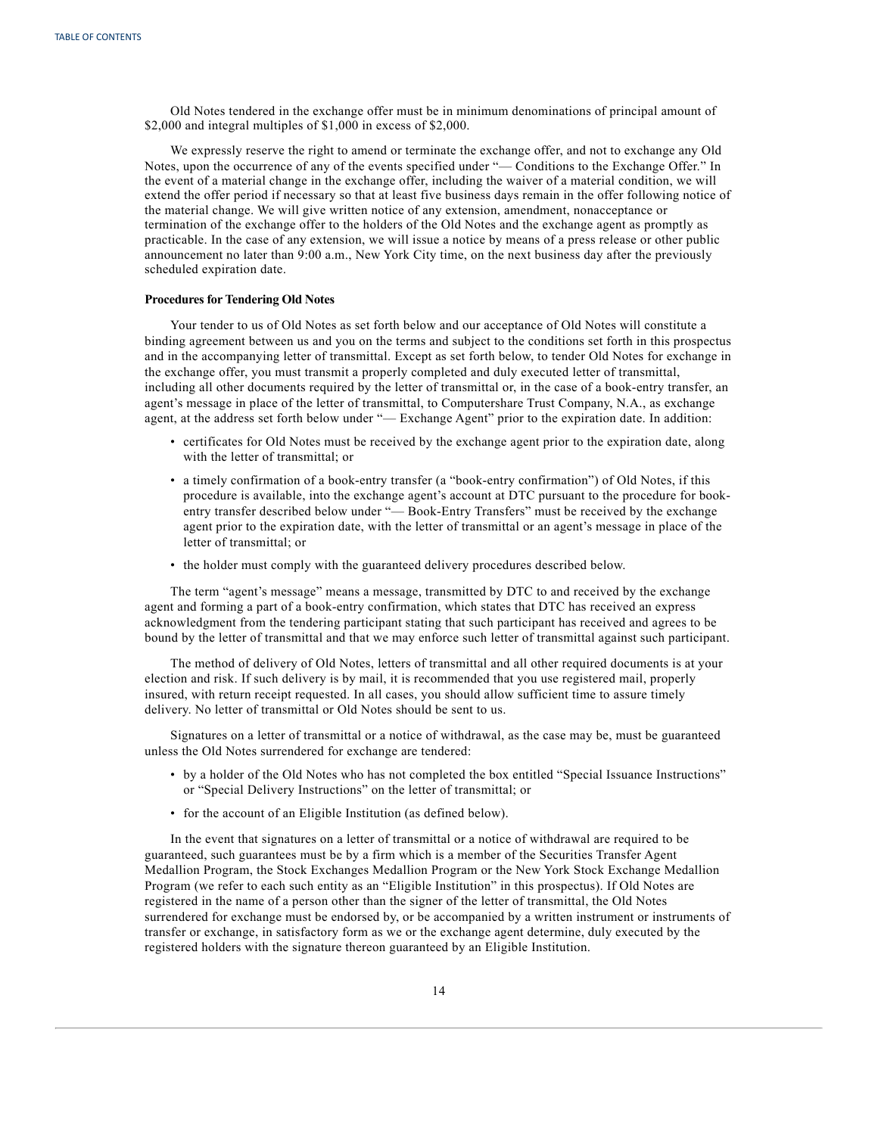Old Notes tendered in the exchange offer must be in minimum denominations of principal amount of \$2,000 and integral multiples of \$1,000 in excess of \$2,000.

We expressly reserve the right to amend or terminate the exchange offer, and not to exchange any Old Notes, upon the occurrence of any of the events specified under "— Conditions to the Exchange Offer." In the event of a material change in the exchange offer, including the waiver of a material condition, we will extend the offer period if necessary so that at least five business days remain in the offer following notice of the material change. We will give written notice of any extension, amendment, nonacceptance or termination of the exchange offer to the holders of the Old Notes and the exchange agent as promptly as practicable. In the case of any extension, we will issue a notice by means of a press release or other public announcement no later than 9:00 a.m., New York City time, on the next business day after the previously scheduled expiration date.

## **Procedures for Tendering Old Notes**

Your tender to us of Old Notes as set forth below and our acceptance of Old Notes will constitute a binding agreement between us and you on the terms and subject to the conditions set forth in this prospectus and in the accompanying letter of transmittal. Except as set forth below, to tender Old Notes for exchange in the exchange offer, you must transmit a properly completed and duly executed letter of transmittal, including all other documents required by the letter of transmittal or, in the case of a book-entry transfer, an agent's message in place of the letter of transmittal, to Computershare Trust Company, N.A., as exchange agent, at the address set forth below under "— Exchange Agent" prior to the expiration date. In addition:

- certificates for Old Notes must be received by the exchange agent prior to the expiration date, along with the letter of transmittal; or
- a timely confirmation of a book-entry transfer (a "book-entry confirmation") of Old Notes, if this procedure is available, into the exchange agent's account at DTC pursuant to the procedure for bookentry transfer described below under "— Book-Entry Transfers" must be received by the exchange agent prior to the expiration date, with the letter of transmittal or an agent's message in place of the letter of transmittal; or
- the holder must comply with the guaranteed delivery procedures described below.

The term "agent's message" means a message, transmitted by DTC to and received by the exchange agent and forming a part of a book-entry confirmation, which states that DTC has received an express acknowledgment from the tendering participant stating that such participant has received and agrees to be bound by the letter of transmittal and that we may enforce such letter of transmittal against such participant.

The method of delivery of Old Notes, letters of transmittal and all other required documents is at your election and risk. If such delivery is by mail, it is recommended that you use registered mail, properly insured, with return receipt requested. In all cases, you should allow sufficient time to assure timely delivery. No letter of transmittal or Old Notes should be sent to us.

Signatures on a letter of transmittal or a notice of withdrawal, as the case may be, must be guaranteed unless the Old Notes surrendered for exchange are tendered:

- by a holder of the Old Notes who has not completed the box entitled "Special Issuance Instructions" or "Special Delivery Instructions" on the letter of transmittal; or
- for the account of an Eligible Institution (as defined below).

In the event that signatures on a letter of transmittal or a notice of withdrawal are required to be guaranteed, such guarantees must be by a firm which is a member of the Securities Transfer Agent Medallion Program, the Stock Exchanges Medallion Program or the New York Stock Exchange Medallion Program (we refer to each such entity as an "Eligible Institution" in this prospectus). If Old Notes are registered in the name of a person other than the signer of the letter of transmittal, the Old Notes surrendered for exchange must be endorsed by, or be accompanied by a written instrument or instruments of transfer or exchange, in satisfactory form as we or the exchange agent determine, duly executed by the registered holders with the signature thereon guaranteed by an Eligible Institution.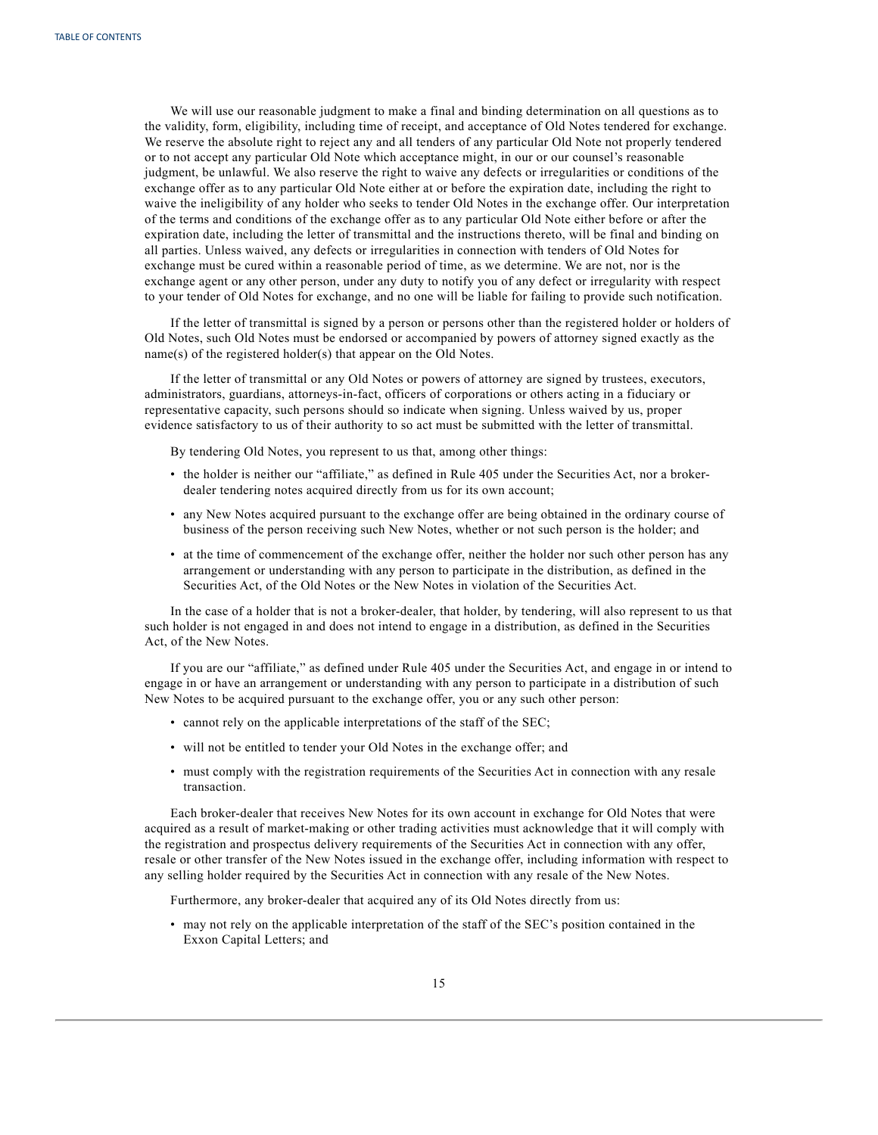We will use our reasonable judgment to make a final and binding determination on all questions as to the validity, form, eligibility, including time of receipt, and acceptance of Old Notes tendered for exchange. We reserve the absolute right to reject any and all tenders of any particular Old Note not properly tendered or to not accept any particular Old Note which acceptance might, in our or our counsel's reasonable judgment, be unlawful. We also reserve the right to waive any defects or irregularities or conditions of the exchange offer as to any particular Old Note either at or before the expiration date, including the right to waive the ineligibility of any holder who seeks to tender Old Notes in the exchange offer. Our interpretation of the terms and conditions of the exchange offer as to any particular Old Note either before or after the expiration date, including the letter of transmittal and the instructions thereto, will be final and binding on all parties. Unless waived, any defects or irregularities in connection with tenders of Old Notes for exchange must be cured within a reasonable period of time, as we determine. We are not, nor is the exchange agent or any other person, under any duty to notify you of any defect or irregularity with respect to your tender of Old Notes for exchange, and no one will be liable for failing to provide such notification.

If the letter of transmittal is signed by a person or persons other than the registered holder or holders of Old Notes, such Old Notes must be endorsed or accompanied by powers of attorney signed exactly as the name(s) of the registered holder(s) that appear on the Old Notes.

If the letter of transmittal or any Old Notes or powers of attorney are signed by trustees, executors, administrators, guardians, attorneys-in-fact, officers of corporations or others acting in a fiduciary or representative capacity, such persons should so indicate when signing. Unless waived by us, proper evidence satisfactory to us of their authority to so act must be submitted with the letter of transmittal.

By tendering Old Notes, you represent to us that, among other things:

- the holder is neither our "affiliate," as defined in Rule 405 under the Securities Act, nor a brokerdealer tendering notes acquired directly from us for its own account;
- any New Notes acquired pursuant to the exchange offer are being obtained in the ordinary course of business of the person receiving such New Notes, whether or not such person is the holder; and
- at the time of commencement of the exchange offer, neither the holder nor such other person has any arrangement or understanding with any person to participate in the distribution, as defined in the Securities Act, of the Old Notes or the New Notes in violation of the Securities Act.

In the case of a holder that is not a broker-dealer, that holder, by tendering, will also represent to us that such holder is not engaged in and does not intend to engage in a distribution, as defined in the Securities Act, of the New Notes.

If you are our "affiliate," as defined under Rule 405 under the Securities Act, and engage in or intend to engage in or have an arrangement or understanding with any person to participate in a distribution of such New Notes to be acquired pursuant to the exchange offer, you or any such other person:

- cannot rely on the applicable interpretations of the staff of the SEC;
- will not be entitled to tender your Old Notes in the exchange offer; and
- must comply with the registration requirements of the Securities Act in connection with any resale transaction.

Each broker-dealer that receives New Notes for its own account in exchange for Old Notes that were acquired as a result of market-making or other trading activities must acknowledge that it will comply with the registration and prospectus delivery requirements of the Securities Act in connection with any offer, resale or other transfer of the New Notes issued in the exchange offer, including information with respect to any selling holder required by the Securities Act in connection with any resale of the New Notes.

Furthermore, any broker-dealer that acquired any of its Old Notes directly from us:

• may not rely on the applicable interpretation of the staff of the SEC's position contained in the Exxon Capital Letters; and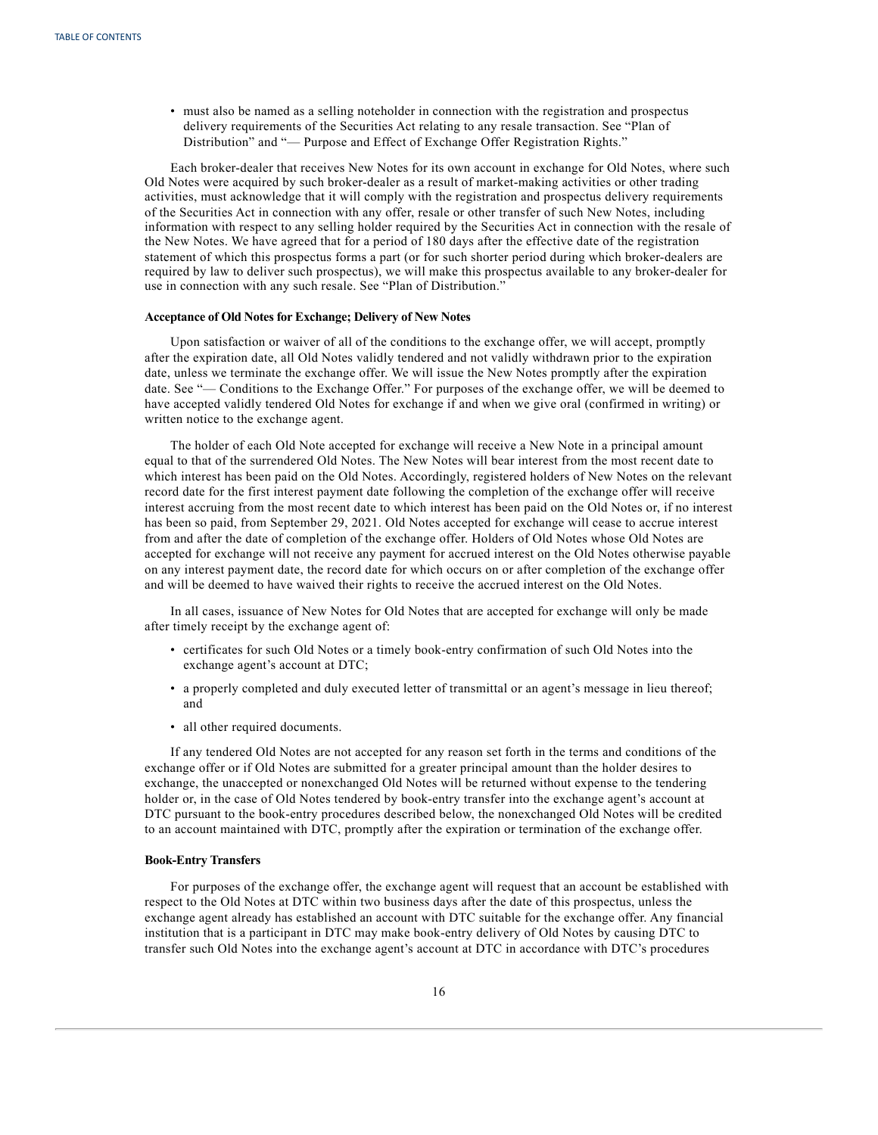• must also be named as a selling noteholder in connection with the registration and prospectus delivery requirements of the Securities Act relating to any resale transaction. See "Plan of Distribution" and "— Purpose and Effect of Exchange Offer Registration Rights."

Each broker-dealer that receives New Notes for its own account in exchange for Old Notes, where such Old Notes were acquired by such broker-dealer as a result of market-making activities or other trading activities, must acknowledge that it will comply with the registration and prospectus delivery requirements of the Securities Act in connection with any offer, resale or other transfer of such New Notes, including information with respect to any selling holder required by the Securities Act in connection with the resale of the New Notes. We have agreed that for a period of 180 days after the effective date of the registration statement of which this prospectus forms a part (or for such shorter period during which broker-dealers are required by law to deliver such prospectus), we will make this prospectus available to any broker-dealer for use in connection with any such resale. See "Plan of Distribution."

#### **Acceptance of Old Notes for Exchange; Delivery of New Notes**

Upon satisfaction or waiver of all of the conditions to the exchange offer, we will accept, promptly after the expiration date, all Old Notes validly tendered and not validly withdrawn prior to the expiration date, unless we terminate the exchange offer. We will issue the New Notes promptly after the expiration date. See "— Conditions to the Exchange Offer." For purposes of the exchange offer, we will be deemed to have accepted validly tendered Old Notes for exchange if and when we give oral (confirmed in writing) or written notice to the exchange agent.

The holder of each Old Note accepted for exchange will receive a New Note in a principal amount equal to that of the surrendered Old Notes. The New Notes will bear interest from the most recent date to which interest has been paid on the Old Notes. Accordingly, registered holders of New Notes on the relevant record date for the first interest payment date following the completion of the exchange offer will receive interest accruing from the most recent date to which interest has been paid on the Old Notes or, if no interest has been so paid, from September 29, 2021. Old Notes accepted for exchange will cease to accrue interest from and after the date of completion of the exchange offer. Holders of Old Notes whose Old Notes are accepted for exchange will not receive any payment for accrued interest on the Old Notes otherwise payable on any interest payment date, the record date for which occurs on or after completion of the exchange offer and will be deemed to have waived their rights to receive the accrued interest on the Old Notes.

In all cases, issuance of New Notes for Old Notes that are accepted for exchange will only be made after timely receipt by the exchange agent of:

- certificates for such Old Notes or a timely book-entry confirmation of such Old Notes into the exchange agent's account at DTC;
- a properly completed and duly executed letter of transmittal or an agent's message in lieu thereof; and
- all other required documents.

If any tendered Old Notes are not accepted for any reason set forth in the terms and conditions of the exchange offer or if Old Notes are submitted for a greater principal amount than the holder desires to exchange, the unaccepted or nonexchanged Old Notes will be returned without expense to the tendering holder or, in the case of Old Notes tendered by book-entry transfer into the exchange agent's account at DTC pursuant to the book-entry procedures described below, the nonexchanged Old Notes will be credited to an account maintained with DTC, promptly after the expiration or termination of the exchange offer.

#### **Book-Entry Transfers**

For purposes of the exchange offer, the exchange agent will request that an account be established with respect to the Old Notes at DTC within two business days after the date of this prospectus, unless the exchange agent already has established an account with DTC suitable for the exchange offer. Any financial institution that is a participant in DTC may make book-entry delivery of Old Notes by causing DTC to transfer such Old Notes into the exchange agent's account at DTC in accordance with DTC's procedures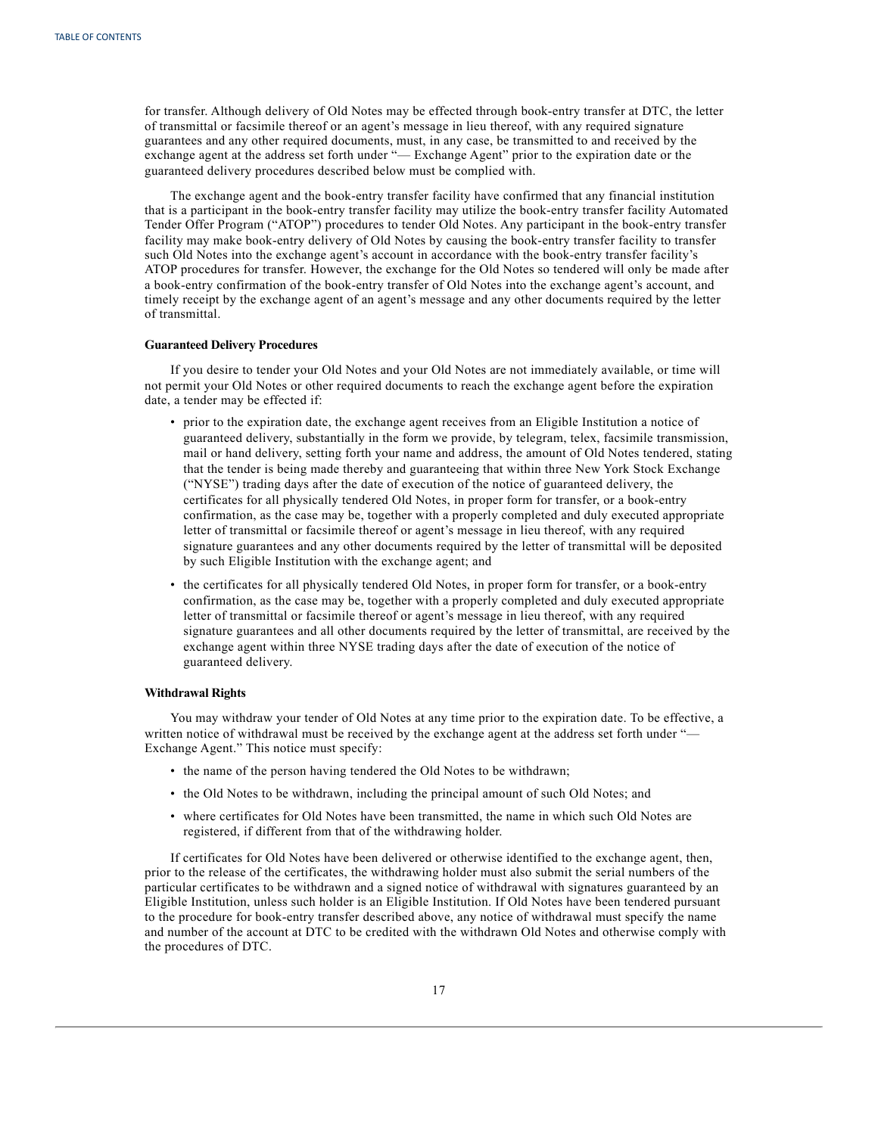for transfer. Although delivery of Old Notes may be effected through book-entry transfer at DTC, the letter of transmittal or facsimile thereof or an agent's message in lieu thereof, with any required signature guarantees and any other required documents, must, in any case, be transmitted to and received by the exchange agent at the address set forth under "— Exchange Agent" prior to the expiration date or the guaranteed delivery procedures described below must be complied with.

The exchange agent and the book-entry transfer facility have confirmed that any financial institution that is a participant in the book-entry transfer facility may utilize the book-entry transfer facility Automated Tender Offer Program ("ATOP") procedures to tender Old Notes. Any participant in the book-entry transfer facility may make book-entry delivery of Old Notes by causing the book-entry transfer facility to transfer such Old Notes into the exchange agent's account in accordance with the book-entry transfer facility's ATOP procedures for transfer. However, the exchange for the Old Notes so tendered will only be made after a book-entry confirmation of the book-entry transfer of Old Notes into the exchange agent's account, and timely receipt by the exchange agent of an agent's message and any other documents required by the letter of transmittal.

## **Guaranteed Delivery Procedures**

If you desire to tender your Old Notes and your Old Notes are not immediately available, or time will not permit your Old Notes or other required documents to reach the exchange agent before the expiration date, a tender may be effected if:

- prior to the expiration date, the exchange agent receives from an Eligible Institution a notice of guaranteed delivery, substantially in the form we provide, by telegram, telex, facsimile transmission, mail or hand delivery, setting forth your name and address, the amount of Old Notes tendered, stating that the tender is being made thereby and guaranteeing that within three New York Stock Exchange ("NYSE") trading days after the date of execution of the notice of guaranteed delivery, the certificates for all physically tendered Old Notes, in proper form for transfer, or a book-entry confirmation, as the case may be, together with a properly completed and duly executed appropriate letter of transmittal or facsimile thereof or agent's message in lieu thereof, with any required signature guarantees and any other documents required by the letter of transmittal will be deposited by such Eligible Institution with the exchange agent; and
- the certificates for all physically tendered Old Notes, in proper form for transfer, or a book-entry confirmation, as the case may be, together with a properly completed and duly executed appropriate letter of transmittal or facsimile thereof or agent's message in lieu thereof, with any required signature guarantees and all other documents required by the letter of transmittal, are received by the exchange agent within three NYSE trading days after the date of execution of the notice of guaranteed delivery.

#### **Withdrawal Rights**

You may withdraw your tender of Old Notes at any time prior to the expiration date. To be effective, a written notice of withdrawal must be received by the exchange agent at the address set forth under "-Exchange Agent." This notice must specify:

- the name of the person having tendered the Old Notes to be withdrawn;
- the Old Notes to be withdrawn, including the principal amount of such Old Notes; and
- where certificates for Old Notes have been transmitted, the name in which such Old Notes are registered, if different from that of the withdrawing holder.

If certificates for Old Notes have been delivered or otherwise identified to the exchange agent, then, prior to the release of the certificates, the withdrawing holder must also submit the serial numbers of the particular certificates to be withdrawn and a signed notice of withdrawal with signatures guaranteed by an Eligible Institution, unless such holder is an Eligible Institution. If Old Notes have been tendered pursuant to the procedure for book-entry transfer described above, any notice of withdrawal must specify the name and number of the account at DTC to be credited with the withdrawn Old Notes and otherwise comply with the procedures of DTC.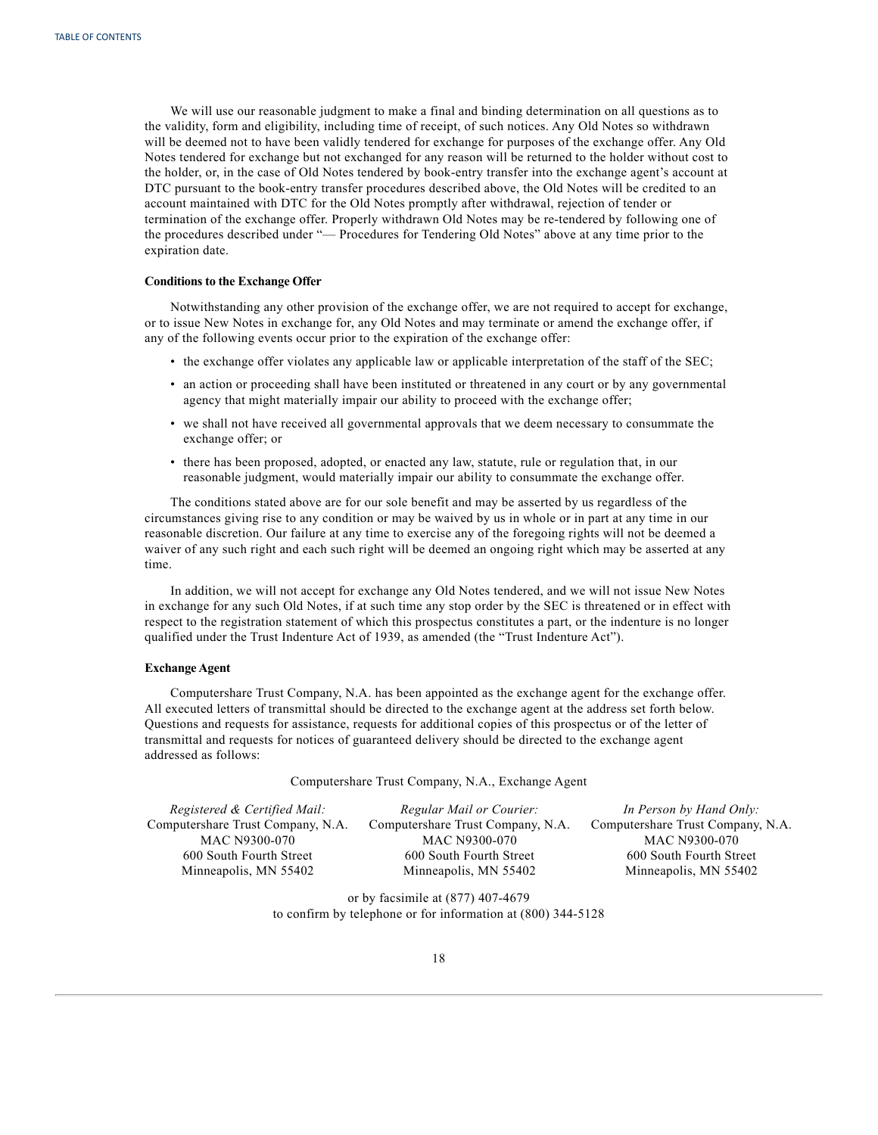We will use our reasonable judgment to make a final and binding determination on all questions as to the validity, form and eligibility, including time of receipt, of such notices. Any Old Notes so withdrawn will be deemed not to have been validly tendered for exchange for purposes of the exchange offer. Any Old Notes tendered for exchange but not exchanged for any reason will be returned to the holder without cost to the holder, or, in the case of Old Notes tendered by book-entry transfer into the exchange agent's account at DTC pursuant to the book-entry transfer procedures described above, the Old Notes will be credited to an account maintained with DTC for the Old Notes promptly after withdrawal, rejection of tender or termination of the exchange offer. Properly withdrawn Old Notes may be re-tendered by following one of the procedures described under "— Procedures for Tendering Old Notes" above at any time prior to the expiration date.

## **Conditions to the Exchange Offer**

Notwithstanding any other provision of the exchange offer, we are not required to accept for exchange, or to issue New Notes in exchange for, any Old Notes and may terminate or amend the exchange offer, if any of the following events occur prior to the expiration of the exchange offer:

- the exchange offer violates any applicable law or applicable interpretation of the staff of the SEC;
- an action or proceeding shall have been instituted or threatened in any court or by any governmental agency that might materially impair our ability to proceed with the exchange offer;
- we shall not have received all governmental approvals that we deem necessary to consummate the exchange offer; or
- there has been proposed, adopted, or enacted any law, statute, rule or regulation that, in our reasonable judgment, would materially impair our ability to consummate the exchange offer.

The conditions stated above are for our sole benefit and may be asserted by us regardless of the circumstances giving rise to any condition or may be waived by us in whole or in part at any time in our reasonable discretion. Our failure at any time to exercise any of the foregoing rights will not be deemed a waiver of any such right and each such right will be deemed an ongoing right which may be asserted at any time.

In addition, we will not accept for exchange any Old Notes tendered, and we will not issue New Notes in exchange for any such Old Notes, if at such time any stop order by the SEC is threatened or in effect with respect to the registration statement of which this prospectus constitutes a part, or the indenture is no longer qualified under the Trust Indenture Act of 1939, as amended (the "Trust Indenture Act").

#### **Exchange Agent**

Computershare Trust Company, N.A. has been appointed as the exchange agent for the exchange offer. All executed letters of transmittal should be directed to the exchange agent at the address set forth below. Questions and requests for assistance, requests for additional copies of this prospectus or of the letter of transmittal and requests for notices of guaranteed delivery should be directed to the exchange agent addressed as follows:

Computershare Trust Company, N.A., Exchange Agent

| Registered & Certified Mail:      | Regular Mail or Courier:          | In Person by Hand Only:           |
|-----------------------------------|-----------------------------------|-----------------------------------|
| Computershare Trust Company, N.A. | Computershare Trust Company, N.A. | Computershare Trust Company, N.A. |
| MAC N9300-070                     | MAC N9300-070                     | MAC N9300-070                     |
| 600 South Fourth Street           | 600 South Fourth Street           | 600 South Fourth Street           |
| Minneapolis, MN 55402             | Minneapolis, MN 55402             | Minneapolis, MN 55402             |

or by facsimile at (877) 407-4679 to confirm by telephone or for information at (800) 344-5128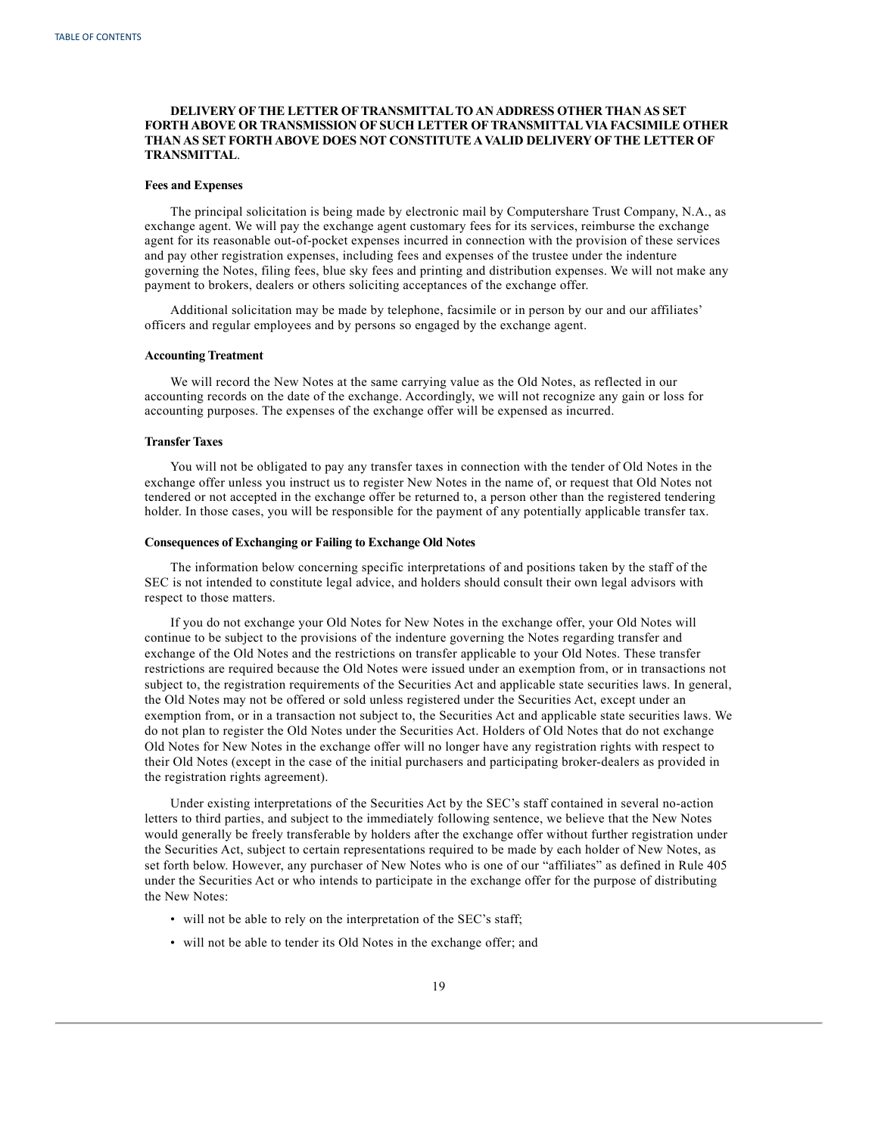## **DELIVERY OFTHE LETTER OFTRANSMITTALTO AN ADDRESS OTHER THAN AS SET FORTH ABOVE OR TRANSMISSION OF SUCH LETTER OFTRANSMITTALVIA FACSIMILE OTHER THAN AS SET FORTH ABOVE DOES NOT CONSTITUTE AVALID DELIVERY OFTHE LETTER OF TRANSMITTAL**.

#### **Fees and Expenses**

The principal solicitation is being made by electronic mail by Computershare Trust Company, N.A., as exchange agent. We will pay the exchange agent customary fees for its services, reimburse the exchange agent for its reasonable out-of-pocket expenses incurred in connection with the provision of these services and pay other registration expenses, including fees and expenses of the trustee under the indenture governing the Notes, filing fees, blue sky fees and printing and distribution expenses. We will not make any payment to brokers, dealers or others soliciting acceptances of the exchange offer.

Additional solicitation may be made by telephone, facsimile or in person by our and our affiliates' officers and regular employees and by persons so engaged by the exchange agent.

## **Accounting Treatment**

We will record the New Notes at the same carrying value as the Old Notes, as reflected in our accounting records on the date of the exchange. Accordingly, we will not recognize any gain or loss for accounting purposes. The expenses of the exchange offer will be expensed as incurred.

#### **Transfer Taxes**

You will not be obligated to pay any transfer taxes in connection with the tender of Old Notes in the exchange offer unless you instruct us to register New Notes in the name of, or request that Old Notes not tendered or not accepted in the exchange offer be returned to, a person other than the registered tendering holder. In those cases, you will be responsible for the payment of any potentially applicable transfer tax.

## **Consequences of Exchanging or Failing to Exchange Old Notes**

The information below concerning specific interpretations of and positions taken by the staff of the SEC is not intended to constitute legal advice, and holders should consult their own legal advisors with respect to those matters.

If you do not exchange your Old Notes for New Notes in the exchange offer, your Old Notes will continue to be subject to the provisions of the indenture governing the Notes regarding transfer and exchange of the Old Notes and the restrictions on transfer applicable to your Old Notes. These transfer restrictions are required because the Old Notes were issued under an exemption from, or in transactions not subject to, the registration requirements of the Securities Act and applicable state securities laws. In general, the Old Notes may not be offered or sold unless registered under the Securities Act, except under an exemption from, or in a transaction not subject to, the Securities Act and applicable state securities laws. We do not plan to register the Old Notes under the Securities Act. Holders of Old Notes that do not exchange Old Notes for New Notes in the exchange offer will no longer have any registration rights with respect to their Old Notes (except in the case of the initial purchasers and participating broker-dealers as provided in the registration rights agreement).

Under existing interpretations of the Securities Act by the SEC's staff contained in several no-action letters to third parties, and subject to the immediately following sentence, we believe that the New Notes would generally be freely transferable by holders after the exchange offer without further registration under the Securities Act, subject to certain representations required to be made by each holder of New Notes, as set forth below. However, any purchaser of New Notes who is one of our "affiliates" as defined in Rule 405 under the Securities Act or who intends to participate in the exchange offer for the purpose of distributing the New Notes:

- will not be able to rely on the interpretation of the SEC's staff;
- will not be able to tender its Old Notes in the exchange offer; and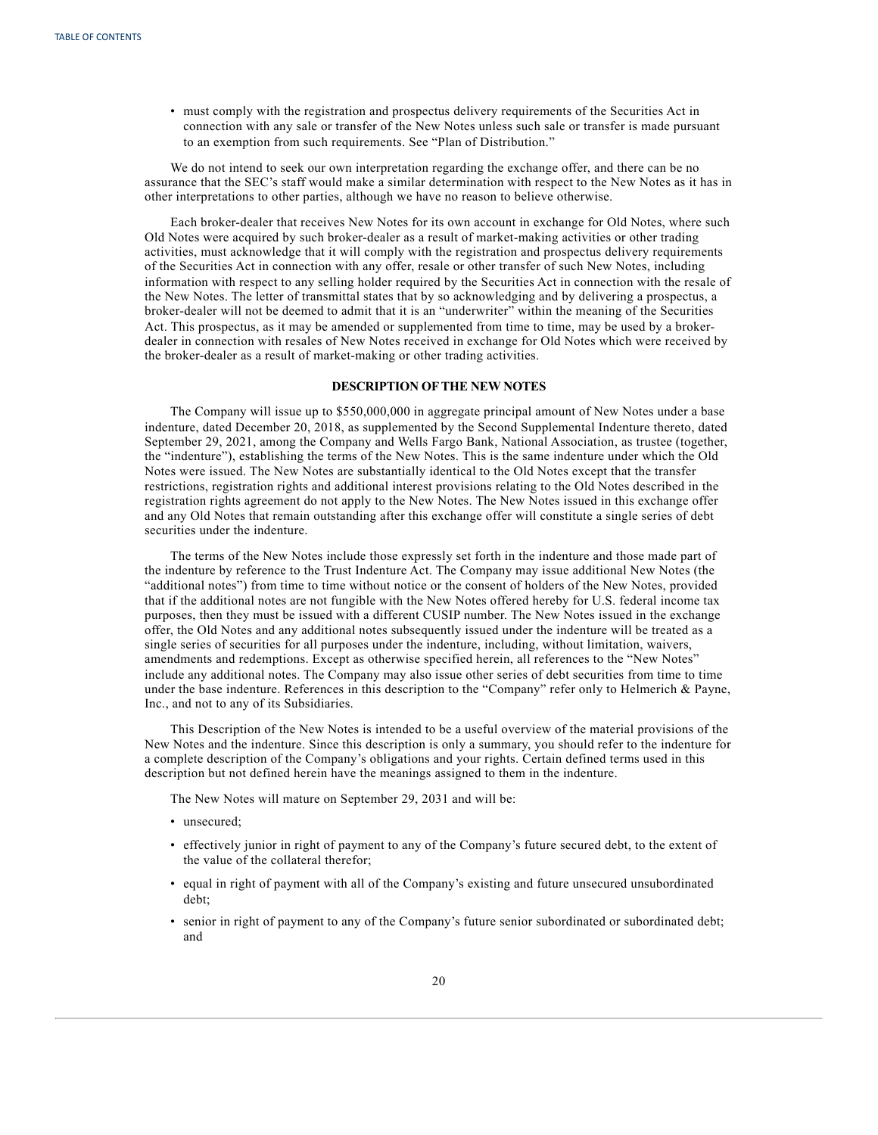<span id="page-24-0"></span>• must comply with the registration and prospectus delivery requirements of the Securities Act in connection with any sale or transfer of the New Notes unless such sale or transfer is made pursuant to an exemption from such requirements. See "Plan of Distribution."

We do not intend to seek our own interpretation regarding the exchange offer, and there can be no assurance that the SEC's staff would make a similar determination with respect to the New Notes as it has in other interpretations to other parties, although we have no reason to believe otherwise.

Each broker-dealer that receives New Notes for its own account in exchange for Old Notes, where such Old Notes were acquired by such broker-dealer as a result of market-making activities or other trading activities, must acknowledge that it will comply with the registration and prospectus delivery requirements of the Securities Act in connection with any offer, resale or other transfer of such New Notes, including information with respect to any selling holder required by the Securities Act in connection with the resale of the New Notes. The letter of transmittal states that by so acknowledging and by delivering a prospectus, a broker-dealer will not be deemed to admit that it is an "underwriter" within the meaning of the Securities Act. This prospectus, as it may be amended or supplemented from time to time, may be used by a brokerdealer in connection with resales of New Notes received in exchange for Old Notes which were received by the broker-dealer as a result of market-making or other trading activities.

## **DESCRIPTION OFTHE NEW NOTES**

The Company will issue up to \$550,000,000 in aggregate principal amount of New Notes under a base indenture, dated December 20, 2018, as supplemented by the Second Supplemental Indenture thereto, dated September 29, 2021, among the Company and Wells Fargo Bank, National Association, as trustee (together, the "indenture"), establishing the terms of the New Notes. This is the same indenture under which the Old Notes were issued. The New Notes are substantially identical to the Old Notes except that the transfer restrictions, registration rights and additional interest provisions relating to the Old Notes described in the registration rights agreement do not apply to the New Notes. The New Notes issued in this exchange offer and any Old Notes that remain outstanding after this exchange offer will constitute a single series of debt securities under the indenture.

The terms of the New Notes include those expressly set forth in the indenture and those made part of the indenture by reference to the Trust Indenture Act. The Company may issue additional New Notes (the "additional notes") from time to time without notice or the consent of holders of the New Notes, provided that if the additional notes are not fungible with the New Notes offered hereby for U.S. federal income tax purposes, then they must be issued with a different CUSIP number. The New Notes issued in the exchange offer, the Old Notes and any additional notes subsequently issued under the indenture will be treated as a single series of securities for all purposes under the indenture, including, without limitation, waivers, amendments and redemptions. Except as otherwise specified herein, all references to the "New Notes" include any additional notes. The Company may also issue other series of debt securities from time to time under the base indenture. References in this description to the "Company" refer only to Helmerich & Payne, Inc., and not to any of its Subsidiaries.

This Description of the New Notes is intended to be a useful overview of the material provisions of the New Notes and the indenture. Since this description is only a summary, you should refer to the indenture for a complete description of the Company's obligations and your rights. Certain defined terms used in this description but not defined herein have the meanings assigned to them in the indenture.

The New Notes will mature on September 29, 2031 and will be:

- unsecured;
- effectively junior in right of payment to any of the Company's future secured debt, to the extent of the value of the collateral therefor;
- equal in right of payment with all of the Company's existing and future unsecured unsubordinated debt;
- senior in right of payment to any of the Company's future senior subordinated or subordinated debt; and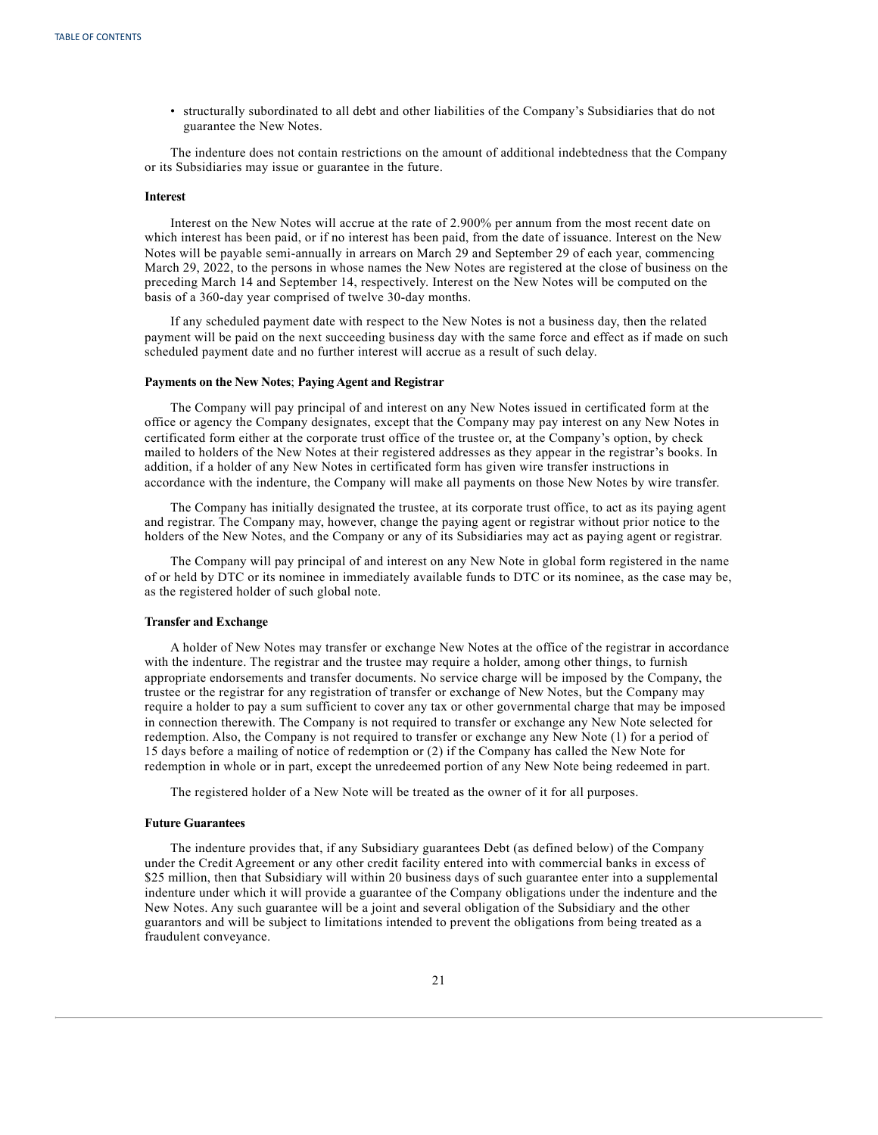• structurally subordinated to all debt and other liabilities of the Company's Subsidiaries that do not guarantee the New Notes.

The indenture does not contain restrictions on the amount of additional indebtedness that the Company or its Subsidiaries may issue or guarantee in the future.

## **Interest**

Interest on the New Notes will accrue at the rate of 2.900% per annum from the most recent date on which interest has been paid, or if no interest has been paid, from the date of issuance. Interest on the New Notes will be payable semi-annually in arrears on March 29 and September 29 of each year, commencing March 29, 2022, to the persons in whose names the New Notes are registered at the close of business on the preceding March 14 and September 14, respectively. Interest on the New Notes will be computed on the basis of a 360-day year comprised of twelve 30-day months.

If any scheduled payment date with respect to the New Notes is not a business day, then the related payment will be paid on the next succeeding business day with the same force and effect as if made on such scheduled payment date and no further interest will accrue as a result of such delay.

#### **Payments on the New Notes**; **Paying Agent and Registrar**

The Company will pay principal of and interest on any New Notes issued in certificated form at the office or agency the Company designates, except that the Company may pay interest on any New Notes in certificated form either at the corporate trust office of the trustee or, at the Company's option, by check mailed to holders of the New Notes at their registered addresses as they appear in the registrar's books. In addition, if a holder of any New Notes in certificated form has given wire transfer instructions in accordance with the indenture, the Company will make all payments on those New Notes by wire transfer.

The Company has initially designated the trustee, at its corporate trust office, to act as its paying agent and registrar. The Company may, however, change the paying agent or registrar without prior notice to the holders of the New Notes, and the Company or any of its Subsidiaries may act as paying agent or registrar.

The Company will pay principal of and interest on any New Note in global form registered in the name of or held by DTC or its nominee in immediately available funds to DTC or its nominee, as the case may be, as the registered holder of such global note.

## **Transfer and Exchange**

A holder of New Notes may transfer or exchange New Notes at the office of the registrar in accordance with the indenture. The registrar and the trustee may require a holder, among other things, to furnish appropriate endorsements and transfer documents. No service charge will be imposed by the Company, the trustee or the registrar for any registration of transfer or exchange of New Notes, but the Company may require a holder to pay a sum sufficient to cover any tax or other governmental charge that may be imposed in connection therewith. The Company is not required to transfer or exchange any New Note selected for redemption. Also, the Company is not required to transfer or exchange any New Note (1) for a period of 15 days before a mailing of notice of redemption or (2) if the Company has called the New Note for redemption in whole or in part, except the unredeemed portion of any New Note being redeemed in part.

The registered holder of a New Note will be treated as the owner of it for all purposes.

#### **Future Guarantees**

The indenture provides that, if any Subsidiary guarantees Debt (as defined below) of the Company under the Credit Agreement or any other credit facility entered into with commercial banks in excess of \$25 million, then that Subsidiary will within 20 business days of such guarantee enter into a supplemental indenture under which it will provide a guarantee of the Company obligations under the indenture and the New Notes. Any such guarantee will be a joint and several obligation of the Subsidiary and the other guarantors and will be subject to limitations intended to prevent the obligations from being treated as a fraudulent conveyance.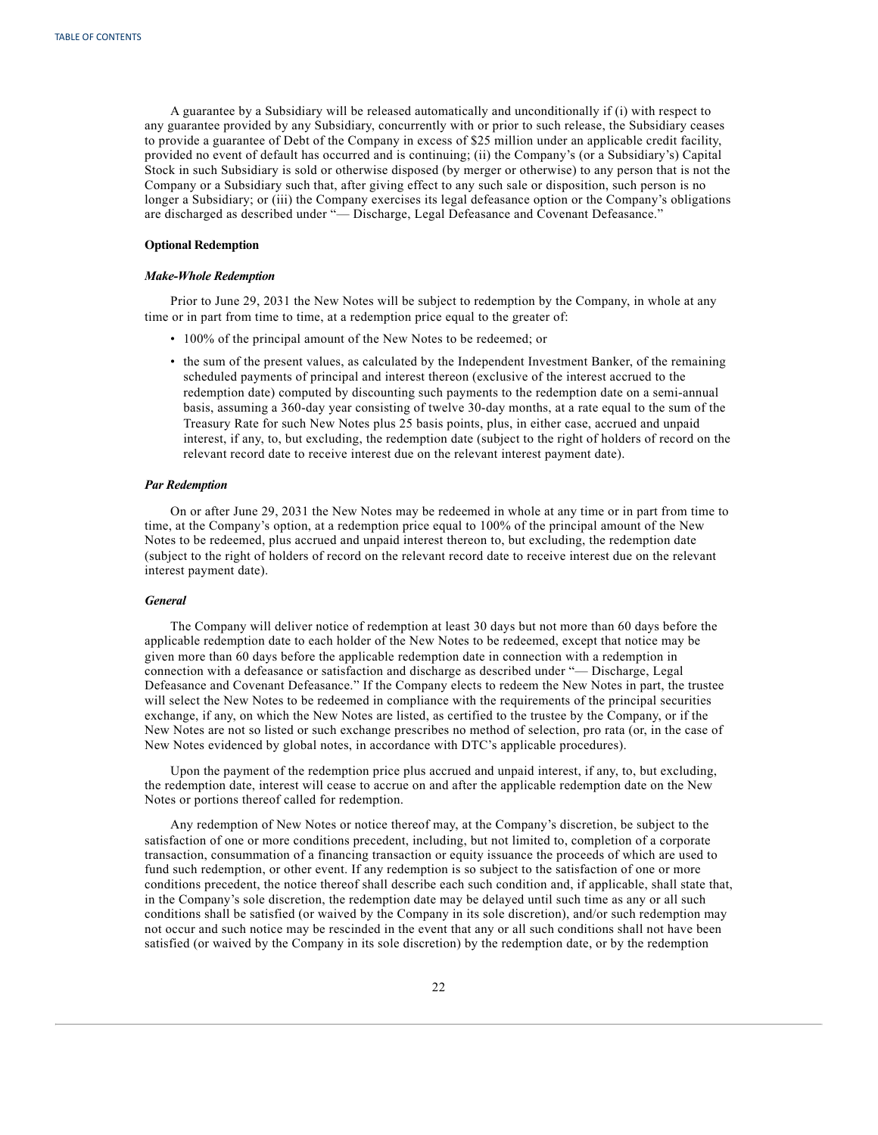A guarantee by a Subsidiary will be released automatically and unconditionally if (i) with respect to any guarantee provided by any Subsidiary, concurrently with or prior to such release, the Subsidiary ceases to provide a guarantee of Debt of the Company in excess of \$25 million under an applicable credit facility, provided no event of default has occurred and is continuing; (ii) the Company's (or a Subsidiary's) Capital Stock in such Subsidiary is sold or otherwise disposed (by merger or otherwise) to any person that is not the Company or a Subsidiary such that, after giving effect to any such sale or disposition, such person is no longer a Subsidiary; or (iii) the Company exercises its legal defeasance option or the Company's obligations are discharged as described under "— Discharge, Legal Defeasance and Covenant Defeasance."

#### **Optional Redemption**

#### *Make-Whole Redemption*

Prior to June 29, 2031 the New Notes will be subject to redemption by the Company, in whole at any time or in part from time to time, at a redemption price equal to the greater of:

- 100% of the principal amount of the New Notes to be redeemed; or
- the sum of the present values, as calculated by the Independent Investment Banker, of the remaining scheduled payments of principal and interest thereon (exclusive of the interest accrued to the redemption date) computed by discounting such payments to the redemption date on a semi-annual basis, assuming a 360-day year consisting of twelve 30-day months, at a rate equal to the sum of the Treasury Rate for such New Notes plus 25 basis points, plus, in either case, accrued and unpaid interest, if any, to, but excluding, the redemption date (subject to the right of holders of record on the relevant record date to receive interest due on the relevant interest payment date).

#### *Par Redemption*

On or after June 29, 2031 the New Notes may be redeemed in whole at any time or in part from time to time, at the Company's option, at a redemption price equal to 100% of the principal amount of the New Notes to be redeemed, plus accrued and unpaid interest thereon to, but excluding, the redemption date (subject to the right of holders of record on the relevant record date to receive interest due on the relevant interest payment date).

#### *General*

The Company will deliver notice of redemption at least 30 days but not more than 60 days before the applicable redemption date to each holder of the New Notes to be redeemed, except that notice may be given more than 60 days before the applicable redemption date in connection with a redemption in connection with a defeasance or satisfaction and discharge as described under "— Discharge, Legal Defeasance and Covenant Defeasance." If the Company elects to redeem the New Notes in part, the trustee will select the New Notes to be redeemed in compliance with the requirements of the principal securities exchange, if any, on which the New Notes are listed, as certified to the trustee by the Company, or if the New Notes are not so listed or such exchange prescribes no method of selection, pro rata (or, in the case of New Notes evidenced by global notes, in accordance with DTC's applicable procedures).

Upon the payment of the redemption price plus accrued and unpaid interest, if any, to, but excluding, the redemption date, interest will cease to accrue on and after the applicable redemption date on the New Notes or portions thereof called for redemption.

Any redemption of New Notes or notice thereof may, at the Company's discretion, be subject to the satisfaction of one or more conditions precedent, including, but not limited to, completion of a corporate transaction, consummation of a financing transaction or equity issuance the proceeds of which are used to fund such redemption, or other event. If any redemption is so subject to the satisfaction of one or more conditions precedent, the notice thereof shall describe each such condition and, if applicable, shall state that, in the Company's sole discretion, the redemption date may be delayed until such time as any or all such conditions shall be satisfied (or waived by the Company in its sole discretion), and/or such redemption may not occur and such notice may be rescinded in the event that any or all such conditions shall not have been satisfied (or waived by the Company in its sole discretion) by the redemption date, or by the redemption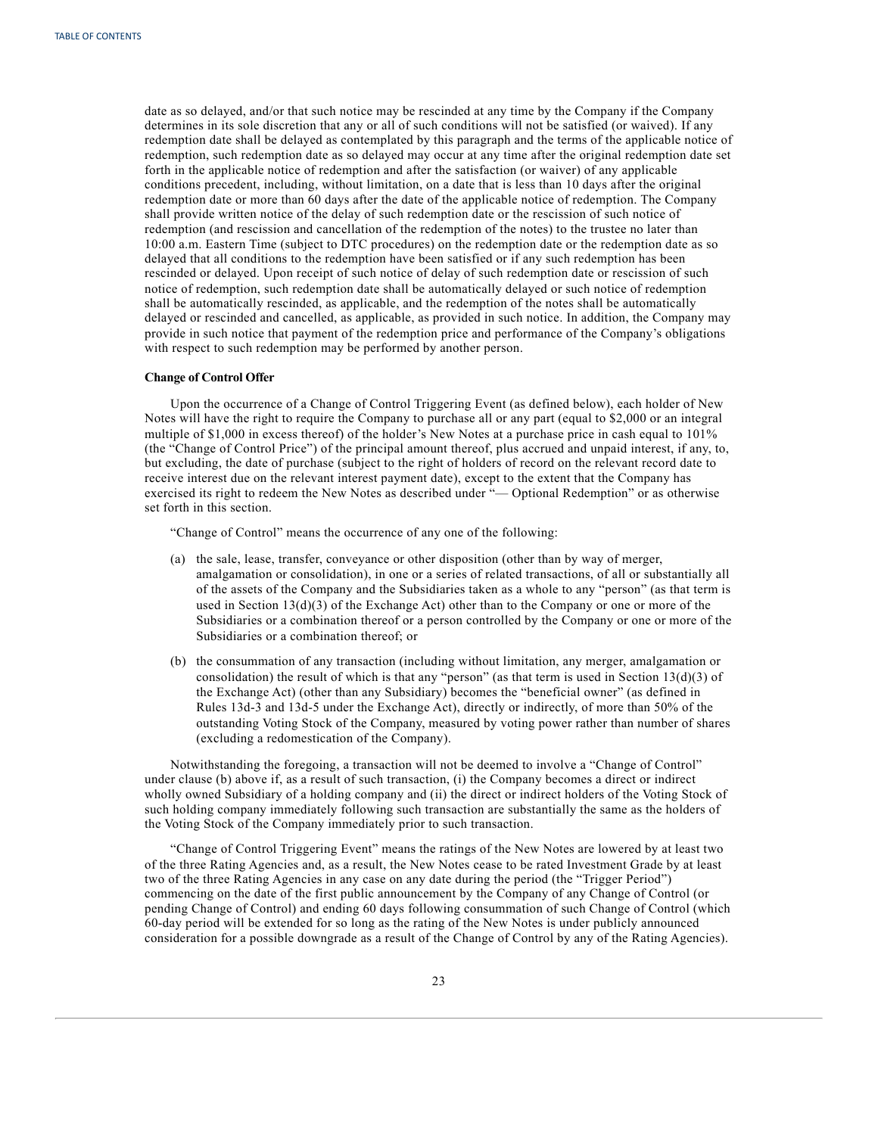date as so delayed, and/or that such notice may be rescinded at any time by the Company if the Company determines in its sole discretion that any or all of such conditions will not be satisfied (or waived). If any redemption date shall be delayed as contemplated by this paragraph and the terms of the applicable notice of redemption, such redemption date as so delayed may occur at any time after the original redemption date set forth in the applicable notice of redemption and after the satisfaction (or waiver) of any applicable conditions precedent, including, without limitation, on a date that is less than 10 days after the original redemption date or more than 60 days after the date of the applicable notice of redemption. The Company shall provide written notice of the delay of such redemption date or the rescission of such notice of redemption (and rescission and cancellation of the redemption of the notes) to the trustee no later than 10:00 a.m. Eastern Time (subject to DTC procedures) on the redemption date or the redemption date as so delayed that all conditions to the redemption have been satisfied or if any such redemption has been rescinded or delayed. Upon receipt of such notice of delay of such redemption date or rescission of such notice of redemption, such redemption date shall be automatically delayed or such notice of redemption shall be automatically rescinded, as applicable, and the redemption of the notes shall be automatically delayed or rescinded and cancelled, as applicable, as provided in such notice. In addition, the Company may provide in such notice that payment of the redemption price and performance of the Company's obligations with respect to such redemption may be performed by another person.

#### **Change of Control Offer**

Upon the occurrence of a Change of Control Triggering Event (as defined below), each holder of New Notes will have the right to require the Company to purchase all or any part (equal to \$2,000 or an integral multiple of \$1,000 in excess thereof) of the holder's New Notes at a purchase price in cash equal to 101% (the "Change of Control Price") of the principal amount thereof, plus accrued and unpaid interest, if any, to, but excluding, the date of purchase (subject to the right of holders of record on the relevant record date to receive interest due on the relevant interest payment date), except to the extent that the Company has exercised its right to redeem the New Notes as described under "— Optional Redemption" or as otherwise set forth in this section.

"Change of Control" means the occurrence of any one of the following:

- (a) the sale, lease, transfer, conveyance or other disposition (other than by way of merger, amalgamation or consolidation), in one or a series of related transactions, of all or substantially all of the assets of the Company and the Subsidiaries taken as a whole to any "person" (as that term is used in Section  $13(d)(3)$  of the Exchange Act) other than to the Company or one or more of the Subsidiaries or a combination thereof or a person controlled by the Company or one or more of the Subsidiaries or a combination thereof; or
- (b) the consummation of any transaction (including without limitation, any merger, amalgamation or consolidation) the result of which is that any "person" (as that term is used in Section  $13(d)(3)$  of the Exchange Act) (other than any Subsidiary) becomes the "beneficial owner" (as defined in Rules 13d-3 and 13d-5 under the Exchange Act), directly or indirectly, of more than 50% of the outstanding Voting Stock of the Company, measured by voting power rather than number of shares (excluding a redomestication of the Company).

Notwithstanding the foregoing, a transaction will not be deemed to involve a "Change of Control" under clause (b) above if, as a result of such transaction, (i) the Company becomes a direct or indirect wholly owned Subsidiary of a holding company and (ii) the direct or indirect holders of the Voting Stock of such holding company immediately following such transaction are substantially the same as the holders of the Voting Stock of the Company immediately prior to such transaction.

"Change of Control Triggering Event" means the ratings of the New Notes are lowered by at least two of the three Rating Agencies and, as a result, the New Notes cease to be rated Investment Grade by at least two of the three Rating Agencies in any case on any date during the period (the "Trigger Period") commencing on the date of the first public announcement by the Company of any Change of Control (or pending Change of Control) and ending 60 days following consummation of such Change of Control (which 60-day period will be extended for so long as the rating of the New Notes is under publicly announced consideration for a possible downgrade as a result of the Change of Control by any of the Rating Agencies).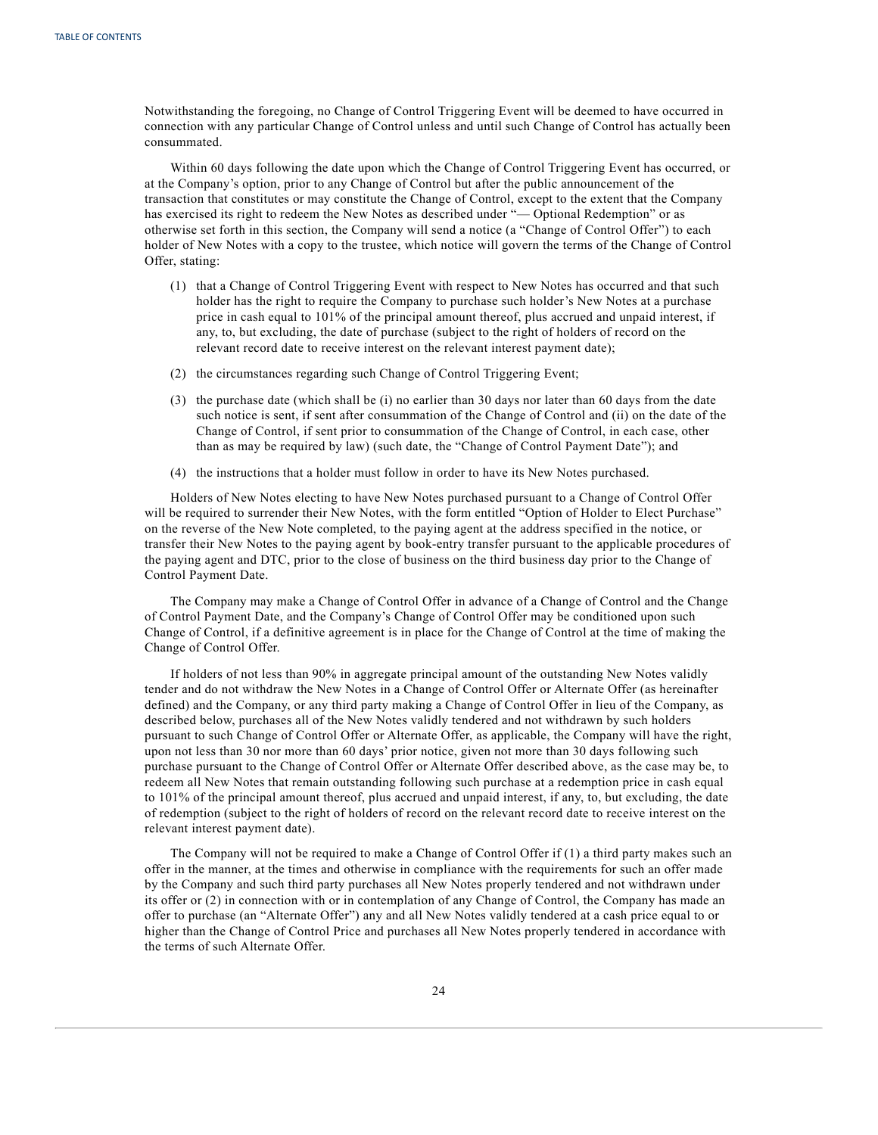Notwithstanding the foregoing, no Change of Control Triggering Event will be deemed to have occurred in connection with any particular Change of Control unless and until such Change of Control has actually been consummated.

Within 60 days following the date upon which the Change of Control Triggering Event has occurred, or at the Company's option, prior to any Change of Control but after the public announcement of the transaction that constitutes or may constitute the Change of Control, except to the extent that the Company has exercised its right to redeem the New Notes as described under "— Optional Redemption" or as otherwise set forth in this section, the Company will send a notice (a "Change of Control Offer") to each holder of New Notes with a copy to the trustee, which notice will govern the terms of the Change of Control Offer, stating:

- (1) that a Change of Control Triggering Event with respect to New Notes has occurred and that such holder has the right to require the Company to purchase such holder's New Notes at a purchase price in cash equal to 101% of the principal amount thereof, plus accrued and unpaid interest, if any, to, but excluding, the date of purchase (subject to the right of holders of record on the relevant record date to receive interest on the relevant interest payment date);
- (2) the circumstances regarding such Change of Control Triggering Event;
- (3) the purchase date (which shall be (i) no earlier than 30 days nor later than 60 days from the date such notice is sent, if sent after consummation of the Change of Control and (ii) on the date of the Change of Control, if sent prior to consummation of the Change of Control, in each case, other than as may be required by law) (such date, the "Change of Control Payment Date"); and
- (4) the instructions that a holder must follow in order to have its New Notes purchased.

Holders of New Notes electing to have New Notes purchased pursuant to a Change of Control Offer will be required to surrender their New Notes, with the form entitled "Option of Holder to Elect Purchase" on the reverse of the New Note completed, to the paying agent at the address specified in the notice, or transfer their New Notes to the paying agent by book-entry transfer pursuant to the applicable procedures of the paying agent and DTC, prior to the close of business on the third business day prior to the Change of Control Payment Date.

The Company may make a Change of Control Offer in advance of a Change of Control and the Change of Control Payment Date, and the Company's Change of Control Offer may be conditioned upon such Change of Control, if a definitive agreement is in place for the Change of Control at the time of making the Change of Control Offer.

If holders of not less than 90% in aggregate principal amount of the outstanding New Notes validly tender and do not withdraw the New Notes in a Change of Control Offer or Alternate Offer (as hereinafter defined) and the Company, or any third party making a Change of Control Offer in lieu of the Company, as described below, purchases all of the New Notes validly tendered and not withdrawn by such holders pursuant to such Change of Control Offer or Alternate Offer, as applicable, the Company will have the right, upon not less than 30 nor more than 60 days' prior notice, given not more than 30 days following such purchase pursuant to the Change of Control Offer or Alternate Offer described above, as the case may be, to redeem all New Notes that remain outstanding following such purchase at a redemption price in cash equal to 101% of the principal amount thereof, plus accrued and unpaid interest, if any, to, but excluding, the date of redemption (subject to the right of holders of record on the relevant record date to receive interest on the relevant interest payment date).

The Company will not be required to make a Change of Control Offer if (1) a third party makes such an offer in the manner, at the times and otherwise in compliance with the requirements for such an offer made by the Company and such third party purchases all New Notes properly tendered and not withdrawn under its offer or (2) in connection with or in contemplation of any Change of Control, the Company has made an offer to purchase (an "Alternate Offer") any and all New Notes validly tendered at a cash price equal to or higher than the Change of Control Price and purchases all New Notes properly tendered in accordance with the terms of such Alternate Offer.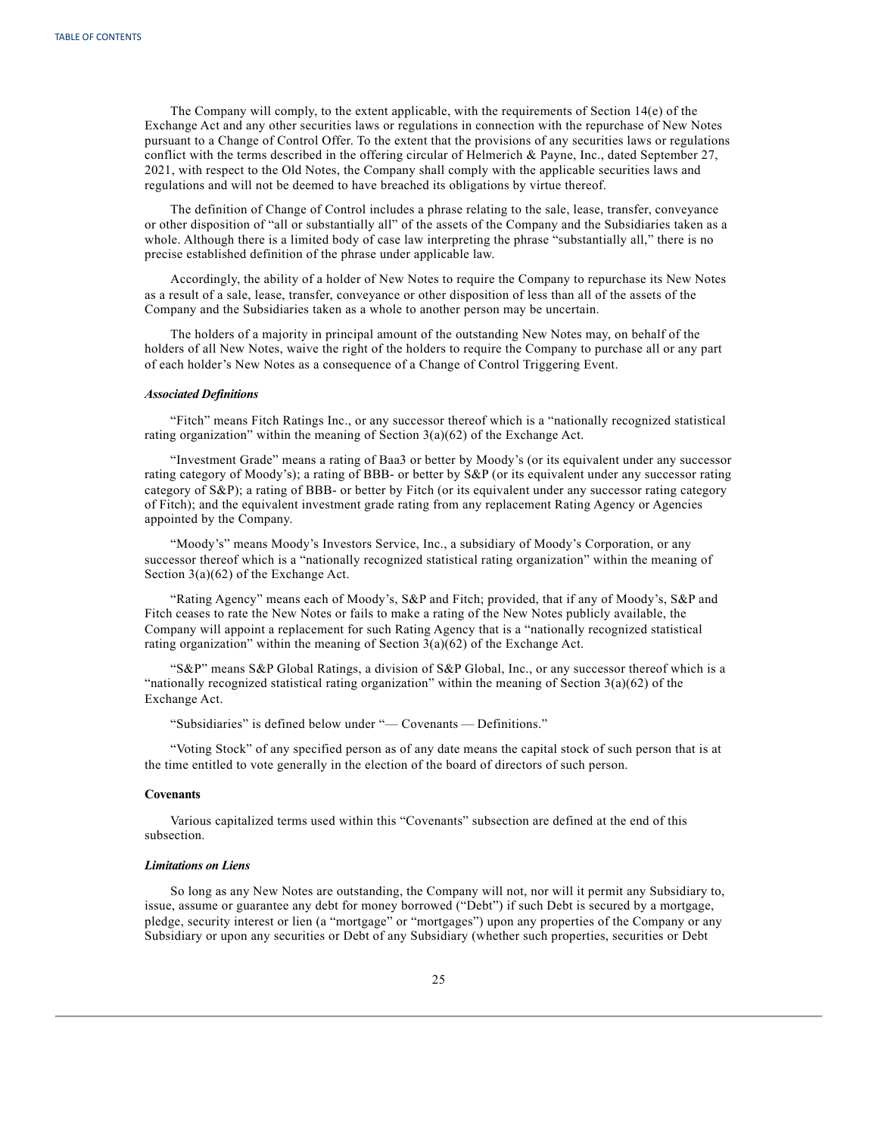The Company will comply, to the extent applicable, with the requirements of Section 14(e) of the Exchange Act and any other securities laws or regulations in connection with the repurchase of New Notes pursuant to a Change of Control Offer. To the extent that the provisions of any securities laws or regulations conflict with the terms described in the offering circular of Helmerich & Payne, Inc., dated September 27, 2021, with respect to the Old Notes, the Company shall comply with the applicable securities laws and regulations and will not be deemed to have breached its obligations by virtue thereof.

The definition of Change of Control includes a phrase relating to the sale, lease, transfer, conveyance or other disposition of "all or substantially all" of the assets of the Company and the Subsidiaries taken as a whole. Although there is a limited body of case law interpreting the phrase "substantially all," there is no precise established definition of the phrase under applicable law.

Accordingly, the ability of a holder of New Notes to require the Company to repurchase its New Notes as a result of a sale, lease, transfer, conveyance or other disposition of less than all of the assets of the Company and the Subsidiaries taken as a whole to another person may be uncertain.

The holders of a majority in principal amount of the outstanding New Notes may, on behalf of the holders of all New Notes, waive the right of the holders to require the Company to purchase all or any part of each holder's New Notes as a consequence of a Change of Control Triggering Event.

#### *Associated Definitions*

"Fitch" means Fitch Ratings Inc., or any successor thereof which is a "nationally recognized statistical rating organization" within the meaning of Section  $3(a)(62)$  of the Exchange Act.

"Investment Grade" means a rating of Baa3 or better by Moody's (or its equivalent under any successor rating category of Moody's); a rating of BBB- or better by S&P (or its equivalent under any successor rating category of S&P); a rating of BBB- or better by Fitch (or its equivalent under any successor rating category of Fitch); and the equivalent investment grade rating from any replacement Rating Agency or Agencies appointed by the Company.

"Moody's" means Moody's Investors Service, Inc., a subsidiary of Moody's Corporation, or any successor thereof which is a "nationally recognized statistical rating organization" within the meaning of Section 3(a)(62) of the Exchange Act.

"Rating Agency" means each of Moody's, S&P and Fitch; provided, that if any of Moody's, S&P and Fitch ceases to rate the New Notes or fails to make a rating of the New Notes publicly available, the Company will appoint a replacement for such Rating Agency that is a "nationally recognized statistical rating organization" within the meaning of Section 3(a)(62) of the Exchange Act.

"S&P" means S&P Global Ratings, a division of S&P Global, Inc., or any successor thereof which is a "nationally recognized statistical rating organization" within the meaning of Section  $3(a)(62)$  of the Exchange Act.

"Subsidiaries" is defined below under "— Covenants — Definitions."

"Voting Stock" of any specified person as of any date means the capital stock of such person that is at the time entitled to vote generally in the election of the board of directors of such person.

## **Covenants**

Various capitalized terms used within this "Covenants" subsection are defined at the end of this subsection.

#### *Limitations on Liens*

So long as any New Notes are outstanding, the Company will not, nor will it permit any Subsidiary to, issue, assume or guarantee any debt for money borrowed ("Debt") if such Debt is secured by a mortgage, pledge, security interest or lien (a "mortgage" or "mortgages") upon any properties of the Company or any Subsidiary or upon any securities or Debt of any Subsidiary (whether such properties, securities or Debt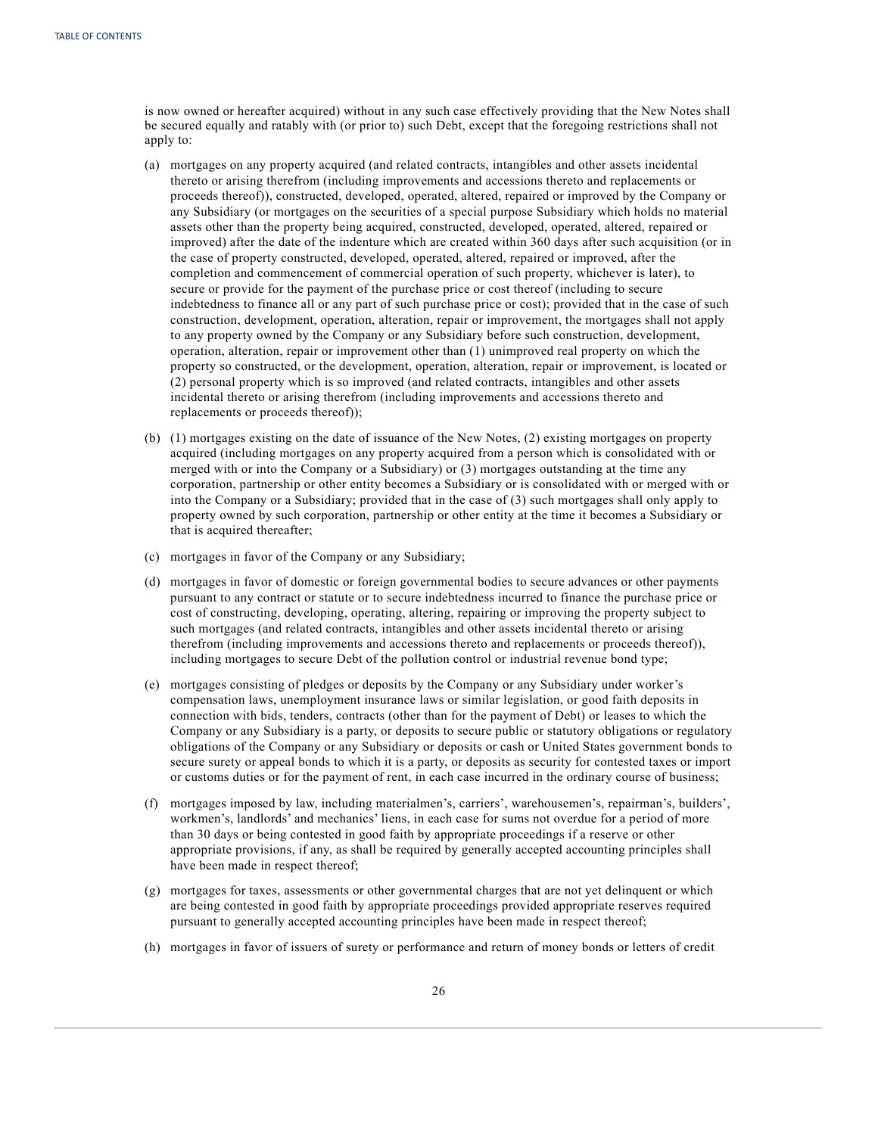is now owned or hereafter acquired) without in any such case effectively providing that the New Notes shall be secured equally and ratably with (or prior to) such Debt, except that the foregoing restrictions shall not apply to:

- (a) mortgages on any property acquired (and related contracts, intangibles and other assets incidental thereto or arising therefrom (including improvements and accessions thereto and replacements or proceeds thereof)), constructed, developed, operated, altered, repaired or improved by the Company or any Subsidiary (or mortgages on the securities of a special purpose Subsidiary which holds no material assets other than the property being acquired, constructed, developed, operated, altered, repaired or improved) after the date of the indenture which are created within 360 days after such acquisition (or in the case of property constructed, developed, operated, altered, repaired or improved, after the completion and commencement of commercial operation of such property, whichever is later), to secure or provide for the payment of the purchase price or cost thereof (including to secure indebtedness to finance all or any part of such purchase price or cost); provided that in the case of such construction, development, operation, alteration, repair or improvement, the mortgages shall not apply to any property owned by the Company or any Subsidiary before such construction, development, operation, alteration, repair or improvement other than (1) unimproved real property on which the property so constructed, or the development, operation, alteration, repair or improvement, is located or (2) personal property which is so improved (and related contracts, intangibles and other assets incidental thereto or arising therefrom (including improvements and accessions thereto and replacements or proceeds thereof));
- (b) (1) mortgages existing on the date of issuance of the New Notes, (2) existing mortgages on property acquired (including mortgages on any property acquired from a person which is consolidated with or merged with or into the Company or a Subsidiary) or (3) mortgages outstanding at the time any corporation, partnership or other entity becomes a Subsidiary or is consolidated with or merged with or into the Company or a Subsidiary; provided that in the case of (3) such mortgages shall only apply to property owned by such corporation, partnership or other entity at the time it becomes a Subsidiary or that is acquired thereafter;
- (c) mortgages in favor of the Company or any Subsidiary;
- (d) mortgages in favor of domestic or foreign governmental bodies to secure advances or other payments pursuant to any contract or statute or to secure indebtedness incurred to finance the purchase price or cost of constructing, developing, operating, altering, repairing or improving the property subject to such mortgages (and related contracts, intangibles and other assets incidental thereto or arising therefrom (including improvements and accessions thereto and replacements or proceeds thereof)), including mortgages to secure Debt of the pollution control or industrial revenue bond type;
- (e) mortgages consisting of pledges or deposits by the Company or any Subsidiary under worker's compensation laws, unemployment insurance laws or similar legislation, or good faith deposits in connection with bids, tenders, contracts (other than for the payment of Debt) or leases to which the Company or any Subsidiary is a party, or deposits to secure public or statutory obligations or regulatory obligations of the Company or any Subsidiary or deposits or cash or United States government bonds to secure surety or appeal bonds to which it is a party, or deposits as security for contested taxes or import or customs duties or for the payment of rent, in each case incurred in the ordinary course of business;
- (f) mortgages imposed by law, including materialmen's, carriers', warehousemen's, repairman's, builders', workmen's, landlords' and mechanics' liens, in each case for sums not overdue for a period of more than 30 days or being contested in good faith by appropriate proceedings if a reserve or other appropriate provisions, if any, as shall be required by generally accepted accounting principles shall have been made in respect thereof;
- (g) mortgages for taxes, assessments or other governmental charges that are not yet delinquent or which are being contested in good faith by appropriate proceedings provided appropriate reserves required pursuant to generally accepted accounting principles have been made in respect thereof;
- (h) mortgages in favor of issuers of surety or performance and return of money bonds or letters of credit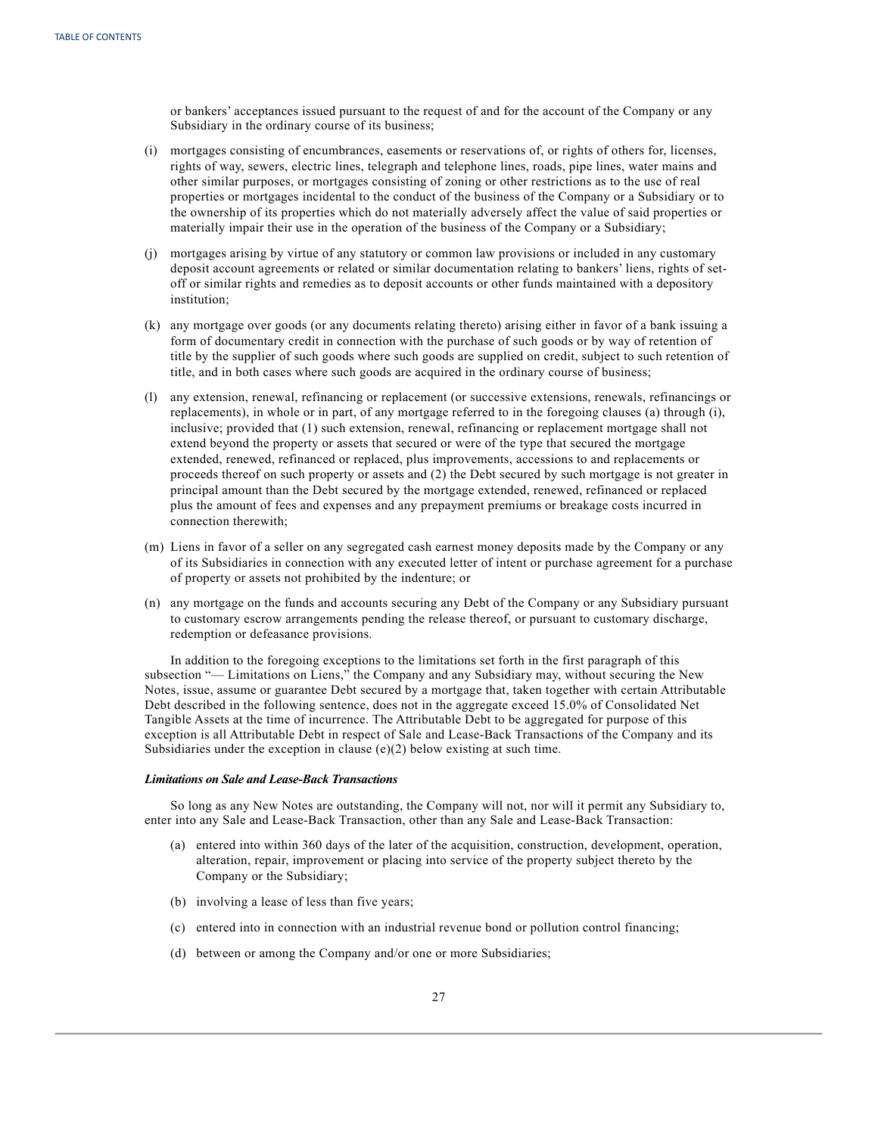or bankers' acceptances issued pursuant to the request of and for the account of the Company or any Subsidiary in the ordinary course of its business;

- (i) mortgages consisting of encumbrances, easements or reservations of, or rights of others for, licenses, rights of way, sewers, electric lines, telegraph and telephone lines, roads, pipe lines, water mains and other similar purposes, or mortgages consisting of zoning or other restrictions as to the use of real properties or mortgages incidental to the conduct of the business of the Company or a Subsidiary or to the ownership of its properties which do not materially adversely affect the value of said properties or materially impair their use in the operation of the business of the Company or a Subsidiary;
- (j) mortgages arising by virtue of any statutory or common law provisions or included in any customary deposit account agreements or related or similar documentation relating to bankers' liens, rights of setoff or similar rights and remedies as to deposit accounts or other funds maintained with a depository institution;
- (k) any mortgage over goods (or any documents relating thereto) arising either in favor of a bank issuing a form of documentary credit in connection with the purchase of such goods or by way of retention of title by the supplier of such goods where such goods are supplied on credit, subject to such retention of title, and in both cases where such goods are acquired in the ordinary course of business;
- (l) any extension, renewal, refinancing or replacement (or successive extensions, renewals, refinancings or replacements), in whole or in part, of any mortgage referred to in the foregoing clauses (a) through (i), inclusive; provided that (1) such extension, renewal, refinancing or replacement mortgage shall not extend beyond the property or assets that secured or were of the type that secured the mortgage extended, renewed, refinanced or replaced, plus improvements, accessions to and replacements or proceeds thereof on such property or assets and (2) the Debt secured by such mortgage is not greater in principal amount than the Debt secured by the mortgage extended, renewed, refinanced or replaced plus the amount of fees and expenses and any prepayment premiums or breakage costs incurred in connection therewith;
- (m) Liens in favor of a seller on any segregated cash earnest money deposits made by the Company or any of its Subsidiaries in connection with any executed letter of intent or purchase agreement for a purchase of property or assets not prohibited by the indenture; or
- (n) any mortgage on the funds and accounts securing any Debt of the Company or any Subsidiary pursuant to customary escrow arrangements pending the release thereof, or pursuant to customary discharge, redemption or defeasance provisions.

In addition to the foregoing exceptions to the limitations set forth in the first paragraph of this subsection "— Limitations on Liens," the Company and any Subsidiary may, without securing the New Notes, issue, assume or guarantee Debt secured by a mortgage that, taken together with certain Attributable Debt described in the following sentence, does not in the aggregate exceed 15.0% of Consolidated Net Tangible Assets at the time of incurrence. The Attributable Debt to be aggregated for purpose of this exception is all Attributable Debt in respect of Sale and Lease-Back Transactions of the Company and its Subsidiaries under the exception in clause (e)(2) below existing at such time.

## *Limitations on Sale and Lease-Back Transactions*

So long as any New Notes are outstanding, the Company will not, nor will it permit any Subsidiary to, enter into any Sale and Lease-Back Transaction, other than any Sale and Lease-Back Transaction:

- (a) entered into within 360 days of the later of the acquisition, construction, development, operation, alteration, repair, improvement or placing into service of the property subject thereto by the Company or the Subsidiary;
- (b) involving a lease of less than five years;
- (c) entered into in connection with an industrial revenue bond or pollution control financing;
- (d) between or among the Company and/or one or more Subsidiaries;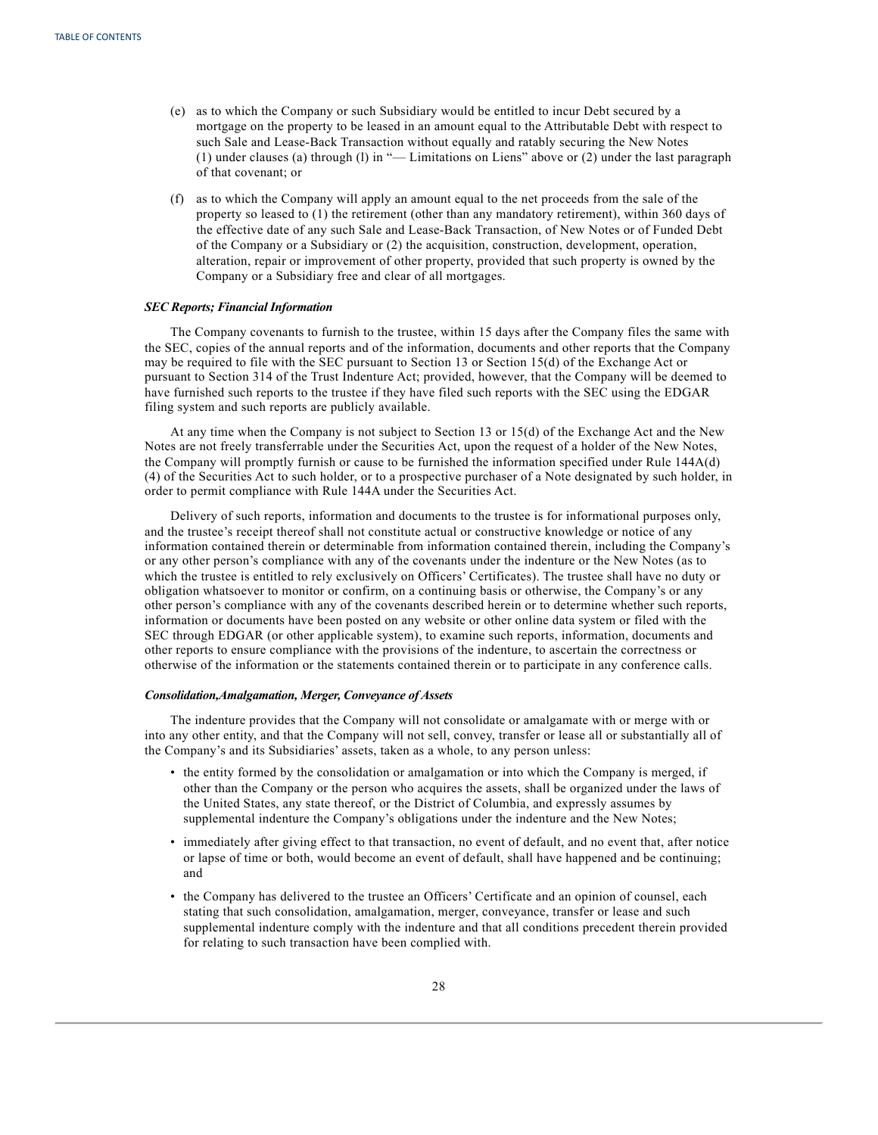- (e) as to which the Company or such Subsidiary would be entitled to incur Debt secured by a mortgage on the property to be leased in an amount equal to the Attributable Debt with respect to such Sale and Lease-Back Transaction without equally and ratably securing the New Notes (1) under clauses (a) through (l) in "— Limitations on Liens" above or (2) under the last paragraph of that covenant; or
- (f) as to which the Company will apply an amount equal to the net proceeds from the sale of the property so leased to (1) the retirement (other than any mandatory retirement), within 360 days of the effective date of any such Sale and Lease-Back Transaction, of New Notes or of Funded Debt of the Company or a Subsidiary or (2) the acquisition, construction, development, operation, alteration, repair or improvement of other property, provided that such property is owned by the Company or a Subsidiary free and clear of all mortgages.

## *SEC Reports; Financial Information*

The Company covenants to furnish to the trustee, within 15 days after the Company files the same with the SEC, copies of the annual reports and of the information, documents and other reports that the Company may be required to file with the SEC pursuant to Section 13 or Section 15(d) of the Exchange Act or pursuant to Section 314 of the Trust Indenture Act; provided, however, that the Company will be deemed to have furnished such reports to the trustee if they have filed such reports with the SEC using the EDGAR filing system and such reports are publicly available.

At any time when the Company is not subject to Section 13 or 15(d) of the Exchange Act and the New Notes are not freely transferrable under the Securities Act, upon the request of a holder of the New Notes, the Company will promptly furnish or cause to be furnished the information specified under Rule 144A(d) (4) of the Securities Act to such holder, or to a prospective purchaser of a Note designated by such holder, in order to permit compliance with Rule 144A under the Securities Act.

Delivery of such reports, information and documents to the trustee is for informational purposes only, and the trustee's receipt thereof shall not constitute actual or constructive knowledge or notice of any information contained therein or determinable from information contained therein, including the Company's or any other person's compliance with any of the covenants under the indenture or the New Notes (as to which the trustee is entitled to rely exclusively on Officers' Certificates). The trustee shall have no duty or obligation whatsoever to monitor or confirm, on a continuing basis or otherwise, the Company's or any other person's compliance with any of the covenants described herein or to determine whether such reports, information or documents have been posted on any website or other online data system or filed with the SEC through EDGAR (or other applicable system), to examine such reports, information, documents and other reports to ensure compliance with the provisions of the indenture, to ascertain the correctness or otherwise of the information or the statements contained therein or to participate in any conference calls.

#### *Consolidation,Amalgamation, Merger, Conveyance of Assets*

The indenture provides that the Company will not consolidate or amalgamate with or merge with or into any other entity, and that the Company will not sell, convey, transfer or lease all or substantially all of the Company's and its Subsidiaries' assets, taken as a whole, to any person unless:

- the entity formed by the consolidation or amalgamation or into which the Company is merged, if other than the Company or the person who acquires the assets, shall be organized under the laws of the United States, any state thereof, or the District of Columbia, and expressly assumes by supplemental indenture the Company's obligations under the indenture and the New Notes;
- immediately after giving effect to that transaction, no event of default, and no event that, after notice or lapse of time or both, would become an event of default, shall have happened and be continuing; and
- the Company has delivered to the trustee an Officers' Certificate and an opinion of counsel, each stating that such consolidation, amalgamation, merger, conveyance, transfer or lease and such supplemental indenture comply with the indenture and that all conditions precedent therein provided for relating to such transaction have been complied with.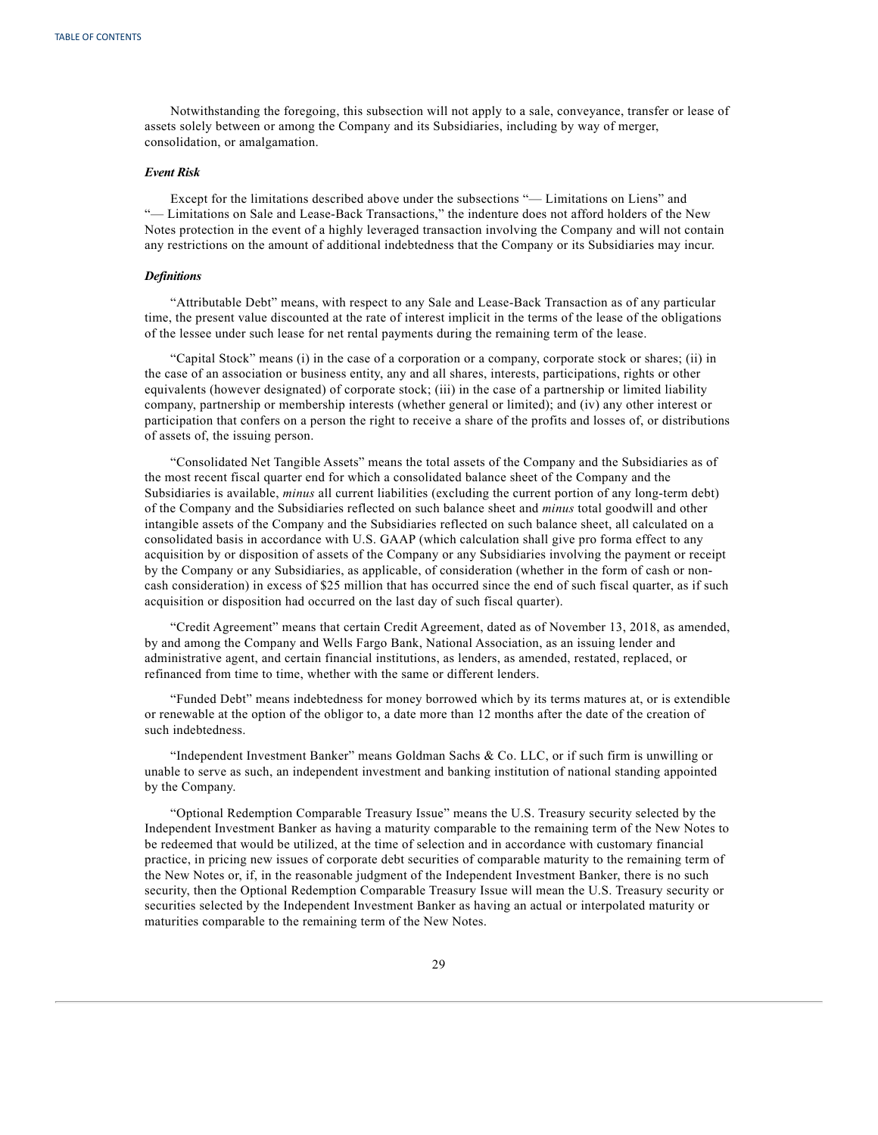Notwithstanding the foregoing, this subsection will not apply to a sale, conveyance, transfer or lease of assets solely between or among the Company and its Subsidiaries, including by way of merger, consolidation, or amalgamation.

## *Event Risk*

Except for the limitations described above under the subsections "— Limitations on Liens" and "— Limitations on Sale and Lease-Back Transactions," the indenture does not afford holders of the New Notes protection in the event of a highly leveraged transaction involving the Company and will not contain any restrictions on the amount of additional indebtedness that the Company or its Subsidiaries may incur.

#### *Definitions*

"Attributable Debt" means, with respect to any Sale and Lease-Back Transaction as of any particular time, the present value discounted at the rate of interest implicit in the terms of the lease of the obligations of the lessee under such lease for net rental payments during the remaining term of the lease.

"Capital Stock" means (i) in the case of a corporation or a company, corporate stock or shares; (ii) in the case of an association or business entity, any and all shares, interests, participations, rights or other equivalents (however designated) of corporate stock; (iii) in the case of a partnership or limited liability company, partnership or membership interests (whether general or limited); and (iv) any other interest or participation that confers on a person the right to receive a share of the profits and losses of, or distributions of assets of, the issuing person.

"Consolidated Net Tangible Assets" means the total assets of the Company and the Subsidiaries as of the most recent fiscal quarter end for which a consolidated balance sheet of the Company and the Subsidiaries is available, *minus* all current liabilities (excluding the current portion of any long-term debt) of the Company and the Subsidiaries reflected on such balance sheet and *minus* total goodwill and other intangible assets of the Company and the Subsidiaries reflected on such balance sheet, all calculated on a consolidated basis in accordance with U.S. GAAP (which calculation shall give pro forma effect to any acquisition by or disposition of assets of the Company or any Subsidiaries involving the payment or receipt by the Company or any Subsidiaries, as applicable, of consideration (whether in the form of cash or noncash consideration) in excess of \$25 million that has occurred since the end of such fiscal quarter, as if such acquisition or disposition had occurred on the last day of such fiscal quarter).

"Credit Agreement" means that certain Credit Agreement, dated as of November 13, 2018, as amended, by and among the Company and Wells Fargo Bank, National Association, as an issuing lender and administrative agent, and certain financial institutions, as lenders, as amended, restated, replaced, or refinanced from time to time, whether with the same or different lenders.

"Funded Debt" means indebtedness for money borrowed which by its terms matures at, or is extendible or renewable at the option of the obligor to, a date more than 12 months after the date of the creation of such indebtedness.

"Independent Investment Banker" means Goldman Sachs & Co. LLC, or if such firm is unwilling or unable to serve as such, an independent investment and banking institution of national standing appointed by the Company.

"Optional Redemption Comparable Treasury Issue" means the U.S. Treasury security selected by the Independent Investment Banker as having a maturity comparable to the remaining term of the New Notes to be redeemed that would be utilized, at the time of selection and in accordance with customary financial practice, in pricing new issues of corporate debt securities of comparable maturity to the remaining term of the New Notes or, if, in the reasonable judgment of the Independent Investment Banker, there is no such security, then the Optional Redemption Comparable Treasury Issue will mean the U.S. Treasury security or securities selected by the Independent Investment Banker as having an actual or interpolated maturity or maturities comparable to the remaining term of the New Notes.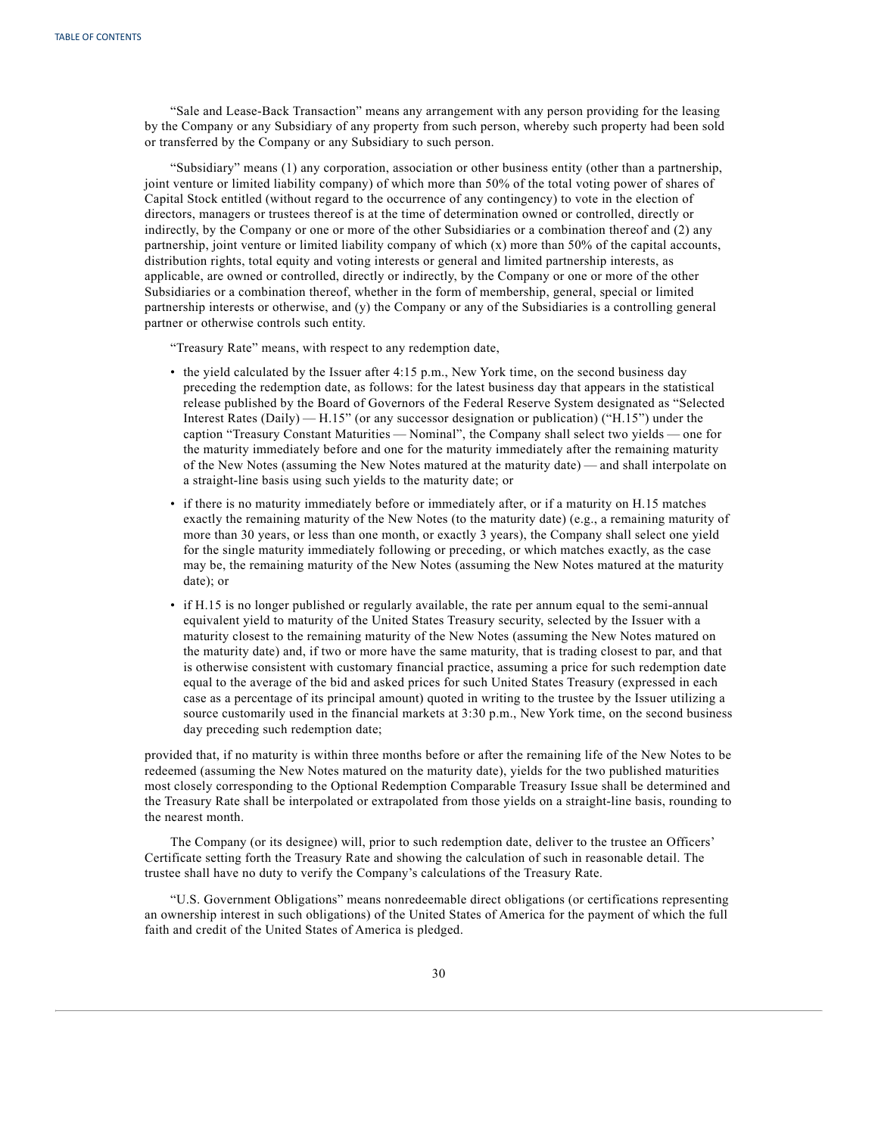"Sale and Lease-Back Transaction" means any arrangement with any person providing for the leasing by the Company or any Subsidiary of any property from such person, whereby such property had been sold or transferred by the Company or any Subsidiary to such person.

"Subsidiary" means (1) any corporation, association or other business entity (other than a partnership, joint venture or limited liability company) of which more than 50% of the total voting power of shares of Capital Stock entitled (without regard to the occurrence of any contingency) to vote in the election of directors, managers or trustees thereof is at the time of determination owned or controlled, directly or indirectly, by the Company or one or more of the other Subsidiaries or a combination thereof and (2) any partnership, joint venture or limited liability company of which (x) more than 50% of the capital accounts, distribution rights, total equity and voting interests or general and limited partnership interests, as applicable, are owned or controlled, directly or indirectly, by the Company or one or more of the other Subsidiaries or a combination thereof, whether in the form of membership, general, special or limited partnership interests or otherwise, and (y) the Company or any of the Subsidiaries is a controlling general partner or otherwise controls such entity.

"Treasury Rate" means, with respect to any redemption date,

- the yield calculated by the Issuer after 4:15 p.m., New York time, on the second business day preceding the redemption date, as follows: for the latest business day that appears in the statistical release published by the Board of Governors of the Federal Reserve System designated as "Selected Interest Rates (Daily) — H.15" (or any successor designation or publication) ("H.15") under the caption "Treasury Constant Maturities — Nominal", the Company shall select two yields — one for the maturity immediately before and one for the maturity immediately after the remaining maturity of the New Notes (assuming the New Notes matured at the maturity date) — and shall interpolate on a straight-line basis using such yields to the maturity date; or
- if there is no maturity immediately before or immediately after, or if a maturity on H.15 matches exactly the remaining maturity of the New Notes (to the maturity date) (e.g., a remaining maturity of more than 30 years, or less than one month, or exactly 3 years), the Company shall select one yield for the single maturity immediately following or preceding, or which matches exactly, as the case may be, the remaining maturity of the New Notes (assuming the New Notes matured at the maturity date); or
- if H.15 is no longer published or regularly available, the rate per annum equal to the semi-annual equivalent yield to maturity of the United States Treasury security, selected by the Issuer with a maturity closest to the remaining maturity of the New Notes (assuming the New Notes matured on the maturity date) and, if two or more have the same maturity, that is trading closest to par, and that is otherwise consistent with customary financial practice, assuming a price for such redemption date equal to the average of the bid and asked prices for such United States Treasury (expressed in each case as a percentage of its principal amount) quoted in writing to the trustee by the Issuer utilizing a source customarily used in the financial markets at 3:30 p.m., New York time, on the second business day preceding such redemption date;

provided that, if no maturity is within three months before or after the remaining life of the New Notes to be redeemed (assuming the New Notes matured on the maturity date), yields for the two published maturities most closely corresponding to the Optional Redemption Comparable Treasury Issue shall be determined and the Treasury Rate shall be interpolated or extrapolated from those yields on a straight-line basis, rounding to the nearest month.

The Company (or its designee) will, prior to such redemption date, deliver to the trustee an Officers' Certificate setting forth the Treasury Rate and showing the calculation of such in reasonable detail. The trustee shall have no duty to verify the Company's calculations of the Treasury Rate.

"U.S. Government Obligations" means nonredeemable direct obligations (or certifications representing an ownership interest in such obligations) of the United States of America for the payment of which the full faith and credit of the United States of America is pledged.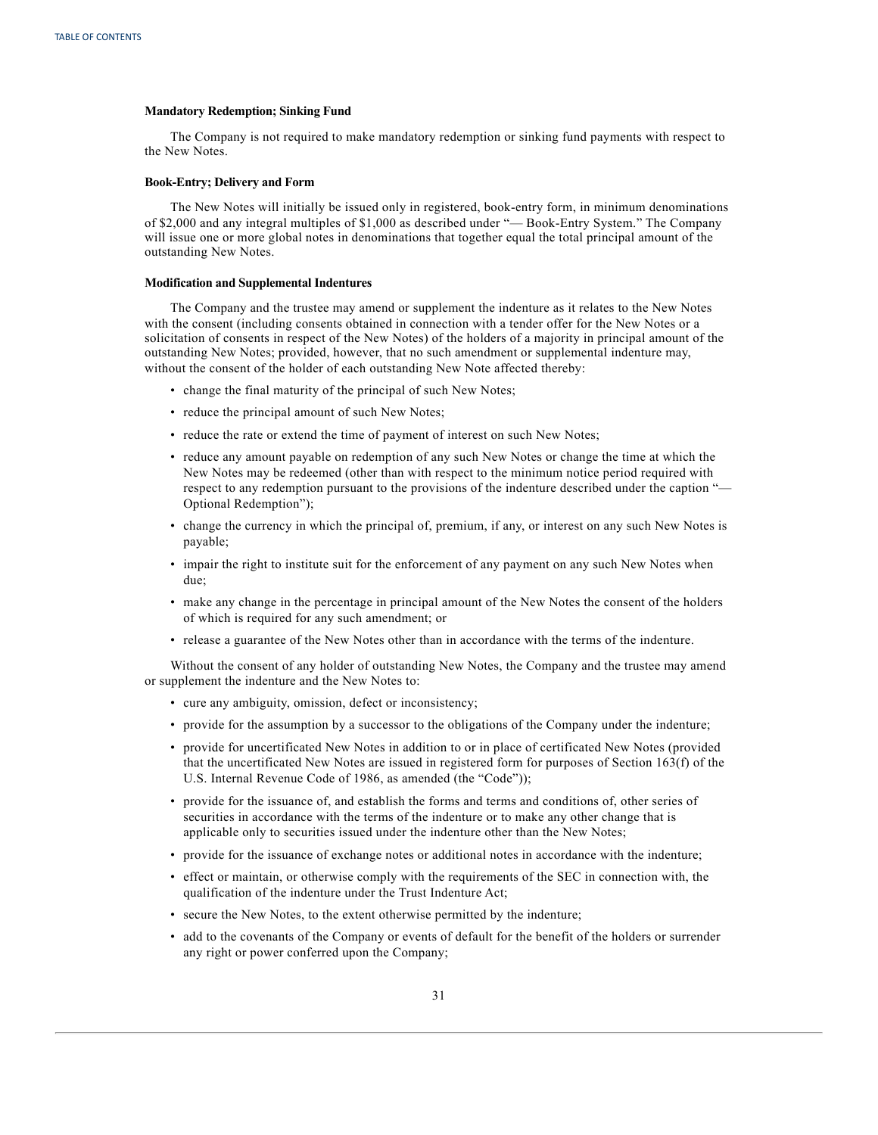#### **Mandatory Redemption; Sinking Fund**

The Company is not required to make mandatory redemption or sinking fund payments with respect to the New Notes.

## **Book-Entry; Delivery and Form**

The New Notes will initially be issued only in registered, book-entry form, in minimum denominations of \$2,000 and any integral multiples of \$1,000 as described under "— Book-Entry System." The Company will issue one or more global notes in denominations that together equal the total principal amount of the outstanding New Notes.

#### **Modification and Supplemental Indentures**

The Company and the trustee may amend or supplement the indenture as it relates to the New Notes with the consent (including consents obtained in connection with a tender offer for the New Notes or a solicitation of consents in respect of the New Notes) of the holders of a majority in principal amount of the outstanding New Notes; provided, however, that no such amendment or supplemental indenture may, without the consent of the holder of each outstanding New Note affected thereby:

- change the final maturity of the principal of such New Notes;
- reduce the principal amount of such New Notes;
- reduce the rate or extend the time of payment of interest on such New Notes;
- reduce any amount payable on redemption of any such New Notes or change the time at which the New Notes may be redeemed (other than with respect to the minimum notice period required with respect to any redemption pursuant to the provisions of the indenture described under the caption "— Optional Redemption");
- change the currency in which the principal of, premium, if any, or interest on any such New Notes is payable;
- impair the right to institute suit for the enforcement of any payment on any such New Notes when due;
- make any change in the percentage in principal amount of the New Notes the consent of the holders of which is required for any such amendment; or
- release a guarantee of the New Notes other than in accordance with the terms of the indenture.

Without the consent of any holder of outstanding New Notes, the Company and the trustee may amend or supplement the indenture and the New Notes to:

- cure any ambiguity, omission, defect or inconsistency;
- provide for the assumption by a successor to the obligations of the Company under the indenture;
- provide for uncertificated New Notes in addition to or in place of certificated New Notes (provided that the uncertificated New Notes are issued in registered form for purposes of Section 163(f) of the U.S. Internal Revenue Code of 1986, as amended (the "Code"));
- provide for the issuance of, and establish the forms and terms and conditions of, other series of securities in accordance with the terms of the indenture or to make any other change that is applicable only to securities issued under the indenture other than the New Notes;
- provide for the issuance of exchange notes or additional notes in accordance with the indenture;
- effect or maintain, or otherwise comply with the requirements of the SEC in connection with, the qualification of the indenture under the Trust Indenture Act;
- secure the New Notes, to the extent otherwise permitted by the indenture;
- add to the covenants of the Company or events of default for the benefit of the holders or surrender any right or power conferred upon the Company;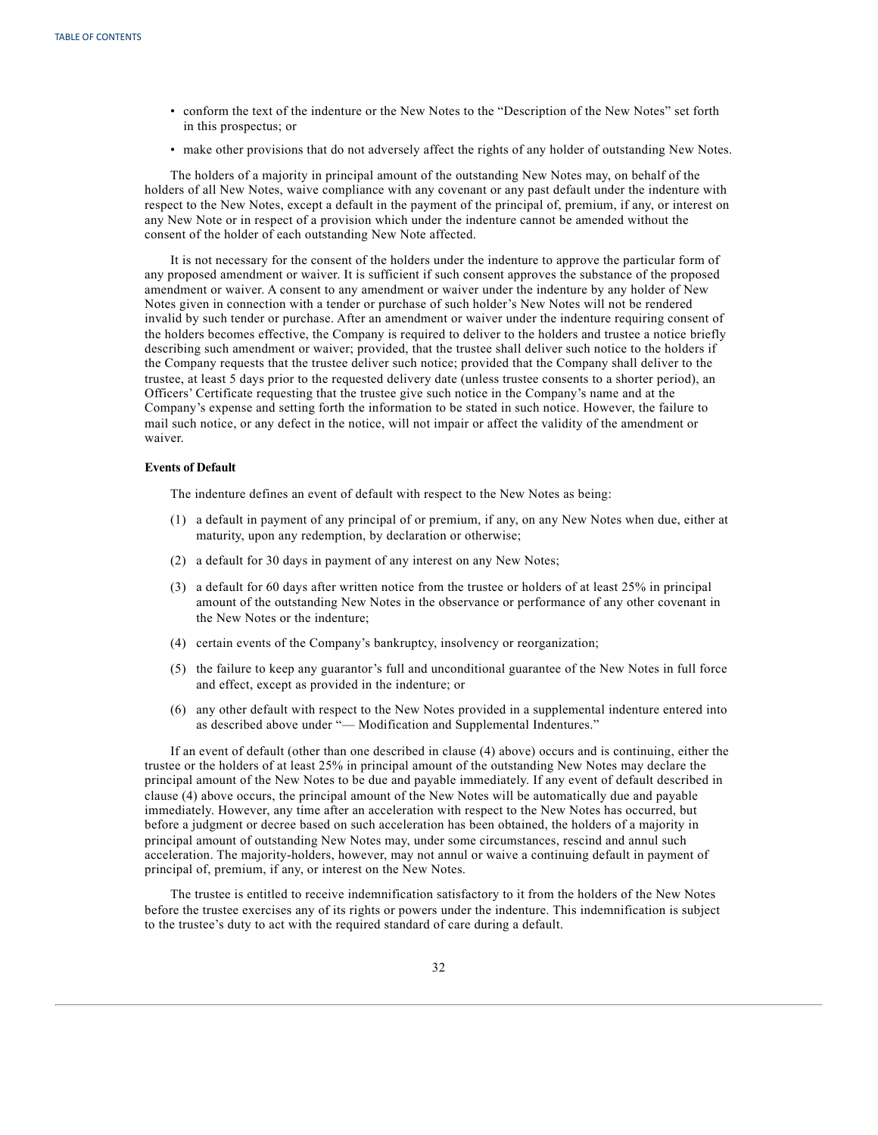- conform the text of the indenture or the New Notes to the "Description of the New Notes" set forth in this prospectus; or
- make other provisions that do not adversely affect the rights of any holder of outstanding New Notes.

The holders of a majority in principal amount of the outstanding New Notes may, on behalf of the holders of all New Notes, waive compliance with any covenant or any past default under the indenture with respect to the New Notes, except a default in the payment of the principal of, premium, if any, or interest on any New Note or in respect of a provision which under the indenture cannot be amended without the consent of the holder of each outstanding New Note affected.

It is not necessary for the consent of the holders under the indenture to approve the particular form of any proposed amendment or waiver. It is sufficient if such consent approves the substance of the proposed amendment or waiver. A consent to any amendment or waiver under the indenture by any holder of New Notes given in connection with a tender or purchase of such holder's New Notes will not be rendered invalid by such tender or purchase. After an amendment or waiver under the indenture requiring consent of the holders becomes effective, the Company is required to deliver to the holders and trustee a notice briefly describing such amendment or waiver; provided, that the trustee shall deliver such notice to the holders if the Company requests that the trustee deliver such notice; provided that the Company shall deliver to the trustee, at least 5 days prior to the requested delivery date (unless trustee consents to a shorter period), an Officers' Certificate requesting that the trustee give such notice in the Company's name and at the Company's expense and setting forth the information to be stated in such notice. However, the failure to mail such notice, or any defect in the notice, will not impair or affect the validity of the amendment or waiver.

## **Events of Default**

The indenture defines an event of default with respect to the New Notes as being:

- (1) a default in payment of any principal of or premium, if any, on any New Notes when due, either at maturity, upon any redemption, by declaration or otherwise;
- (2) a default for 30 days in payment of any interest on any New Notes;
- (3) a default for 60 days after written notice from the trustee or holders of at least 25% in principal amount of the outstanding New Notes in the observance or performance of any other covenant in the New Notes or the indenture;
- (4) certain events of the Company's bankruptcy, insolvency or reorganization;
- (5) the failure to keep any guarantor's full and unconditional guarantee of the New Notes in full force and effect, except as provided in the indenture; or
- (6) any other default with respect to the New Notes provided in a supplemental indenture entered into as described above under "— Modification and Supplemental Indentures."

If an event of default (other than one described in clause (4) above) occurs and is continuing, either the trustee or the holders of at least 25% in principal amount of the outstanding New Notes may declare the principal amount of the New Notes to be due and payable immediately. If any event of default described in clause (4) above occurs, the principal amount of the New Notes will be automatically due and payable immediately. However, any time after an acceleration with respect to the New Notes has occurred, but before a judgment or decree based on such acceleration has been obtained, the holders of a majority in principal amount of outstanding New Notes may, under some circumstances, rescind and annul such acceleration. The majority-holders, however, may not annul or waive a continuing default in payment of principal of, premium, if any, or interest on the New Notes.

The trustee is entitled to receive indemnification satisfactory to it from the holders of the New Notes before the trustee exercises any of its rights or powers under the indenture. This indemnification is subject to the trustee's duty to act with the required standard of care during a default.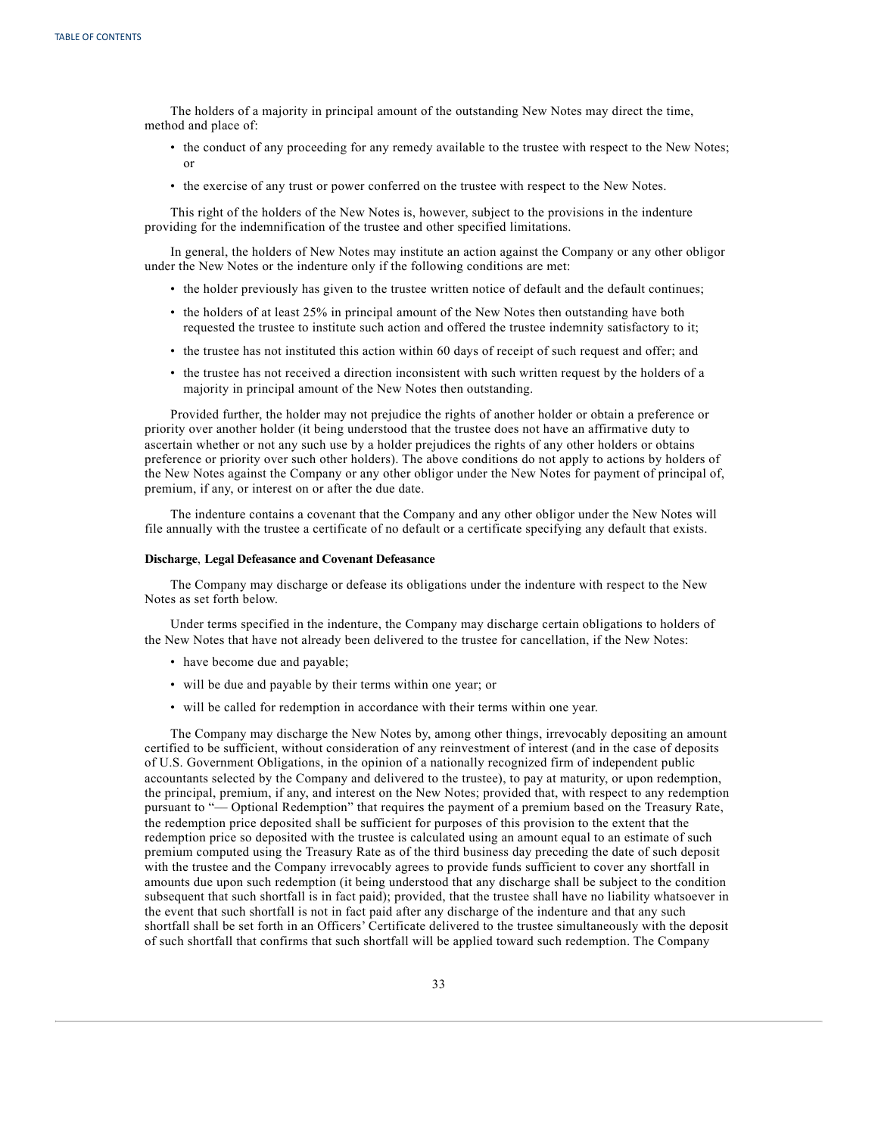The holders of a majority in principal amount of the outstanding New Notes may direct the time, method and place of:

- the conduct of any proceeding for any remedy available to the trustee with respect to the New Notes; or
- the exercise of any trust or power conferred on the trustee with respect to the New Notes.

This right of the holders of the New Notes is, however, subject to the provisions in the indenture providing for the indemnification of the trustee and other specified limitations.

In general, the holders of New Notes may institute an action against the Company or any other obligor under the New Notes or the indenture only if the following conditions are met:

- the holder previously has given to the trustee written notice of default and the default continues;
- the holders of at least 25% in principal amount of the New Notes then outstanding have both requested the trustee to institute such action and offered the trustee indemnity satisfactory to it;
- the trustee has not instituted this action within 60 days of receipt of such request and offer; and
- the trustee has not received a direction inconsistent with such written request by the holders of a majority in principal amount of the New Notes then outstanding.

Provided further, the holder may not prejudice the rights of another holder or obtain a preference or priority over another holder (it being understood that the trustee does not have an affirmative duty to ascertain whether or not any such use by a holder prejudices the rights of any other holders or obtains preference or priority over such other holders). The above conditions do not apply to actions by holders of the New Notes against the Company or any other obligor under the New Notes for payment of principal of, premium, if any, or interest on or after the due date.

The indenture contains a covenant that the Company and any other obligor under the New Notes will file annually with the trustee a certificate of no default or a certificate specifying any default that exists.

## **Discharge**, **Legal Defeasance and Covenant Defeasance**

The Company may discharge or defease its obligations under the indenture with respect to the New Notes as set forth below.

Under terms specified in the indenture, the Company may discharge certain obligations to holders of the New Notes that have not already been delivered to the trustee for cancellation, if the New Notes:

- have become due and payable;
- will be due and payable by their terms within one year; or
- will be called for redemption in accordance with their terms within one year.

The Company may discharge the New Notes by, among other things, irrevocably depositing an amount certified to be sufficient, without consideration of any reinvestment of interest (and in the case of deposits of U.S. Government Obligations, in the opinion of a nationally recognized firm of independent public accountants selected by the Company and delivered to the trustee), to pay at maturity, or upon redemption, the principal, premium, if any, and interest on the New Notes; provided that, with respect to any redemption pursuant to "— Optional Redemption" that requires the payment of a premium based on the Treasury Rate, the redemption price deposited shall be sufficient for purposes of this provision to the extent that the redemption price so deposited with the trustee is calculated using an amount equal to an estimate of such premium computed using the Treasury Rate as of the third business day preceding the date of such deposit with the trustee and the Company irrevocably agrees to provide funds sufficient to cover any shortfall in amounts due upon such redemption (it being understood that any discharge shall be subject to the condition subsequent that such shortfall is in fact paid); provided, that the trustee shall have no liability whatsoever in the event that such shortfall is not in fact paid after any discharge of the indenture and that any such shortfall shall be set forth in an Officers' Certificate delivered to the trustee simultaneously with the deposit of such shortfall that confirms that such shortfall will be applied toward such redemption. The Company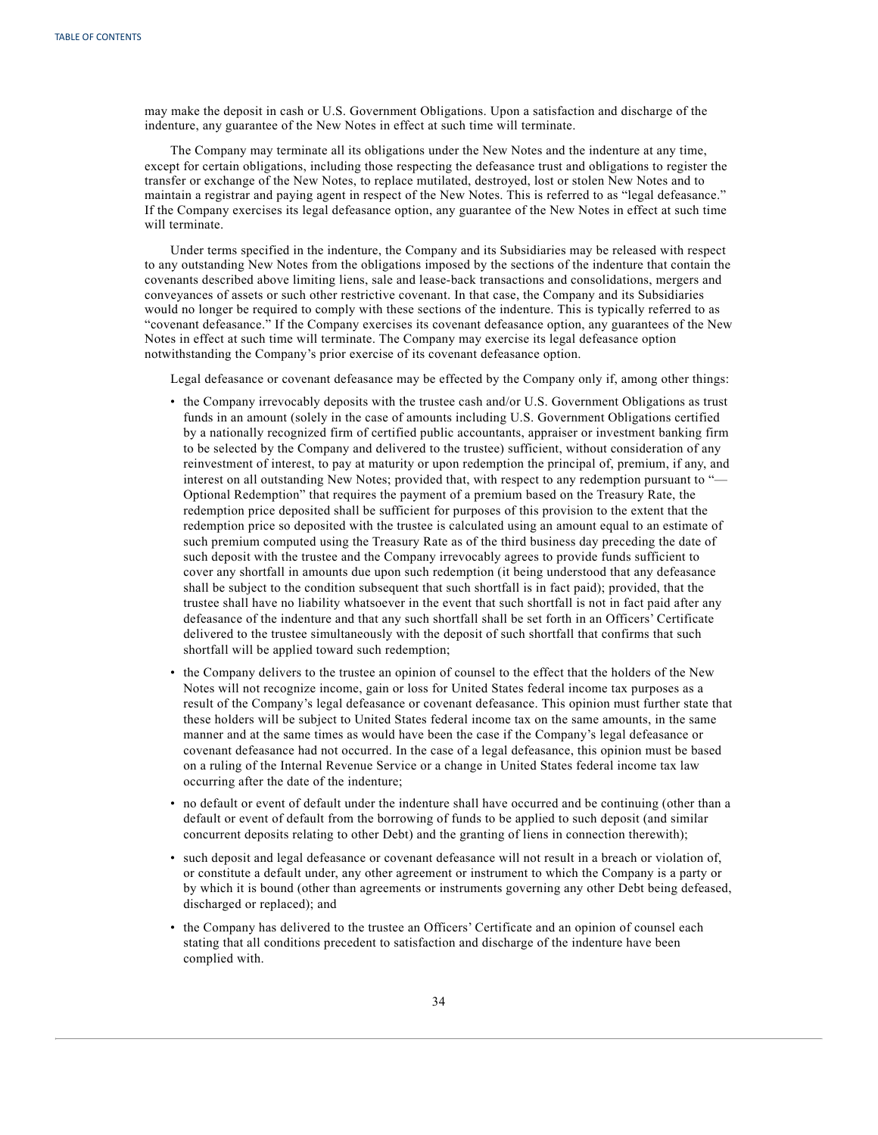may make the deposit in cash or U.S. Government Obligations. Upon a satisfaction and discharge of the indenture, any guarantee of the New Notes in effect at such time will terminate.

The Company may terminate all its obligations under the New Notes and the indenture at any time, except for certain obligations, including those respecting the defeasance trust and obligations to register the transfer or exchange of the New Notes, to replace mutilated, destroyed, lost or stolen New Notes and to maintain a registrar and paying agent in respect of the New Notes. This is referred to as "legal defeasance." If the Company exercises its legal defeasance option, any guarantee of the New Notes in effect at such time will terminate.

Under terms specified in the indenture, the Company and its Subsidiaries may be released with respect to any outstanding New Notes from the obligations imposed by the sections of the indenture that contain the covenants described above limiting liens, sale and lease-back transactions and consolidations, mergers and conveyances of assets or such other restrictive covenant. In that case, the Company and its Subsidiaries would no longer be required to comply with these sections of the indenture. This is typically referred to as "covenant defeasance." If the Company exercises its covenant defeasance option, any guarantees of the New Notes in effect at such time will terminate. The Company may exercise its legal defeasance option notwithstanding the Company's prior exercise of its covenant defeasance option.

Legal defeasance or covenant defeasance may be effected by the Company only if, among other things:

- the Company irrevocably deposits with the trustee cash and/or U.S. Government Obligations as trust funds in an amount (solely in the case of amounts including U.S. Government Obligations certified by a nationally recognized firm of certified public accountants, appraiser or investment banking firm to be selected by the Company and delivered to the trustee) sufficient, without consideration of any reinvestment of interest, to pay at maturity or upon redemption the principal of, premium, if any, and interest on all outstanding New Notes; provided that, with respect to any redemption pursuant to "— Optional Redemption" that requires the payment of a premium based on the Treasury Rate, the redemption price deposited shall be sufficient for purposes of this provision to the extent that the redemption price so deposited with the trustee is calculated using an amount equal to an estimate of such premium computed using the Treasury Rate as of the third business day preceding the date of such deposit with the trustee and the Company irrevocably agrees to provide funds sufficient to cover any shortfall in amounts due upon such redemption (it being understood that any defeasance shall be subject to the condition subsequent that such shortfall is in fact paid); provided, that the trustee shall have no liability whatsoever in the event that such shortfall is not in fact paid after any defeasance of the indenture and that any such shortfall shall be set forth in an Officers' Certificate delivered to the trustee simultaneously with the deposit of such shortfall that confirms that such shortfall will be applied toward such redemption;
- the Company delivers to the trustee an opinion of counsel to the effect that the holders of the New Notes will not recognize income, gain or loss for United States federal income tax purposes as a result of the Company's legal defeasance or covenant defeasance. This opinion must further state that these holders will be subject to United States federal income tax on the same amounts, in the same manner and at the same times as would have been the case if the Company's legal defeasance or covenant defeasance had not occurred. In the case of a legal defeasance, this opinion must be based on a ruling of the Internal Revenue Service or a change in United States federal income tax law occurring after the date of the indenture;
- no default or event of default under the indenture shall have occurred and be continuing (other than a default or event of default from the borrowing of funds to be applied to such deposit (and similar concurrent deposits relating to other Debt) and the granting of liens in connection therewith);
- such deposit and legal defeasance or covenant defeasance will not result in a breach or violation of, or constitute a default under, any other agreement or instrument to which the Company is a party or by which it is bound (other than agreements or instruments governing any other Debt being defeased, discharged or replaced); and
- the Company has delivered to the trustee an Officers' Certificate and an opinion of counsel each stating that all conditions precedent to satisfaction and discharge of the indenture have been complied with.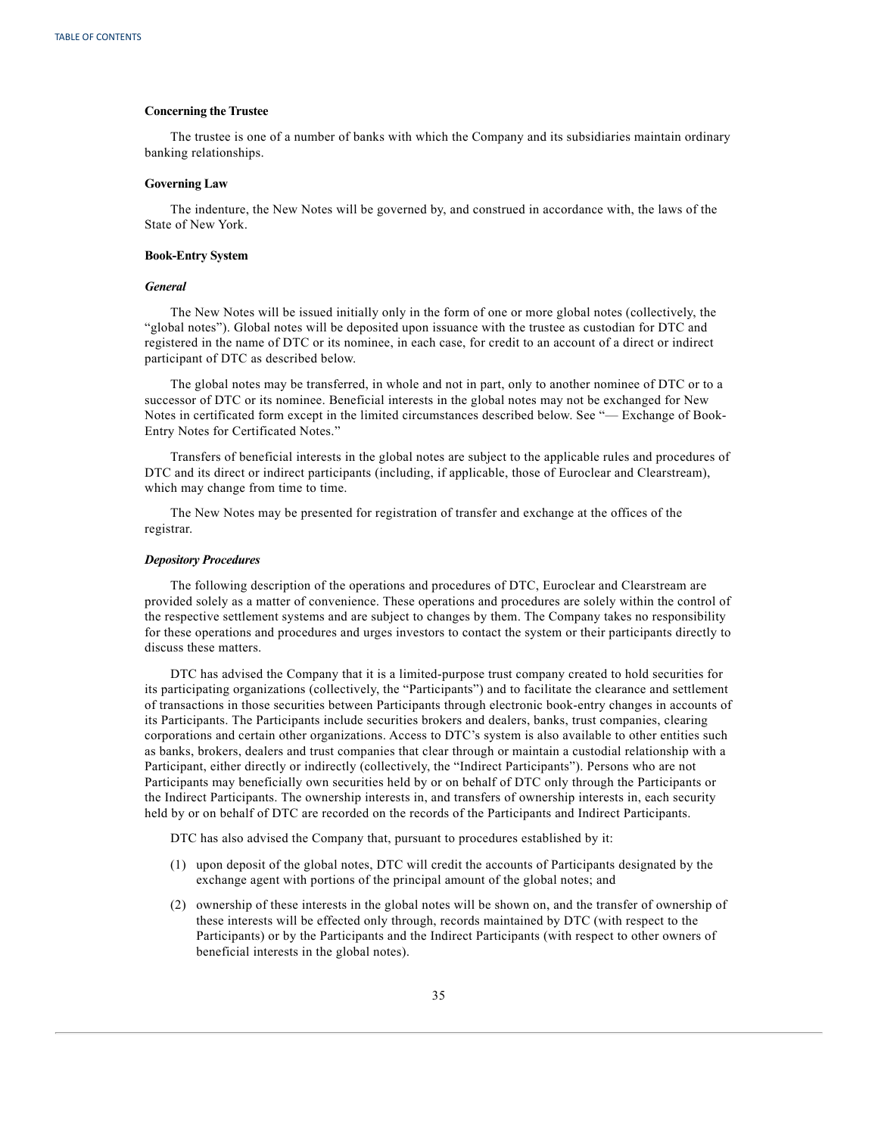#### **Concerning the Trustee**

The trustee is one of a number of banks with which the Company and its subsidiaries maintain ordinary banking relationships.

#### **Governing Law**

The indenture, the New Notes will be governed by, and construed in accordance with, the laws of the State of New York.

#### **Book-Entry System**

#### *General*

The New Notes will be issued initially only in the form of one or more global notes (collectively, the "global notes"). Global notes will be deposited upon issuance with the trustee as custodian for DTC and registered in the name of DTC or its nominee, in each case, for credit to an account of a direct or indirect participant of DTC as described below.

The global notes may be transferred, in whole and not in part, only to another nominee of DTC or to a successor of DTC or its nominee. Beneficial interests in the global notes may not be exchanged for New Notes in certificated form except in the limited circumstances described below. See "— Exchange of Book-Entry Notes for Certificated Notes."

Transfers of beneficial interests in the global notes are subject to the applicable rules and procedures of DTC and its direct or indirect participants (including, if applicable, those of Euroclear and Clearstream), which may change from time to time.

The New Notes may be presented for registration of transfer and exchange at the offices of the registrar.

### *Depository Procedures*

The following description of the operations and procedures of DTC, Euroclear and Clearstream are provided solely as a matter of convenience. These operations and procedures are solely within the control of the respective settlement systems and are subject to changes by them. The Company takes no responsibility for these operations and procedures and urges investors to contact the system or their participants directly to discuss these matters.

DTC has advised the Company that it is a limited-purpose trust company created to hold securities for its participating organizations (collectively, the "Participants") and to facilitate the clearance and settlement of transactions in those securities between Participants through electronic book-entry changes in accounts of its Participants. The Participants include securities brokers and dealers, banks, trust companies, clearing corporations and certain other organizations. Access to DTC's system is also available to other entities such as banks, brokers, dealers and trust companies that clear through or maintain a custodial relationship with a Participant, either directly or indirectly (collectively, the "Indirect Participants"). Persons who are not Participants may beneficially own securities held by or on behalf of DTC only through the Participants or the Indirect Participants. The ownership interests in, and transfers of ownership interests in, each security held by or on behalf of DTC are recorded on the records of the Participants and Indirect Participants.

DTC has also advised the Company that, pursuant to procedures established by it:

- (1) upon deposit of the global notes, DTC will credit the accounts of Participants designated by the exchange agent with portions of the principal amount of the global notes; and
- (2) ownership of these interests in the global notes will be shown on, and the transfer of ownership of these interests will be effected only through, records maintained by DTC (with respect to the Participants) or by the Participants and the Indirect Participants (with respect to other owners of beneficial interests in the global notes).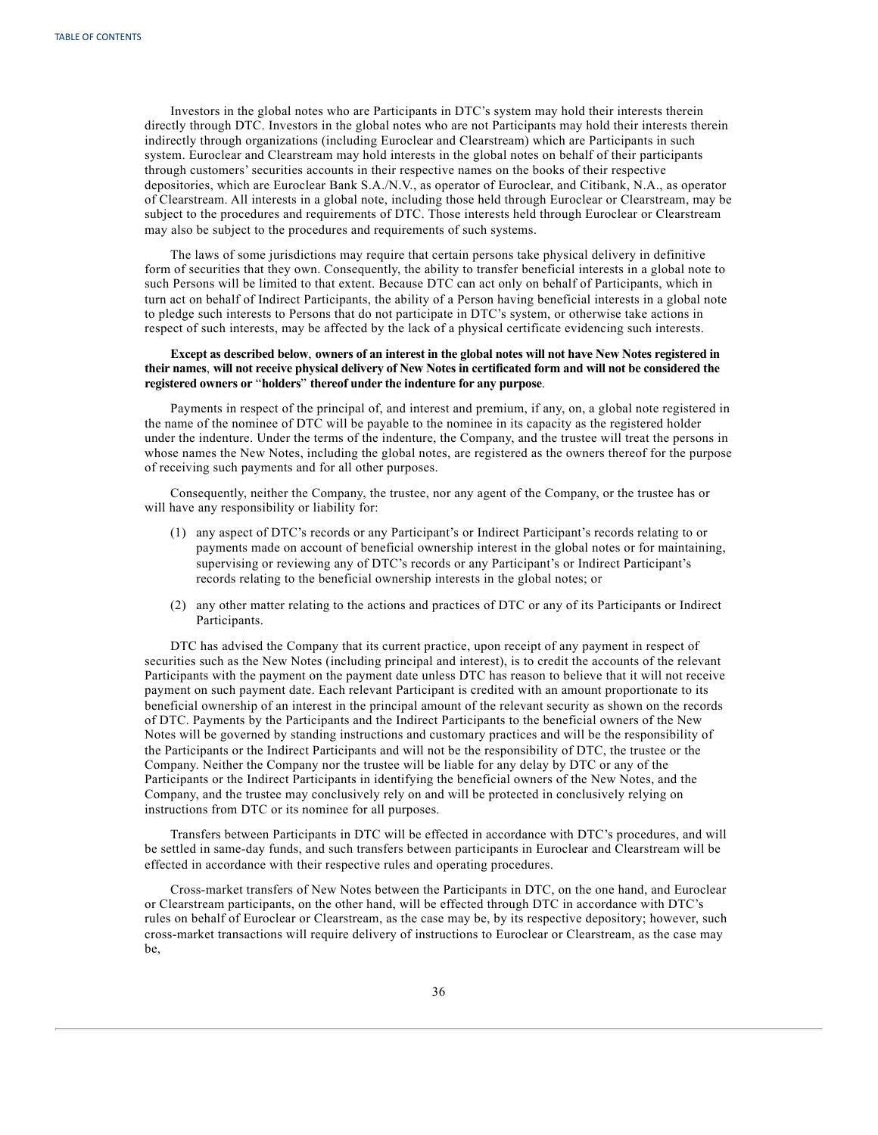Investors in the global notes who are Participants in DTC's system may hold their interests therein directly through DTC. Investors in the global notes who are not Participants may hold their interests therein indirectly through organizations (including Euroclear and Clearstream) which are Participants in such system. Euroclear and Clearstream may hold interests in the global notes on behalf of their participants through customers' securities accounts in their respective names on the books of their respective depositories, which are Euroclear Bank S.A./N.V., as operator of Euroclear, and Citibank, N.A., as operator of Clearstream. All interests in a global note, including those held through Euroclear or Clearstream, may be subject to the procedures and requirements of DTC. Those interests held through Euroclear or Clearstream may also be subject to the procedures and requirements of such systems.

The laws of some jurisdictions may require that certain persons take physical delivery in definitive form of securities that they own. Consequently, the ability to transfer beneficial interests in a global note to such Persons will be limited to that extent. Because DTC can act only on behalf of Participants, which in turn act on behalf of Indirect Participants, the ability of a Person having beneficial interests in a global note to pledge such interests to Persons that do not participate in DTC's system, or otherwise take actions in respect of such interests, may be affected by the lack of a physical certificate evidencing such interests.

## Except as described below, owners of an interest in the global notes will not have New Notes registered in their names, will not receive physical delivery of New Notes in certificated form and will not be considered the **registered owners or** "**holders**" **thereof under the indenture for any purpose**.

Payments in respect of the principal of, and interest and premium, if any, on, a global note registered in the name of the nominee of DTC will be payable to the nominee in its capacity as the registered holder under the indenture. Under the terms of the indenture, the Company, and the trustee will treat the persons in whose names the New Notes, including the global notes, are registered as the owners thereof for the purpose of receiving such payments and for all other purposes.

Consequently, neither the Company, the trustee, nor any agent of the Company, or the trustee has or will have any responsibility or liability for:

- (1) any aspect of DTC's records or any Participant's or Indirect Participant's records relating to or payments made on account of beneficial ownership interest in the global notes or for maintaining, supervising or reviewing any of DTC's records or any Participant's or Indirect Participant's records relating to the beneficial ownership interests in the global notes; or
- (2) any other matter relating to the actions and practices of DTC or any of its Participants or Indirect Participants.

DTC has advised the Company that its current practice, upon receipt of any payment in respect of securities such as the New Notes (including principal and interest), is to credit the accounts of the relevant Participants with the payment on the payment date unless DTC has reason to believe that it will not receive payment on such payment date. Each relevant Participant is credited with an amount proportionate to its beneficial ownership of an interest in the principal amount of the relevant security as shown on the records of DTC. Payments by the Participants and the Indirect Participants to the beneficial owners of the New Notes will be governed by standing instructions and customary practices and will be the responsibility of the Participants or the Indirect Participants and will not be the responsibility of DTC, the trustee or the Company. Neither the Company nor the trustee will be liable for any delay by DTC or any of the Participants or the Indirect Participants in identifying the beneficial owners of the New Notes, and the Company, and the trustee may conclusively rely on and will be protected in conclusively relying on instructions from DTC or its nominee for all purposes.

Transfers between Participants in DTC will be effected in accordance with DTC's procedures, and will be settled in same-day funds, and such transfers between participants in Euroclear and Clearstream will be effected in accordance with their respective rules and operating procedures.

Cross-market transfers of New Notes between the Participants in DTC, on the one hand, and Euroclear or Clearstream participants, on the other hand, will be effected through DTC in accordance with DTC's rules on behalf of Euroclear or Clearstream, as the case may be, by its respective depository; however, such cross-market transactions will require delivery of instructions to Euroclear or Clearstream, as the case may be,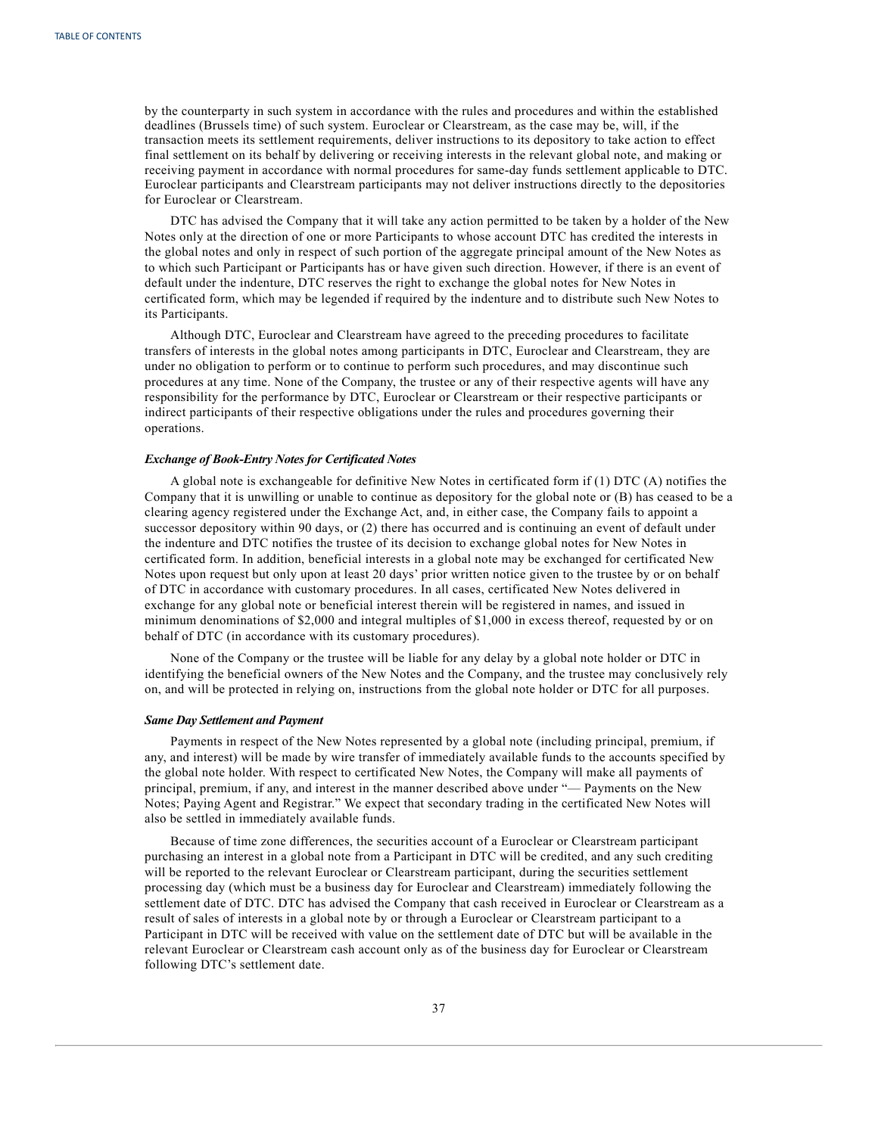by the counterparty in such system in accordance with the rules and procedures and within the established deadlines (Brussels time) of such system. Euroclear or Clearstream, as the case may be, will, if the transaction meets its settlement requirements, deliver instructions to its depository to take action to effect final settlement on its behalf by delivering or receiving interests in the relevant global note, and making or receiving payment in accordance with normal procedures for same-day funds settlement applicable to DTC. Euroclear participants and Clearstream participants may not deliver instructions directly to the depositories for Euroclear or Clearstream.

DTC has advised the Company that it will take any action permitted to be taken by a holder of the New Notes only at the direction of one or more Participants to whose account DTC has credited the interests in the global notes and only in respect of such portion of the aggregate principal amount of the New Notes as to which such Participant or Participants has or have given such direction. However, if there is an event of default under the indenture, DTC reserves the right to exchange the global notes for New Notes in certificated form, which may be legended if required by the indenture and to distribute such New Notes to its Participants.

Although DTC, Euroclear and Clearstream have agreed to the preceding procedures to facilitate transfers of interests in the global notes among participants in DTC, Euroclear and Clearstream, they are under no obligation to perform or to continue to perform such procedures, and may discontinue such procedures at any time. None of the Company, the trustee or any of their respective agents will have any responsibility for the performance by DTC, Euroclear or Clearstream or their respective participants or indirect participants of their respective obligations under the rules and procedures governing their operations.

## *Exchange of Book-Entry Notes for Certificated Notes*

A global note is exchangeable for definitive New Notes in certificated form if (1) DTC (A) notifies the Company that it is unwilling or unable to continue as depository for the global note or (B) has ceased to be a clearing agency registered under the Exchange Act, and, in either case, the Company fails to appoint a successor depository within 90 days, or (2) there has occurred and is continuing an event of default under the indenture and DTC notifies the trustee of its decision to exchange global notes for New Notes in certificated form. In addition, beneficial interests in a global note may be exchanged for certificated New Notes upon request but only upon at least 20 days' prior written notice given to the trustee by or on behalf of DTC in accordance with customary procedures. In all cases, certificated New Notes delivered in exchange for any global note or beneficial interest therein will be registered in names, and issued in minimum denominations of \$2,000 and integral multiples of \$1,000 in excess thereof, requested by or on behalf of DTC (in accordance with its customary procedures).

None of the Company or the trustee will be liable for any delay by a global note holder or DTC in identifying the beneficial owners of the New Notes and the Company, and the trustee may conclusively rely on, and will be protected in relying on, instructions from the global note holder or DTC for all purposes.

## *Same Day Settlement and Payment*

Payments in respect of the New Notes represented by a global note (including principal, premium, if any, and interest) will be made by wire transfer of immediately available funds to the accounts specified by the global note holder. With respect to certificated New Notes, the Company will make all payments of principal, premium, if any, and interest in the manner described above under "— Payments on the New Notes; Paying Agent and Registrar." We expect that secondary trading in the certificated New Notes will also be settled in immediately available funds.

Because of time zone differences, the securities account of a Euroclear or Clearstream participant purchasing an interest in a global note from a Participant in DTC will be credited, and any such crediting will be reported to the relevant Euroclear or Clearstream participant, during the securities settlement processing day (which must be a business day for Euroclear and Clearstream) immediately following the settlement date of DTC. DTC has advised the Company that cash received in Euroclear or Clearstream as a result of sales of interests in a global note by or through a Euroclear or Clearstream participant to a Participant in DTC will be received with value on the settlement date of DTC but will be available in the relevant Euroclear or Clearstream cash account only as of the business day for Euroclear or Clearstream following DTC's settlement date.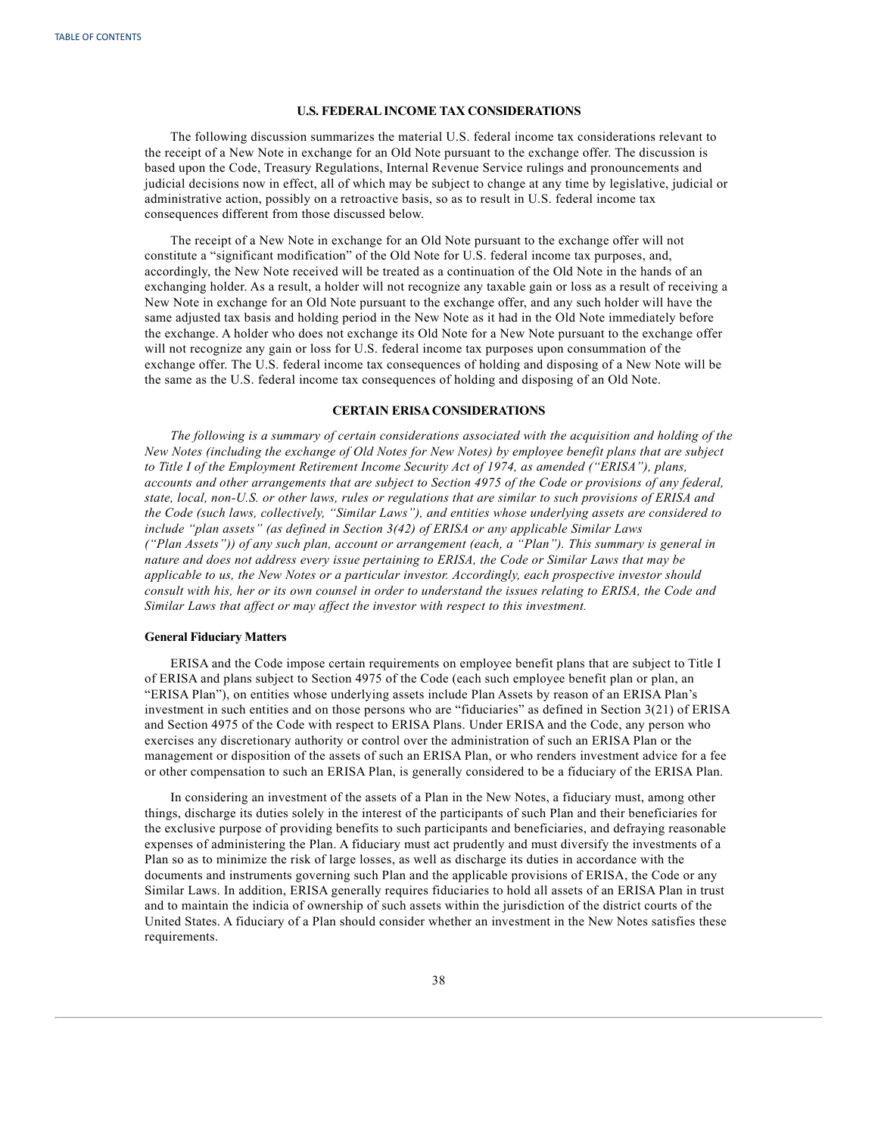## **U.S. FEDERALINCOME TAX CONSIDERATIONS**

<span id="page-42-0"></span>The following discussion summarizes the material U.S. federal income tax considerations relevant to the receipt of a New Note in exchange for an Old Note pursuant to the exchange offer. The discussion is based upon the Code, Treasury Regulations, Internal Revenue Service rulings and pronouncements and judicial decisions now in effect, all of which may be subject to change at any time by legislative, judicial or administrative action, possibly on a retroactive basis, so as to result in U.S. federal income tax consequences different from those discussed below.

The receipt of a New Note in exchange for an Old Note pursuant to the exchange offer will not constitute a "significant modification" of the Old Note for U.S. federal income tax purposes, and, accordingly, the New Note received will be treated as a continuation of the Old Note in the hands of an exchanging holder. As a result, a holder will not recognize any taxable gain or loss as a result of receiving a New Note in exchange for an Old Note pursuant to the exchange offer, and any such holder will have the same adjusted tax basis and holding period in the New Note as it had in the Old Note immediately before the exchange. A holder who does not exchange its Old Note for a New Note pursuant to the exchange offer will not recognize any gain or loss for U.S. federal income tax purposes upon consummation of the exchange offer. The U.S. federal income tax consequences of holding and disposing of a New Note will be the same as the U.S. federal income tax consequences of holding and disposing of an Old Note.

## **CERTAIN ERISA CONSIDERATIONS**

*The following is a summary of certain considerations associated with the acquisition and holding of the* New Notes (including the exchange of Old Notes for New Notes) by employee benefit plans that are subject *to Title I of the Employment Retirement Income Security Act of 1974, as amended ("ERISA"), plans,* accounts and other arrangements that are subject to Section 4975 of the Code or provisions of any federal, state, local, non-U.S. or other laws, rules or regulations that are similar to such provisions of ERISA and *the Code (such laws, collectively, "Similar Laws"), and entities whose underlying assets are considered to include "plan assets" (as defined in Section 3(42) of ERISA or any applicable Similar Laws ("Plan Assets")) of any such plan, account or arrangement (each, a "Plan"). This summary is general in nature and does not address every issue pertaining to ERISA, the Code or Similar Laws that may be applicable to us, the New Notes or a particular investor. Accordingly, each prospective investor should* consult with his, her or its own counsel in order to understand the issues relating to ERISA, the Code and *Similar Laws that af ect or may af ect the investor with respect to this investment.*

## **General Fiduciary Matters**

ERISA and the Code impose certain requirements on employee benefit plans that are subject to Title I of ERISA and plans subject to Section 4975 of the Code (each such employee benefit plan or plan, an "ERISA Plan"), on entities whose underlying assets include Plan Assets by reason of an ERISA Plan's investment in such entities and on those persons who are "fiduciaries" as defined in Section 3(21) of ERISA and Section 4975 of the Code with respect to ERISA Plans. Under ERISA and the Code, any person who exercises any discretionary authority or control over the administration of such an ERISA Plan or the management or disposition of the assets of such an ERISA Plan, or who renders investment advice for a fee or other compensation to such an ERISA Plan, is generally considered to be a fiduciary of the ERISA Plan.

In considering an investment of the assets of a Plan in the New Notes, a fiduciary must, among other things, discharge its duties solely in the interest of the participants of such Plan and their beneficiaries for the exclusive purpose of providing benefits to such participants and beneficiaries, and defraying reasonable expenses of administering the Plan. A fiduciary must act prudently and must diversify the investments of a Plan so as to minimize the risk of large losses, as well as discharge its duties in accordance with the documents and instruments governing such Plan and the applicable provisions of ERISA, the Code or any Similar Laws. In addition, ERISA generally requires fiduciaries to hold all assets of an ERISA Plan in trust and to maintain the indicia of ownership of such assets within the jurisdiction of the district courts of the United States. A fiduciary of a Plan should consider whether an investment in the New Notes satisfies these requirements.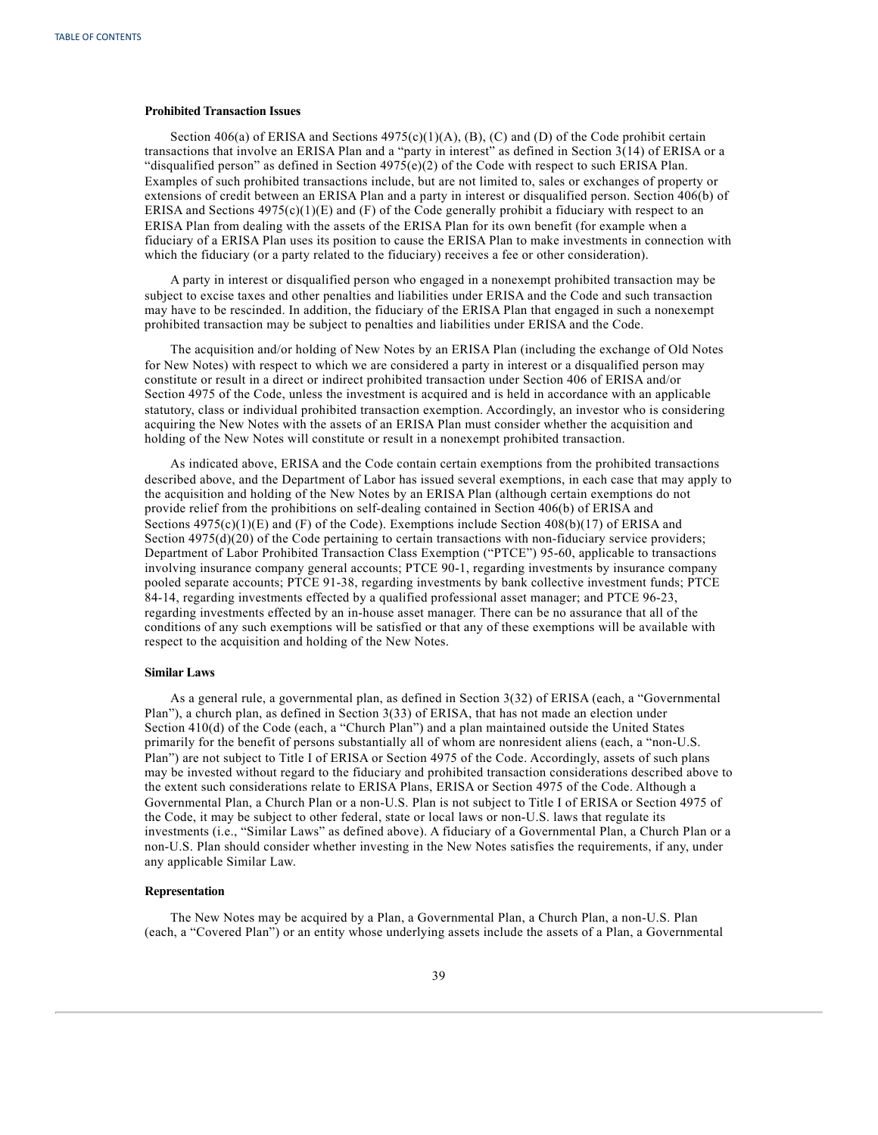## **Prohibited Transaction Issues**

Section 406(a) of ERISA and Sections  $4975(c)(1)(A)$ , (B), (C) and (D) of the Code prohibit certain transactions that involve an ERISA Plan and a "party in interest" as defined in Section 3(14) of ERISA or a "disqualified person" as defined in Section  $4975(e)(2)$  of the Code with respect to such ERISA Plan. Examples of such prohibited transactions include, but are not limited to, sales or exchanges of property or extensions of credit between an ERISA Plan and a party in interest or disqualified person. Section 406(b) of ERISA and Sections  $4975(c)(1)(E)$  and (F) of the Code generally prohibit a fiduciary with respect to an ERISA Plan from dealing with the assets of the ERISA Plan for its own benefit (for example when a fiduciary of a ERISA Plan uses its position to cause the ERISA Plan to make investments in connection with which the fiduciary (or a party related to the fiduciary) receives a fee or other consideration).

A party in interest or disqualified person who engaged in a nonexempt prohibited transaction may be subject to excise taxes and other penalties and liabilities under ERISA and the Code and such transaction may have to be rescinded. In addition, the fiduciary of the ERISA Plan that engaged in such a nonexempt prohibited transaction may be subject to penalties and liabilities under ERISA and the Code.

The acquisition and/or holding of New Notes by an ERISA Plan (including the exchange of Old Notes for New Notes) with respect to which we are considered a party in interest or a disqualified person may constitute or result in a direct or indirect prohibited transaction under Section 406 of ERISA and/or Section 4975 of the Code, unless the investment is acquired and is held in accordance with an applicable statutory, class or individual prohibited transaction exemption. Accordingly, an investor who is considering acquiring the New Notes with the assets of an ERISA Plan must consider whether the acquisition and holding of the New Notes will constitute or result in a nonexempt prohibited transaction.

As indicated above, ERISA and the Code contain certain exemptions from the prohibited transactions described above, and the Department of Labor has issued several exemptions, in each case that may apply to the acquisition and holding of the New Notes by an ERISA Plan (although certain exemptions do not provide relief from the prohibitions on self-dealing contained in Section 406(b) of ERISA and Sections  $4975(c)(1)(E)$  and (F) of the Code). Exemptions include Section  $408(b)(17)$  of ERISA and Section 4975(d)(20) of the Code pertaining to certain transactions with non-fiduciary service providers; Department of Labor Prohibited Transaction Class Exemption ("PTCE") 95-60, applicable to transactions involving insurance company general accounts; PTCE 90-1, regarding investments by insurance company pooled separate accounts; PTCE 91-38, regarding investments by bank collective investment funds; PTCE 84-14, regarding investments effected by a qualified professional asset manager; and PTCE 96-23, regarding investments effected by an in-house asset manager. There can be no assurance that all of the conditions of any such exemptions will be satisfied or that any of these exemptions will be available with respect to the acquisition and holding of the New Notes.

#### **Similar Laws**

As a general rule, a governmental plan, as defined in Section 3(32) of ERISA (each, a "Governmental Plan"), a church plan, as defined in Section 3(33) of ERISA, that has not made an election under Section 410(d) of the Code (each, a "Church Plan") and a plan maintained outside the United States primarily for the benefit of persons substantially all of whom are nonresident aliens (each, a "non-U.S. Plan") are not subject to Title I of ERISA or Section 4975 of the Code. Accordingly, assets of such plans may be invested without regard to the fiduciary and prohibited transaction considerations described above to the extent such considerations relate to ERISA Plans, ERISA or Section 4975 of the Code. Although a Governmental Plan, a Church Plan or a non-U.S. Plan is not subject to Title I of ERISA or Section 4975 of the Code, it may be subject to other federal, state or local laws or non-U.S. laws that regulate its investments (i.e., "Similar Laws" as defined above). A fiduciary of a Governmental Plan, a Church Plan or a non-U.S. Plan should consider whether investing in the New Notes satisfies the requirements, if any, under any applicable Similar Law.

#### **Representation**

The New Notes may be acquired by a Plan, a Governmental Plan, a Church Plan, a non-U.S. Plan (each, a "Covered Plan") or an entity whose underlying assets include the assets of a Plan, a Governmental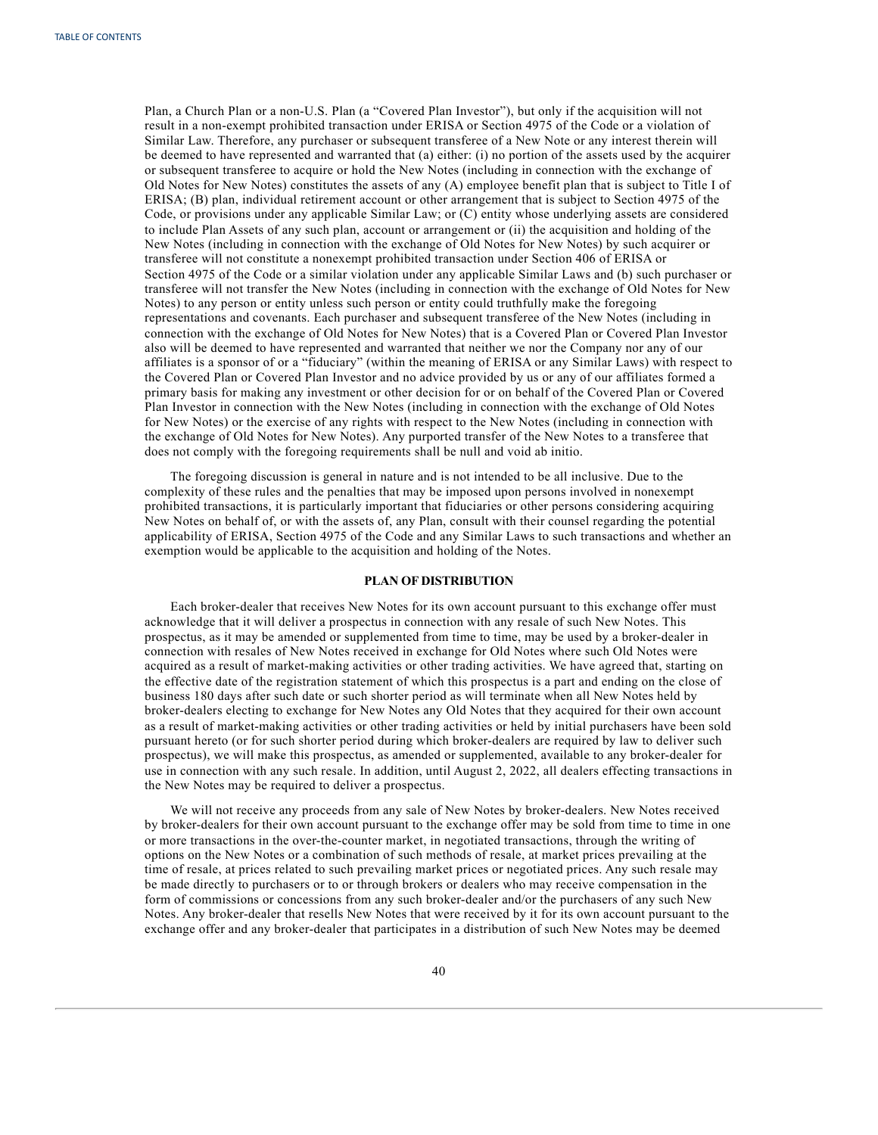<span id="page-44-0"></span>Plan, a Church Plan or a non-U.S. Plan (a "Covered Plan Investor"), but only if the acquisition will not result in a non-exempt prohibited transaction under ERISA or Section 4975 of the Code or a violation of Similar Law. Therefore, any purchaser or subsequent transferee of a New Note or any interest therein will be deemed to have represented and warranted that (a) either: (i) no portion of the assets used by the acquirer or subsequent transferee to acquire or hold the New Notes (including in connection with the exchange of Old Notes for New Notes) constitutes the assets of any (A) employee benefit plan that is subject to Title I of ERISA; (B) plan, individual retirement account or other arrangement that is subject to Section 4975 of the Code, or provisions under any applicable Similar Law; or (C) entity whose underlying assets are considered to include Plan Assets of any such plan, account or arrangement or (ii) the acquisition and holding of the New Notes (including in connection with the exchange of Old Notes for New Notes) by such acquirer or transferee will not constitute a nonexempt prohibited transaction under Section 406 of ERISA or Section 4975 of the Code or a similar violation under any applicable Similar Laws and (b) such purchaser or transferee will not transfer the New Notes (including in connection with the exchange of Old Notes for New Notes) to any person or entity unless such person or entity could truthfully make the foregoing representations and covenants. Each purchaser and subsequent transferee of the New Notes (including in connection with the exchange of Old Notes for New Notes) that is a Covered Plan or Covered Plan Investor also will be deemed to have represented and warranted that neither we nor the Company nor any of our affiliates is a sponsor of or a "fiduciary" (within the meaning of ERISA or any Similar Laws) with respect to the Covered Plan or Covered Plan Investor and no advice provided by us or any of our affiliates formed a primary basis for making any investment or other decision for or on behalf of the Covered Plan or Covered Plan Investor in connection with the New Notes (including in connection with the exchange of Old Notes for New Notes) or the exercise of any rights with respect to the New Notes (including in connection with the exchange of Old Notes for New Notes). Any purported transfer of the New Notes to a transferee that does not comply with the foregoing requirements shall be null and void ab initio.

The foregoing discussion is general in nature and is not intended to be all inclusive. Due to the complexity of these rules and the penalties that may be imposed upon persons involved in nonexempt prohibited transactions, it is particularly important that fiduciaries or other persons considering acquiring New Notes on behalf of, or with the assets of, any Plan, consult with their counsel regarding the potential applicability of ERISA, Section 4975 of the Code and any Similar Laws to such transactions and whether an exemption would be applicable to the acquisition and holding of the Notes.

## **PLAN OF DISTRIBUTION**

Each broker-dealer that receives New Notes for its own account pursuant to this exchange offer must acknowledge that it will deliver a prospectus in connection with any resale of such New Notes. This prospectus, as it may be amended or supplemented from time to time, may be used by a broker-dealer in connection with resales of New Notes received in exchange for Old Notes where such Old Notes were acquired as a result of market-making activities or other trading activities. We have agreed that, starting on the effective date of the registration statement of which this prospectus is a part and ending on the close of business 180 days after such date or such shorter period as will terminate when all New Notes held by broker-dealers electing to exchange for New Notes any Old Notes that they acquired for their own account as a result of market-making activities or other trading activities or held by initial purchasers have been sold pursuant hereto (or for such shorter period during which broker-dealers are required by law to deliver such prospectus), we will make this prospectus, as amended or supplemented, available to any broker-dealer for use in connection with any such resale. In addition, until August 2, 2022, all dealers effecting transactions in the New Notes may be required to deliver a prospectus.

We will not receive any proceeds from any sale of New Notes by broker-dealers. New Notes received by broker-dealers for their own account pursuant to the exchange offer may be sold from time to time in one or more transactions in the over-the-counter market, in negotiated transactions, through the writing of options on the New Notes or a combination of such methods of resale, at market prices prevailing at the time of resale, at prices related to such prevailing market prices or negotiated prices. Any such resale may be made directly to purchasers or to or through brokers or dealers who may receive compensation in the form of commissions or concessions from any such broker-dealer and/or the purchasers of any such New Notes. Any broker-dealer that resells New Notes that were received by it for its own account pursuant to the exchange offer and any broker-dealer that participates in a distribution of such New Notes may be deemed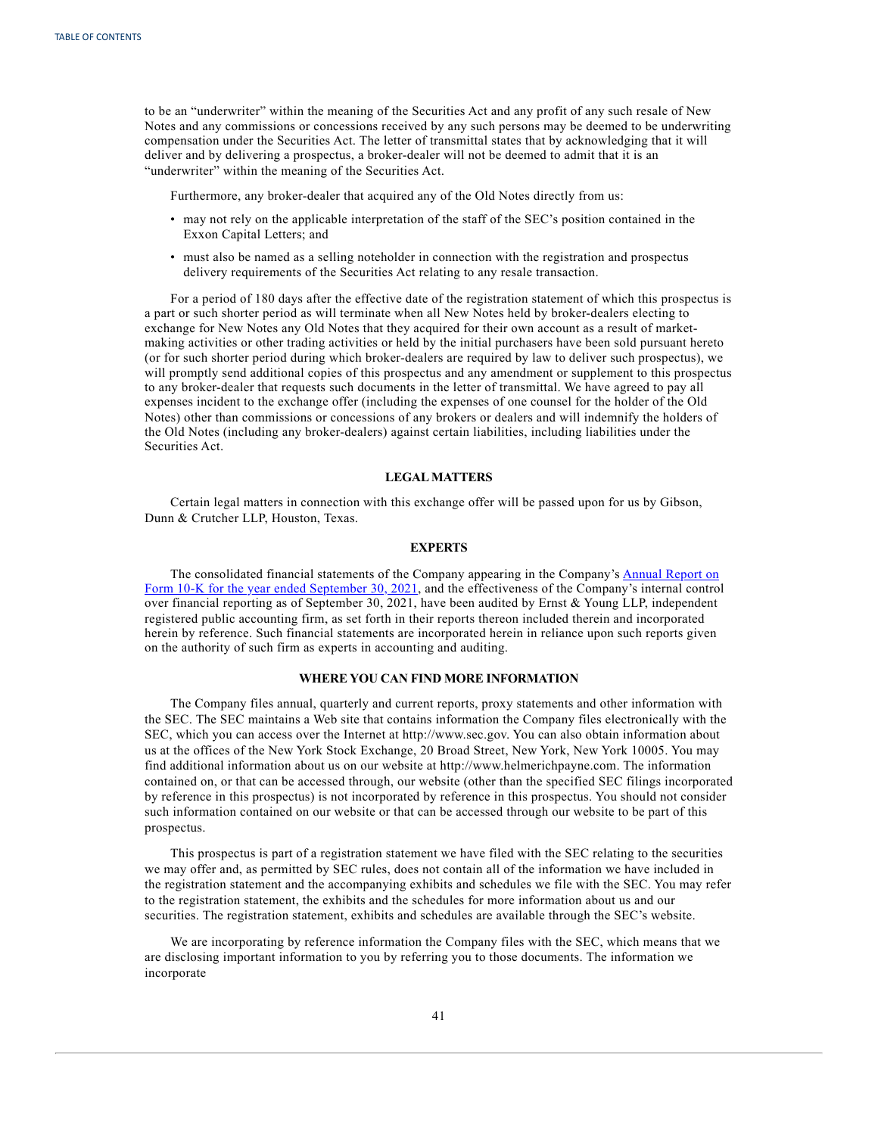<span id="page-45-0"></span>to be an "underwriter" within the meaning of the Securities Act and any profit of any such resale of New Notes and any commissions or concessions received by any such persons may be deemed to be underwriting compensation under the Securities Act. The letter of transmittal states that by acknowledging that it will deliver and by delivering a prospectus, a broker-dealer will not be deemed to admit that it is an "underwriter" within the meaning of the Securities Act.

Furthermore, any broker-dealer that acquired any of the Old Notes directly from us:

- may not rely on the applicable interpretation of the staff of the SEC's position contained in the Exxon Capital Letters; and
- must also be named as a selling noteholder in connection with the registration and prospectus delivery requirements of the Securities Act relating to any resale transaction.

For a period of 180 days after the effective date of the registration statement of which this prospectus is a part or such shorter period as will terminate when all New Notes held by broker-dealers electing to exchange for New Notes any Old Notes that they acquired for their own account as a result of marketmaking activities or other trading activities or held by the initial purchasers have been sold pursuant hereto (or for such shorter period during which broker-dealers are required by law to deliver such prospectus), we will promptly send additional copies of this prospectus and any amendment or supplement to this prospectus to any broker-dealer that requests such documents in the letter of transmittal. We have agreed to pay all expenses incident to the exchange offer (including the expenses of one counsel for the holder of the Old Notes) other than commissions or concessions of any brokers or dealers and will indemnify the holders of the Old Notes (including any broker-dealers) against certain liabilities, including liabilities under the Securities Act.

## **LEGALMATTERS**

Certain legal matters in connection with this exchange offer will be passed upon for us by Gibson, Dunn & Crutcher LLP, Houston, Texas.

## **EXPERTS**

The consolidated financial statements of the Company appearing in the Company's [Annual](https://content.edgar-online.com/ExternalLink/EDGAR/0000046765-21-000044.html?hash=6f6dd1049dbfdfa0db7a13c675510fa13182ffa76f794da0faf515514c024bdb&dest=hp-20210930_htm) Report on Form 10-K for the year ended [September](https://content.edgar-online.com/ExternalLink/EDGAR/0000046765-21-000044.html?hash=6f6dd1049dbfdfa0db7a13c675510fa13182ffa76f794da0faf515514c024bdb&dest=hp-20210930_htm) 30, 2021, and the effectiveness of the Company's internal control over financial reporting as of September 30, 2021, have been audited by Ernst & Young LLP, independent registered public accounting firm, as set forth in their reports thereon included therein and incorporated herein by reference. Such financial statements are incorporated herein in reliance upon such reports given on the authority of such firm as experts in accounting and auditing.

## **WHERE YOU CAN FIND MORE INFORMATION**

The Company files annual, quarterly and current reports, proxy statements and other information with the SEC. The SEC maintains a Web site that contains information the Company files electronically with the SEC, which you can access over the Internet at http://www.sec.gov. You can also obtain information about us at the offices of the New York Stock Exchange, 20 Broad Street, New York, New York 10005. You may find additional information about us on our website at http://www.helmerichpayne.com. The information contained on, or that can be accessed through, our website (other than the specified SEC filings incorporated by reference in this prospectus) is not incorporated by reference in this prospectus. You should not consider such information contained on our website or that can be accessed through our website to be part of this prospectus.

This prospectus is part of a registration statement we have filed with the SEC relating to the securities we may offer and, as permitted by SEC rules, does not contain all of the information we have included in the registration statement and the accompanying exhibits and schedules we file with the SEC. You may refer to the registration statement, the exhibits and the schedules for more information about us and our securities. The registration statement, exhibits and schedules are available through the SEC's website.

We are incorporating by reference information the Company files with the SEC, which means that we are disclosing important information to you by referring you to those documents. The information we incorporate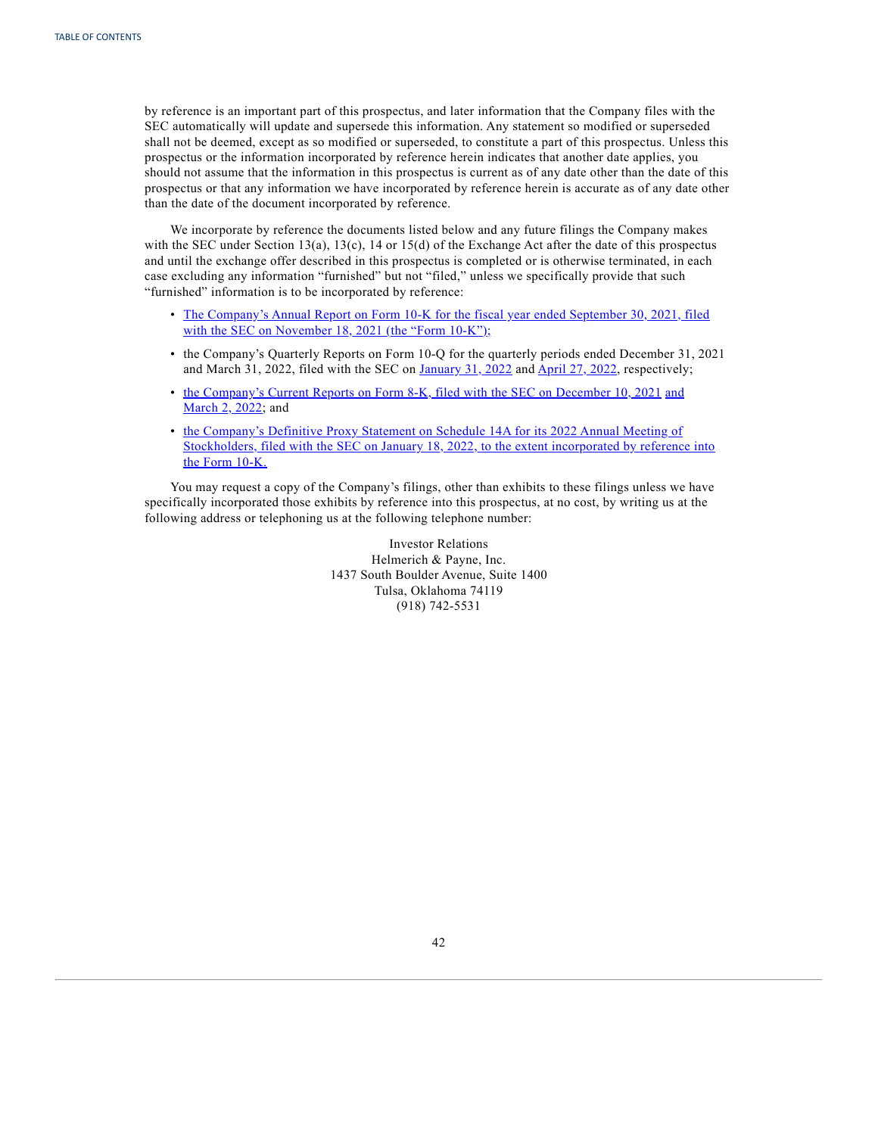by reference is an important part of this prospectus, and later information that the Company files with the SEC automatically will update and supersede this information. Any statement so modified or superseded shall not be deemed, except as so modified or superseded, to constitute a part of this prospectus. Unless this prospectus or the information incorporated by reference herein indicates that another date applies, you should not assume that the information in this prospectus is current as of any date other than the date of this prospectus or that any information we have incorporated by reference herein is accurate as of any date other than the date of the document incorporated by reference.

We incorporate by reference the documents listed below and any future filings the Company makes with the SEC under Section 13(a), 13(c), 14 or 15(d) of the Exchange Act after the date of this prospectus and until the exchange offer described in this prospectus is completed or is otherwise terminated, in each case excluding any information "furnished" but not "filed," unless we specifically provide that such "furnished" information is to be incorporated by reference:

- The [Company's](https://content.edgar-online.com/ExternalLink/EDGAR/0000046765-21-000044.html?hash=6f6dd1049dbfdfa0db7a13c675510fa13182ffa76f794da0faf515514c024bdb&dest=hp-20210930_htm) Annual Report on Form 10-K for the fiscal year ended September 30, 2021, filed with the SEC on [November](https://content.edgar-online.com/ExternalLink/EDGAR/0000046765-21-000044.html?hash=6f6dd1049dbfdfa0db7a13c675510fa13182ffa76f794da0faf515514c024bdb&dest=hp-20210930_htm) 18, 2021 (the "Form 10-K");
- the Company's Quarterly Reports on Form 10-Q for the quarterly periods ended December 31, 2021 and March 31, 2022, filed with the SEC on  $January$  31, 2022 and  $April$  27, 2022, respectively;
- the [Company's](https://content.edgar-online.com/ExternalLink/EDGAR/0000046765-21-000046.html?hash=98ced562d0f28b0185a1a9ee6a077b89b1117778d6501d84312e667c145e260a&dest=hp-20211210_htm) Current Reports on Form 8-K, filed with the SEC on December 10, 2021 [and](https://content.edgar-online.com/ExternalLink/EDGAR/0000046765-22-000016.html?hash=5ef694449bc45405997e61942b034d74e375a7d9e1dacf2b7d8e093ff5398b56&dest=hp-20220301_htm) [March](https://content.edgar-online.com/ExternalLink/EDGAR/0000046765-22-000016.html?hash=5ef694449bc45405997e61942b034d74e375a7d9e1dacf2b7d8e093ff5398b56&dest=hp-20220301_htm) 2, 2022; and
- the [Company's](https://content.edgar-online.com/ExternalLink/EDGAR/0001104659-22-004927.html?hash=a1b69076c3e93a471b8627ea7ef950e55ffdace0b83c42d89c12344e5e1224d8&dest=tm2136142-1_def14a_htm) Definitive Proxy Statement on Schedule 14A for its 2022 Annual Meeting of [Stockholders,](https://content.edgar-online.com/ExternalLink/EDGAR/0001104659-22-004927.html?hash=a1b69076c3e93a471b8627ea7ef950e55ffdace0b83c42d89c12344e5e1224d8&dest=tm2136142-1_def14a_htm) filed with the SEC on January 18, 2022, to the extent incorporated by reference into the Form [10-K.](https://content.edgar-online.com/ExternalLink/EDGAR/0001104659-22-004927.html?hash=a1b69076c3e93a471b8627ea7ef950e55ffdace0b83c42d89c12344e5e1224d8&dest=tm2136142-1_def14a_htm)

You may request a copy of the Company's filings, other than exhibits to these filings unless we have specifically incorporated those exhibits by reference into this prospectus, at no cost, by writing us at the following address or telephoning us at the following telephone number:

> Investor Relations Helmerich & Payne, Inc. 1437 South Boulder Avenue, Suite 1400 Tulsa, Oklahoma 74119 (918) 742-5531